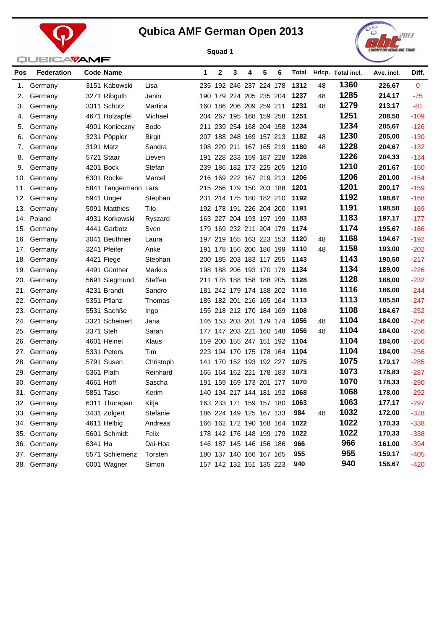



| Pos | <b>Federation</b> |           | <b>Code Name</b>     |                | 1   | 2 | 3                       | 4 | 5 | 6 | Total |    | Hdcp. Total incl. | Ave. incl. | Diff.        |
|-----|-------------------|-----------|----------------------|----------------|-----|---|-------------------------|---|---|---|-------|----|-------------------|------------|--------------|
| 1.  | Germany           |           | 3151 Kabowski        | Lisa           |     |   | 235 192 246 237 224 178 |   |   |   | 1312  | 48 | 1360              | 226,67     | $\mathbf{0}$ |
| 2.  | Germany           |           | 3271 Ribguth         | Janin          |     |   | 190 179 224 205 235 204 |   |   |   | 1237  | 48 | 1285              | 214,17     | $-75$        |
| 3.  | Germany           |           | 3311 Schütz          | Martina        |     |   | 160 186 206 209 259 211 |   |   |   | 1231  | 48 | 1279              | 213,17     | $-81$        |
| 4.  | Germany           |           | 4671 Holzapfel       | Michael        |     |   | 204 267 195 168 159 258 |   |   |   | 1251  |    | 1251              | 208,50     | $-109$       |
| 5.  | Germany           |           | 4901 Konieczny       | <b>Bodo</b>    |     |   | 211 239 254 168 204 158 |   |   |   | 1234  |    | 1234              | 205,67     | $-126$       |
| 6.  | Germany           |           | 3231 Pöppler         | <b>Birgit</b>  |     |   | 207 188 248 169 157 213 |   |   |   | 1182  | 48 | 1230              | 205,00     | $-130$       |
| 7.  | Germany           |           | 3191 Matz            | Sandra         |     |   | 198 220 211 167 165 219 |   |   |   | 1180  | 48 | 1228              | 204,67     | $-132$       |
| 8.  | Germany           |           | 5721 Staar           | Lieven         |     |   | 191 228 233 159 187 228 |   |   |   | 1226  |    | 1226              | 204,33     | $-134$       |
| 9.  | Germany           |           | 4201 Bock            | Stefan         |     |   | 239 186 182 173 225 205 |   |   |   | 1210  |    | 1210              | 201,67     | $-150$       |
| 10. | Germany           |           | 6301 Rocke           | Marcel         |     |   | 216 169 222 167 219 213 |   |   |   | 1206  |    | 1206              | 201,00     | $-154$       |
| 11. | Germany           |           | 5841 Tangermann Lars |                |     |   | 215 266 179 150 203 188 |   |   |   | 1201  |    | 1201              | 200,17     | $-159$       |
| 12. | Germany           |           | 5941 Unger           | Stephan        |     |   | 231 214 175 180 182 210 |   |   |   | 1192  |    | 1192              | 198,67     | $-168$       |
|     | 13. Germany       |           | 5091 Matthies        | Tilo           |     |   | 192 178 191 226 204 200 |   |   |   | 1191  |    | 1191              | 198,50     | $-169$       |
|     | 14. Poland        |           | 4931 Korkowski       | Ryszard        |     |   | 163 227 204 193 197 199 |   |   |   | 1183  |    | 1183              | 197,17     | $-177$       |
|     | 15. Germany       |           | 4441 Garbotz         | Sven           |     |   | 179 169 232 211 204 179 |   |   |   | 1174  |    | 1174              | 195,67     | $-186$       |
|     | 16. Germany       |           | 3041 Beuthner        | Laura          |     |   | 197 219 165 163 223 153 |   |   |   | 1120  | 48 | 1168              | 194,67     | $-192$       |
|     | 17. Germany       |           | 3241 Pfeifer         | Anke           |     |   | 191 178 156 200 186 199 |   |   |   | 1110  | 48 | 1158              | 193,00     | $-202$       |
|     | 18. Germany       |           | 4421 Fiege           | Stephan        |     |   | 200 185 203 183 117 255 |   |   |   | 1143  |    | 1143              | 190,50     | $-217$       |
| 19. | Germany           |           | 4491 Günther         | Markus         |     |   | 198 188 206 193 170 179 |   |   |   | 1134  |    | 1134              | 189,00     | $-226$       |
|     | 20. Germany       |           | 5691 Siegmund        | <b>Steffen</b> |     |   | 211 178 188 158 188 205 |   |   |   | 1128  |    | 1128              | 188,00     | $-232$       |
| 21. | Germany           |           | 4231 Brandt          | Sandro         |     |   | 181 242 179 174 138 202 |   |   |   | 1116  |    | 1116              | 186,00     | $-244$       |
|     | 22. Germany       |           | 5351 Pflanz          | Thomas         |     |   | 185 182 201 216 165 164 |   |   |   | 1113  |    | 1113              | 185,50     | $-247$       |
|     | 23. Germany       |           | 5531 Sachße          | Ingo           |     |   | 155 218 212 170 184 169 |   |   |   | 1108  |    | 1108              | 184,67     | $-252$       |
|     | 24. Germany       |           | 3321 Scheinert       | Jana           |     |   | 146 153 203 201 179 174 |   |   |   | 1056  | 48 | 1104              | 184,00     | $-256$       |
|     | 25. Germany       |           | 3371 Steh            | Sarah          |     |   | 177 147 203 221 160 148 |   |   |   | 1056  | 48 | 1104              | 184,00     | $-256$       |
|     | 26. Germany       |           | 4601 Heinel          | Klaus          |     |   | 159 200 155 247 151 192 |   |   |   | 1104  |    | 1104              | 184,00     | $-256$       |
| 27. | Germany           |           | 5331 Peters          | Tim            |     |   | 223 194 170 175 178 164 |   |   |   | 1104  |    | 1104              | 184,00     | $-256$       |
| 28. | Germany           |           | 5791 Susen           | Christoph      |     |   | 141 170 152 193 192 227 |   |   |   | 1075  |    | 1075              | 179,17     | $-285$       |
|     | 29. Germany       |           | 5361 Plath           | Reinhard       |     |   | 165 164 162 221 178 183 |   |   |   | 1073  |    | 1073              | 178,83     | $-287$       |
| 30. | Germany           | 4661 Hoff |                      | Sascha         | 191 |   | 159 169 173 201 177     |   |   |   | 1070  |    | 1070              | 178,33     | $-290$       |
|     | 31. Germany       |           | 5851 Tasci           | Kerim          |     |   | 140 194 217 144 181 192 |   |   |   | 1068  |    | 1068              | 178,00     | $-292$       |
|     | 32. Germany       |           | 6311 Thurapan        | Kitja          |     |   | 163 233 171 159 157 180 |   |   |   | 1063  |    | 1063              | 177,17     | $-297$       |
|     | 33. Germany       |           | 3431 Zölgert         | Stefanie       |     |   | 186 224 149 125 167 133 |   |   |   | 984   | 48 | 1032              | 172,00     | $-328$       |
|     | 34. Germany       |           | 4611 Helbig          | Andreas        |     |   | 166 162 172 190 168 164 |   |   |   | 1022  |    | 1022              | 170,33     | $-338$       |
|     | 35. Germany       |           | 5601 Schmidt         | Felix          |     |   | 178 142 176 148 199 179 |   |   |   | 1022  |    | 1022              | 170,33     | $-338$       |
|     | 36. Germany       | 6341 Ha   |                      | Dai-Hoa        |     |   | 146 187 145 146 156 186 |   |   |   | 966   |    | 966               | 161,00     | $-394$       |
|     | 37. Germany       |           | 5571 Schiemenz       | Torsten        |     |   | 180 137 140 166 167 165 |   |   |   | 955   |    | 955               | 159,17     | $-405$       |
|     | 38. Germany       |           | 6001 Wagner          | Simon          |     |   | 157 142 132 151 135 223 |   |   |   | 940   |    | 940               | 156,67     | $-420$       |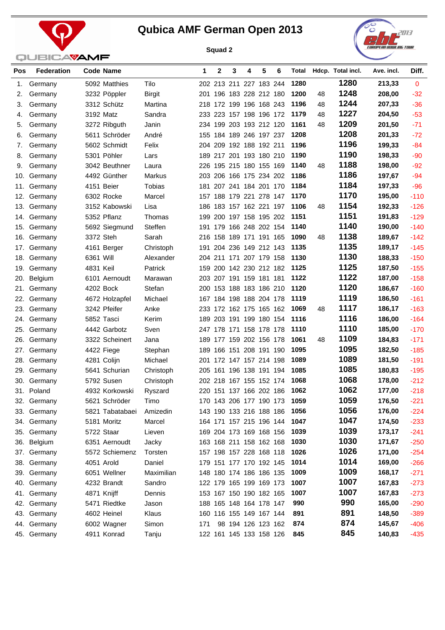



| Pos        | <b>Federation</b>  | Code Name                 |                  | 1   | 2                                                  | 3 | 4                  | 5 | 6                       | Total        |    | Hdcp. Total incl. | Ave. incl.       | Diff.            |
|------------|--------------------|---------------------------|------------------|-----|----------------------------------------------------|---|--------------------|---|-------------------------|--------------|----|-------------------|------------------|------------------|
| 1.         | Germany            | 5092 Matthies             | Tilo             |     | 202 213 211 227 183 244                            |   |                    |   |                         | 1280         |    | 1280              | 213,33           | $\mathbf{0}$     |
| 2.         | Germany            | 3232 Pöppler              | <b>Birgit</b>    |     | 201 196 183 228 212 180                            |   |                    |   |                         | 1200         | 48 | 1248              | 208,00           | $-32$            |
| 3.         | Germany            | 3312 Schütz               | Martina          |     | 218 172 199 196 168 243                            |   |                    |   |                         | 1196         | 48 | 1244              | 207,33           | $-36$            |
| 4.         | Germany            | 3192 Matz                 | Sandra           |     | 233 223 157 198 196 172                            |   |                    |   |                         | 1179         | 48 | 1227              | 204,50           | $-53$            |
| 5.         | Germany            | 3272 Ribguth              | Janin            |     | 234 199 203 193 212 120                            |   |                    |   |                         | 1161         | 48 | 1209              | 201,50           | $-71$            |
| 6.         | Germany            | 5611 Schröder             | André            |     | 155 184 189 246 197 237                            |   |                    |   |                         | 1208         |    | 1208              | 201,33           | $-72$            |
| 7.         | Germany            | 5602 Schmidt              | Felix            |     | 204 209 192 188 192 211                            |   |                    |   |                         | 1196         |    | 1196              | 199,33           | $-84$            |
| 8.         | Germany            | 5301 Pöhler               | Lars             |     | 189 217 201 193 180 210                            |   |                    |   |                         | 1190         |    | 1190              | 198,33           | $-90$            |
| 9.         | Germany            | 3042 Beuthner             | Laura            |     | 226 195 215 180 155 169                            |   |                    |   |                         | 1140         | 48 | 1188              | 198,00           | $-92$            |
| 10.        | Germany            | 4492 Günther              | Markus           |     | 203 206 166 175 234 202                            |   |                    |   |                         | 1186         |    | 1186              | 197,67           | $-94$            |
| 11.        | Germany            | 4151 Beier                | Tobias           |     | 181 207 241 184 201 170                            |   |                    |   |                         | 1184         |    | 1184              | 197,33           | $-96$            |
| 12.        | Germany            | 6302 Rocke                | Marcel           |     | 157 188 179 221 278 147                            |   |                    |   |                         | 1170         |    | 1170              | 195,00           | $-110$           |
| 13.        | Germany            | 3152 Kabowski             | Lisa             |     | 186 183 157 162 221 197                            |   |                    |   |                         | 1106         | 48 | 1154              | 192,33           | $-126$           |
| 14.        | Germany            | 5352 Pflanz               | Thomas           |     | 199 200 197 158 195 202                            |   |                    |   |                         | 1151         |    | 1151              | 191,83           | $-129$           |
| 15.        | Germany            | 5692 Siegmund             | Steffen          |     | 191 179 166 248 202 154                            |   |                    |   |                         | 1140         |    | 1140              | 190,00           | $-140$           |
| 16.        | Germany            | 3372 Steh                 | Sarah            |     | 216 158 189 171 191 165                            |   |                    |   |                         | 1090         | 48 | 1138              | 189,67           | $-142$           |
| 17.        | Germany            | 4161 Berger               | Christoph        |     | 191 204 236 149 212 143                            |   |                    |   |                         | 1135         |    | 1135              | 189,17           | $-145$           |
| 18.        | Germany            | 6361 Will                 | Alexander        |     | 204 211 171 207 179 158                            |   |                    |   |                         | 1130         |    | 1130              | 188,33           | $-150$           |
| 19.        | Germany            | 4831 Keil                 | Patrick          |     | 159 200 142 230 212 182                            |   |                    |   |                         | 1125         |    | 1125              | 187,50           | $-155$           |
| 20.        | Belgium            | 6101 Aernoudt             | Marawan          |     | 203 207 191 159 181 181                            |   |                    |   |                         | 1122         |    | 1122              | 187,00           | $-158$           |
| 21.        | Germany            | 4202 Bock                 | Stefan           |     | 200 153 188 183 186 210                            |   |                    |   |                         | 1120         |    | 1120              | 186,67           | $-160$           |
| 22.        | Germany            | 4672 Holzapfel            | Michael          |     | 167 184 198 188 204 178                            |   |                    |   |                         | 1119         |    | 1119              | 186,50           | $-161$           |
|            | 23. Germany        | 3242 Pfeifer              | Anke             |     | 233 172 162 175 165 162                            |   |                    |   |                         | 1069         | 48 | 1117              | 186,17           | $-163$           |
| 24.        | Germany            | 5852 Tasci                | Kerim            |     | 189 203 191 199 180 154                            |   |                    |   |                         | 1116         |    | 1116              | 186,00           | $-164$           |
| 25.        | Germany            | 4442 Garbotz              | Sven             |     | 247 178 171 158 178 178                            |   |                    |   |                         | 1110         |    | 1110              | 185,00           | $-170$           |
| 26.        | Germany            | 3322 Scheinert            | Jana             |     | 189 177 159 202 156 178                            |   |                    |   |                         | 1061         | 48 | 1109              | 184,83           | $-171$           |
|            | 27. Germany        | 4422 Fiege                | Stephan          |     | 189 166 151 208 191 190                            |   |                    |   |                         | 1095         |    | 1095              | 182,50           | $-185$           |
| 28.        | Germany            | 4281 Colijn               | Michael          |     | 201 172 147 157 214 198                            |   |                    |   |                         | 1089         |    | 1089              | 181,50           | $-191$           |
| 29.        | Germany            | 5641 Schurian             | Christoph        |     | 205 161 196 138 191 194                            |   |                    |   |                         | 1085         |    | 1085              | 180,83           | $-195$           |
| 30.        | Germany            | 5792 Susen                | Christoph        |     | 202 218 167 155 152 174                            |   |                    |   |                         | 1068         |    | 1068<br>1062      | 178,00           | $-212$           |
|            | 31. Poland         | 4932 Korkowski            | Ryszard          |     | 220 151 137 166 202 186                            |   |                    |   |                         | 1062         |    | 1059              | 177,00           | $-218$           |
|            | 32. Germany        | 5621 Schröder             | Timo             |     |                                                    |   |                    |   | 170 143 206 177 190 173 | 1059<br>1056 |    | 1056              | 176,50<br>176,00 | $-221$           |
|            | 33. Germany        | 5821 Tabatabaei           | Amizedin         |     | 143 190 133 216 188 186<br>164 171 157 215 196 144 |   |                    |   |                         | 1047         |    | 1047              | 174,50           | $-224$           |
| 34.<br>35. | Germany<br>Germany | 5181 Moritz<br>5722 Staar | Marcel<br>Lieven |     | 169 204 173 169 168 156                            |   |                    |   |                         | 1039         |    | 1039              | 173,17           | $-233$<br>$-241$ |
| 36.        | Belgium            | 6351 Aernoudt             | Jacky            |     | 163 168 211 158 162 168                            |   |                    |   |                         | 1030         |    | 1030              | 171,67           | $-250$           |
| 37.        | Germany            | 5572 Schiemenz            | Torsten          |     | 157 198 157 228 168 118                            |   |                    |   |                         | 1026         |    | 1026              | 171,00           | $-254$           |
| 38.        | Germany            | 4051 Arold                | Daniel           |     | 179 151 177 170 192 145                            |   |                    |   |                         | 1014         |    | 1014              | 169,00           | $-266$           |
|            | 39. Germany        | 6051 Wellner              | Maximilian       |     | 148 180 174 186 186 135                            |   |                    |   |                         | 1009         |    | 1009              | 168,17           | $-271$           |
| 40.        | Germany            | 4232 Brandt               | Sandro           |     | 122 179 165 199 169 173                            |   |                    |   |                         | 1007         |    | 1007              | 167,83           | $-273$           |
|            | 41. Germany        | 4871 Knijff               | Dennis           |     | 153 167 150 190 182 165                            |   |                    |   |                         | 1007         |    | 1007              | 167,83           | $-273$           |
| 42.        | Germany            | 5471 Riedtke              | Jason            |     | 188 165 148 164 178 147                            |   |                    |   |                         | 990          |    | 990               | 165,00           | $-290$           |
|            | 43. Germany        | 4602 Heinel               | Klaus            |     | 160 116 155 149 167 144                            |   |                    |   |                         | 891          |    | 891               | 148,50           | $-389$           |
| 44.        | Germany            | 6002 Wagner               | Simon            | 171 |                                                    |   | 98 194 126 123 162 |   |                         | 874          |    | 874               | 145,67           | $-406$           |
|            | 45. Germany        | 4911 Konrad               | Tanju            |     | 122 161 145 133 158 126                            |   |                    |   |                         | 845          |    | 845               | 140,83           | $-435$           |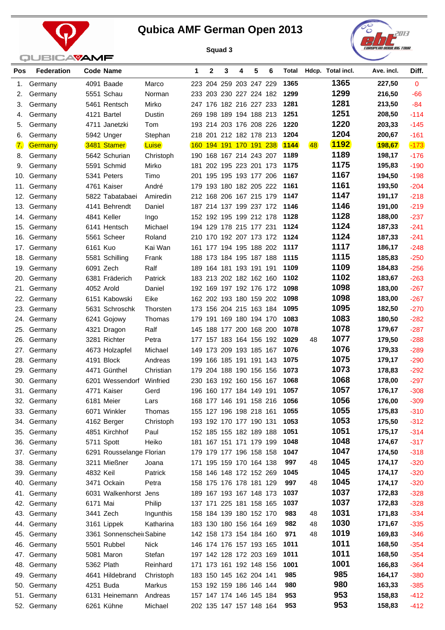

j.



| Pos | <b>Federation</b>          |           | <b>Code Name</b>          |              | 1   | 2 | 3                                              | 4 | 5 | 6 | Total        |    | Hdcp. Total incl. | Ave. incl.       | Diff.            |
|-----|----------------------------|-----------|---------------------------|--------------|-----|---|------------------------------------------------|---|---|---|--------------|----|-------------------|------------------|------------------|
| 1.  | Germany                    |           | 4091 Baade                | Marco        |     |   | 223 204 259 203 247 229                        |   |   |   | 1365         |    | 1365              | 227,50           | $\mathbf{0}$     |
| 2.  | Germany                    |           | 5551 Schau                | Norman       |     |   | 233 203 230 227 224 182                        |   |   |   | 1299         |    | 1299              | 216,50           | -66              |
| З.  | Germany                    |           | 5461 Rentsch              | Mirko        |     |   | 247 176 182 216 227 233                        |   |   |   | 1281         |    | 1281              | 213,50           | $-84$            |
| 4.  | Germany                    |           | 4121 Bartel               | Dustin       |     |   | 269 198 189 194 188 213                        |   |   |   | 1251         |    | 1251              | 208,50           | $-114$           |
| 5.  | Germany                    |           | 4711 Janetzki             | Tom          |     |   | 193 214 203 176 208 226                        |   |   |   | 1220         |    | 1220              | 203,33           | $-145$           |
| 6.  | Germany                    |           | 5942 Unger                | Stephan      |     |   | 218 201 212 182 178 213                        |   |   |   | 1204         |    | 1204              | 200,67           | $-161$           |
| 7.  | <b>Germany</b>             |           | 3481 Stamer               | Luise        |     |   | 160 194 191 170 191 238                        |   |   |   | <b>1144</b>  | 48 | <b>1192</b>       | 198,67           | $-173$           |
| 8.  | Germany                    |           | 5642 Schurian             | Christoph    |     |   | 190 168 167 214 243 207                        |   |   |   | 1189         |    | 1189              | 198,17           | $-176$           |
| 9.  | Germany                    |           | 5591 Schmid               | Mirko        |     |   | 181 202 195 223 201 173                        |   |   |   | 1175         |    | 1175              | 195,83           | $-190$           |
| 10. | Germany                    |           | 5341 Peters               | Timo         |     |   | 201 195 195 193 177 206                        |   |   |   | 1167         |    | 1167              | 194,50           | $-198$           |
|     | 11. Germany                |           | 4761 Kaiser               | André        |     |   | 179 193 180 182 205 222                        |   |   |   | 1161         |    | 1161              | 193,50           | $-204$           |
|     | 12. Germany                |           | 5822 Tabatabaei           | Amiredin     |     |   | 212 168 206 167 215 179                        |   |   |   | 1147         |    | 1147              | 191,17           | $-218$           |
|     | 13. Germany                |           | 4141 Behrendt             | Daniel       |     |   | 187 214 137 199 237 172                        |   |   |   | 1146         |    | 1146              | 191,00           | $-219$           |
|     | 14. Germany                |           | 4841 Keller               | Ingo         |     |   | 152 192 195 199 212 178                        |   |   |   | 1128         |    | 1128              | 188,00           | $-237$           |
|     | 15. Germany                |           | 6141 Hentsch              | Michael      |     |   | 194 129 178 215 177 231                        |   |   |   | 1124         |    | 1124              | 187,33           | $-241$           |
|     | 16. Germany                |           | 5561 Scheer               | Roland       |     |   | 210 170 192 207 173 172                        |   |   |   | 1124         |    | 1124              | 187,33           | $-241$           |
|     | 17. Germany                | 6161 Kuo  |                           | Kai Wan      |     |   | 161 177 194 195 188 202                        |   |   |   | 1117         |    | 1117              | 186,17           | $-248$           |
|     | 18. Germany                |           | 5581 Schilling            | Frank        |     |   | 188 173 184 195 187 188                        |   |   |   | 1115         |    | 1115              | 185,83           | $-250$           |
|     | 19. Germany                |           | 6091 Zech                 | Ralf         |     |   | 189 164 181 193 191 191                        |   |   |   | 1109         |    | 1109              | 184,83           | $-256$           |
|     | 20. Germany                |           | 6381 Fräderich            | Patrick      |     |   | 183 213 202 182 162 160                        |   |   |   | 1102         |    | 1102              | 183,67           | $-263$           |
|     | 21. Germany                |           | 4052 Arold                | Daniel       |     |   | 192 169 197 192 176 172                        |   |   |   | 1098         |    | 1098              | 183,00           | $-267$           |
|     | 22. Germany                |           | 6151 Kabowski             | Eike         |     |   | 162 202 193 180 159 202                        |   |   |   | 1098         |    | 1098              | 183,00           | $-267$           |
|     | 23. Germany                |           | 5631 Schroschk            | Thorsten     |     |   | 173 156 204 215 163 184                        |   |   |   | 1095         |    | 1095              | 182,50           | $-270$           |
| 24. | Germany                    |           | 6241 Gojowy               | Thomas       |     |   | 179 191 169 180 194 170                        |   |   |   | 1083         |    | 1083              | 180,50           | $-282$           |
|     | 25. Germany                |           | 4321 Dragon               | Ralf         |     |   | 145 188 177 200 168 200                        |   |   |   | 1078         |    | 1078              | 179,67           | $-287$           |
| 26. | Germany                    |           | 3281 Richter              | Petra        |     |   | 177 157 183 164 156 192                        |   |   |   | 1029         | 48 | 1077              | 179,50           | $-288$           |
| 27. | Germany                    |           | 4673 Holzapfel            | Michael      |     |   | 149 173 209 193 185 167                        |   |   |   | 1076         |    | 1076              | 179,33           | $-289$           |
| 28. | Germany                    |           | 4191 Block                | Andreas      |     |   | 199 166 185 191 191 143                        |   |   |   | 1075         |    | 1075              | 179,17           | $-290$           |
|     | 29. Germany                |           | 4471 Günthel              | Christian    | 179 |   | 204 188 190 156 156                            |   |   |   | 1073         |    | 1073<br>1068      | 178,83           | $-292$           |
| 30. | Germany                    |           | 6201 Wessendorf           | Winfried     | 230 |   | 163 192 160 156 167<br>196 160 177 184 149 191 |   |   |   | 1068<br>1057 |    | 1057              | 178,00<br>176,17 | $-297$<br>$-308$ |
|     | 31. Germany                |           | 4771 Kaiser<br>6181 Meier | Gerd<br>Lars |     |   | 168 177 146 191 158 216                        |   |   |   | 1056         |    | 1056              | 176,00           | $-309$           |
|     | 32. Germany<br>33. Germany |           | 6071 Winkler              | Thomas       |     |   | 155 127 196 198 218 161                        |   |   |   | 1055         |    | 1055              | 175,83           | $-310$           |
|     | 34. Germany                |           | 4162 Berger               | Christoph    |     |   | 193 192 170 177 190 131                        |   |   |   | 1053         |    | 1053              | 175,50           | $-312$           |
| 35. | Germany                    |           | 4851 Kirchhof             | Paul         |     |   | 152 185 155 182 189 188                        |   |   |   | 1051         |    | 1051              | 175,17           | $-314$           |
| 36. | Germany                    |           | 5711 Spott                | Heiko        |     |   | 181 167 151 171 179 199                        |   |   |   | 1048         |    | 1048              | 174,67           | $-317$           |
| 37. | Germany                    |           | 6291 Rousselange Florian  |              |     |   | 179 179 177 196 158 158                        |   |   |   | 1047         |    | 1047              | 174,50           | $-318$           |
|     | 38. Germany                |           | 3211 Mießner              | Joana        |     |   | 171 195 159 170 164 138                        |   |   |   | 997          | 48 | 1045              | 174,17           | $-320$           |
|     | 39. Germany                | 4832 Keil |                           | Patrick      |     |   | 158 146 148 172 152 269                        |   |   |   | 1045         |    | 1045              | 174,17           | $-320$           |
|     | 40. Germany                |           | 3471 Ockain               | Petra        |     |   | 158 175 176 178 181 129                        |   |   |   | 997          | 48 | 1045              | 174,17           | $-320$           |
|     | 41. Germany                |           | 6031 Walkenhorst Jens     |              |     |   | 189 167 193 167 148 173                        |   |   |   | 1037         |    | 1037              | 172,83           | $-328$           |
| 42. | Germany                    | 6171 Mai  |                           | Philip       |     |   | 137 171 225 181 158 165                        |   |   |   | 1037         |    | 1037              | 172,83           | $-328$           |
|     | 43. Germany                |           | 3441 Zech                 | Ingunthis    |     |   | 158 184 139 180 152 170                        |   |   |   | 983          | 48 | 1031              | 171,83           | $-334$           |
|     | 44. Germany                |           | 3161 Lippek               | Katharina    |     |   | 183 130 180 156 164 169                        |   |   |   | 982          | 48 | 1030              | 171,67           | $-335$           |
| 45. | Germany                    |           | 3361 Sonnenscheil Sabine  |              |     |   | 142 158 173 154 184 160                        |   |   |   | 971          | 48 | 1019              | 169,83           | $-346$           |
|     | 46. Germany                |           | 5501 Rubbel               | <b>Nick</b>  |     |   | 146 174 176 157 193 165                        |   |   |   | 1011         |    | 1011              | 168,50           | $-354$           |
|     | 47. Germany                |           | 5081 Maron                | Stefan       |     |   | 197 142 128 172 203 169                        |   |   |   | 1011         |    | 1011              | 168,50           | $-354$           |
|     | 48. Germany                |           | 5362 Plath                | Reinhard     |     |   | 171 173 161 192 148 156                        |   |   |   | 1001         |    | 1001              | 166,83           | $-364$           |
| 49. | Germany                    |           | 4641 Hildebrand           | Christoph    |     |   | 183 150 145 162 204 141                        |   |   |   | 985          |    | 985               | 164,17           | $-380$           |
|     | 50. Germany                |           | 4251 Buda                 | Markus       |     |   | 153 192 159 186 146 144                        |   |   |   | 980          |    | 980               | 163,33           | $-385$           |
| 51. | Germany                    |           | 6131 Heinemann            | Andreas      |     |   | 157 147 174 146 145 184                        |   |   |   | 953          |    | 953               | 158,83           | $-412$           |
|     | 52. Germany                |           | 6261 Kühne                | Michael      |     |   | 202 135 147 157 148 164                        |   |   |   | 953          |    | 953               | 158,83           | $-412$           |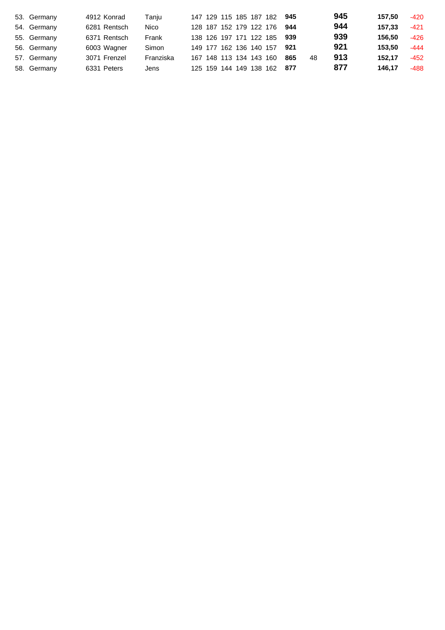| 53. Germany | 4912 Konrad  | Tanju     |                         |  | 147 129 115 185 187 182     | 945   |    | 945 | 157.50 | $-420$ |
|-------------|--------------|-----------|-------------------------|--|-----------------------------|-------|----|-----|--------|--------|
| 54. Germany | 6281 Rentsch | Nico      |                         |  | 128 187 152 179 122 176     | 944   |    | 944 | 157.33 | $-421$ |
| 55. Germany | 6371 Rentsch | Frank     |                         |  | 138 126 197 171 122 185 939 |       |    | 939 | 156.50 | -426   |
| 56. Germany | 6003 Wagner  | Simon     | 149 177 162 136 140 157 |  |                             | - 921 |    | 921 | 153.50 | $-444$ |
| 57. Germany | 3071 Frenzel | Franziska | 167 148 113 134 143 160 |  |                             | 865   | 48 | 913 | 152.17 | $-452$ |
| 58. Germany | 6331 Peters  | Jens      |                         |  | 125 159 144 149 138 162 877 |       |    | 877 | 146.17 | -488   |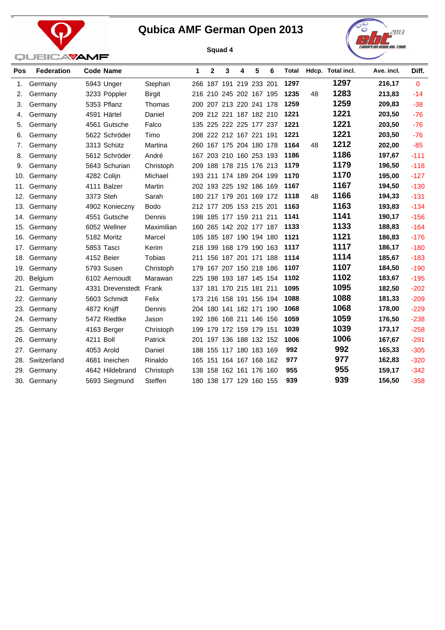



| Pos | <b>Federation</b> | <b>Code Name</b>       |                | 1   | $\mathbf{2}$ | 3 | 4                       | 5 | 6 | Total |    | Hdcp. Total incl. | Ave. incl. | Diff.    |
|-----|-------------------|------------------------|----------------|-----|--------------|---|-------------------------|---|---|-------|----|-------------------|------------|----------|
| 1.  | Germany           | 5943 Unger             | Stephan        |     |              |   | 266 187 191 219 233 201 |   |   | 1297  |    | 1297              | 216,17     | $\Omega$ |
| 2.  | Germany           | 3233 Pöppler           | <b>Birgit</b>  |     |              |   | 216 210 245 202 167 195 |   |   | 1235  | 48 | 1283              | 213,83     | $-14$    |
| 3.  | Germany           | 5353 Pflanz            | Thomas         |     |              |   | 200 207 213 220 241 178 |   |   | 1259  |    | 1259              | 209,83     | $-38$    |
| 4.  | Germany           | 4591 Härtel            | Daniel         |     |              |   | 209 212 221 187 182 210 |   |   | 1221  |    | 1221              | 203,50     | $-76$    |
| 5.  | Germany           | 4561 Gutsche           | Falco          |     |              |   | 135 225 222 225 177 237 |   |   | 1221  |    | 1221              | 203,50     | $-76$    |
| 6.  | Germany           | 5622 Schröder          | Timo           |     |              |   | 208 222 212 167 221 191 |   |   | 1221  |    | 1221              | 203,50     | $-76$    |
| 7.  | Germany           | 3313 Schütz            | Martina        |     |              |   | 260 167 175 204 180 178 |   |   | 1164  | 48 | 1212              | 202,00     | $-85$    |
| 8.  | Germany           | 5612 Schröder          | André          | 167 |              |   | 203 210 160 253 193     |   |   | 1186  |    | 1186              | 197,67     | $-111$   |
| 9.  | Germany           | 5643 Schurian          | Christoph      |     |              |   | 209 188 178 215 176 213 |   |   | 1179  |    | 1179              | 196,50     | $-118$   |
| 10. | Germany           | 4282 Colijn            | Michael        |     |              |   | 193 211 174 189 204 199 |   |   | 1170  |    | 1170              | 195,00     | $-127$   |
| 11. | Germany           | 4111 Balzer            | Martin         |     |              |   | 202 193 225 192 186 169 |   |   | 1167  |    | 1167              | 194,50     | $-130$   |
| 12. | Germany           | 3373 Steh              | Sarah          |     |              |   | 180 217 179 201 169 172 |   |   | 1118  | 48 | 1166              | 194,33     | $-131$   |
| 13. | Germany           | 4902 Konieczny         | <b>Bodo</b>    |     |              |   | 212 177 205 153 215 201 |   |   | 1163  |    | 1163              | 193,83     | $-134$   |
| 14. | Germany           | 4551 Gutsche           | Dennis         |     |              |   | 198 185 177 159 211 211 |   |   | 1141  |    | 1141              | 190,17     | $-156$   |
|     | 15. Germany       | 6052 Wellner           | Maximilian     |     |              |   | 160 265 142 202 177 187 |   |   | 1133  |    | 1133              | 188,83     | $-164$   |
| 16. | Germany           | 5182 Moritz            | Marcel         |     |              |   | 185 185 187 190 194 180 |   |   | 1121  |    | 1121              | 186,83     | $-176$   |
| 17. | Germany           | 5853 Tasci             | Kerim          |     |              |   | 218 199 168 179 190 163 |   |   | 1117  |    | 1117              | 186,17     | $-180$   |
| 18. | Germany           | 4152 Beier             | Tobias         |     |              |   | 211 156 187 201 171 188 |   |   | 1114  |    | 1114              | 185,67     | $-183$   |
| 19. | Germany           | 5793 Susen             | Christoph      | 179 |              |   | 167 207 150 218 186     |   |   | 1107  |    | 1107              | 184,50     | $-190$   |
| 20. | Belgium           | 6102 Aernoudt          | Marawan        |     |              |   | 225 198 193 187 145 154 |   |   | 1102  |    | 1102              | 183,67     | $-195$   |
| 21. | Germany           | 4331 Drevenstedt Frank |                |     |              |   | 137 181 170 215 181 211 |   |   | 1095  |    | 1095              | 182,50     | $-202$   |
| 22. | Germany           | 5603 Schmidt           | Felix          |     |              |   | 173 216 158 191 156 194 |   |   | 1088  |    | 1088              | 181,33     | $-209$   |
| 23. | Germany           | 4872 Knijff            | Dennis         |     |              |   | 204 180 141 182 171 190 |   |   | 1068  |    | 1068              | 178,00     | $-229$   |
| 24. | Germany           | 5472 Riedtke           | Jason          |     |              |   | 192 186 168 211 146 156 |   |   | 1059  |    | 1059              | 176,50     | $-238$   |
| 25. | Germany           | 4163 Berger            | Christoph      |     |              |   | 199 179 172 159 179 151 |   |   | 1039  |    | 1039              | 173,17     | $-258$   |
| 26. | Germany           | 4211 Boll              | Patrick        |     |              |   | 201 197 136 188 132 152 |   |   | 1006  |    | 1006              | 167,67     | $-291$   |
| 27. | Germany           | 4053 Arold             | Daniel         |     |              |   | 188 155 117 180 183 169 |   |   | 992   |    | 992               | 165,33     | $-305$   |
| 28. | Switzerland       | 4681 Ineichen          | Rinaldo        |     |              |   | 165 151 164 167 168 162 |   |   | 977   |    | 977               | 162,83     | $-320$   |
| 29. | Germany           | 4642 Hildebrand        | Christoph      | 138 |              |   | 158 162 161 176 160     |   |   | 955   |    | 955               | 159,17     | $-342$   |
|     | 30. Germany       | 5693 Siegmund          | <b>Steffen</b> |     |              |   | 180 138 177 129 160 155 |   |   | 939   |    | 939               | 156,50     | $-358$   |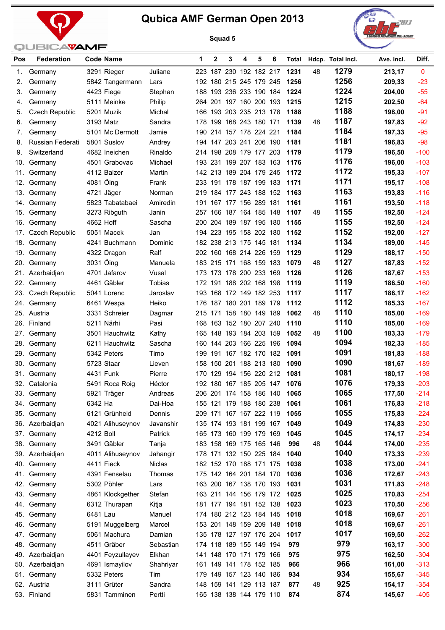





| Pos | <b>Federation</b>          | <b>Code Name</b>          |                | 1   | 2 | 3 | 4                                                  | 5 | 6 | Total        |    | Hdcp. Total incl. | Ave. incl.       | Diff.            |
|-----|----------------------------|---------------------------|----------------|-----|---|---|----------------------------------------------------|---|---|--------------|----|-------------------|------------------|------------------|
| 1.  | Germany                    | 3291 Rieger               | Juliane        |     |   |   | 223 187 230 192 182 217                            |   |   | 1231         | 48 | 1279              | 213,17           | $\mathbf{0}$     |
| 2.  | Germany                    | 5842 Tangermann           | Lars           |     |   |   | 192 180 215 245 179 245                            |   |   | 1256         |    | 1256              | 209,33           | $-23$            |
| 3.  | Germany                    | 4423 Fiege                | Stephan        |     |   |   | 188 193 236 233 190 184                            |   |   | 1224         |    | 1224              | 204,00           | $-55$            |
| 4.  | Germany                    | 5111 Meinke               | Philip         |     |   |   | 264 201 197 160 200 193                            |   |   | 1215         |    | 1215              | 202,50           | $-64$            |
| 5.  | Czech Republic             | 5201 Muzik                | Michal         |     |   |   | 166 193 203 235 213 178                            |   |   | 1188         |    | 1188              | 198,00           | $-91$            |
| 6.  | Germany                    | 3193 Matz                 | Sandra         |     |   |   | 178 199 168 243 180 171                            |   |   | 1139         | 48 | 1187              | 197,83           | $-92$            |
| 7.  | Germany                    | 5101 Mc Dermott           | Jamie          |     |   |   | 190 214 157 178 224 221                            |   |   | 1184         |    | 1184              | 197,33           | $-95$            |
| 8.  | Russian Federati           | 5801 Suslov               | Andrey         |     |   |   | 194 147 203 241 206 190                            |   |   | 1181         |    | 1181              | 196,83           | $-98$            |
| 9.  | Switzerland                | 4682 Ineichen             | Rinaldo        |     |   |   | 214 198 208 179 177 203                            |   |   | 1179         |    | 1179              | 196,50           | $-100$           |
| 10. | Germany                    | 4501 Grabovac             | Michael        |     |   |   | 193 231 199 207 183 163                            |   |   | 1176         |    | 1176              | 196,00           | $-103$           |
| 11. | Germany                    | 4112 Balzer               | Martin         |     |   |   | 142 213 189 204 179 245                            |   |   | 1172         |    | 1172              | 195,33           | $-107$           |
| 12. | Germany                    | 4081 Öing                 | Frank          |     |   |   | 233 191 178 187 199 183                            |   |   | 1171         |    | 1171              | 195,17           | $-108$           |
|     | 13. Germany                | 4721 Jäger                | Norman         |     |   |   | 219 184 177 243 188 152                            |   |   | 1163         |    | 1163              | 193,83           | $-116$           |
|     | 14. Germany                | 5823 Tabatabaei           | Amiredin       | 191 |   |   | 167 177 156 289 181                                |   |   | 1161         |    | 1161              | 193,50           | $-118$           |
|     | 15. Germany                | 3273 Ribguth              | Janin          |     |   |   | 257 166 187 164 185 148                            |   |   | 1107         | 48 | 1155              | 192,50           | $-124$           |
|     | 16. Germany                | 4662 Hoff                 | Sascha         |     |   |   | 200 204 189 187 195 180                            |   |   | 1155         |    | 1155              | 192,50           | $-124$           |
|     | 17. Czech Republic         | 5051 Macek                | Jan            |     |   |   | 194 223 195 158 202 180                            |   |   | 1152         |    | 1152              | 192,00           | $-127$           |
|     | 18. Germany                | 4241 Buchmann             | Dominic        |     |   |   | 182 238 213 175 145 181                            |   |   | 1134         |    | 1134              | 189,00           | $-145$           |
|     | 19. Germany                | 4322 Dragon               | Ralf           |     |   |   | 202 160 168 214 226 159                            |   |   | 1129         |    | 1129              | 188,17           | $-150$           |
| 20. | Germany                    | 3031 Öing                 | Manuela        |     |   |   | 183 215 171 168 159 183                            |   |   | 1079         | 48 | 1127              | 187,83           | $-152$           |
|     | 21. Azerbaidjan            | 4701 Jafarov              | Vusal          |     |   |   | 173 173 178 200 233 169                            |   |   | 1126         |    | 1126              | 187,67           | $-153$           |
| 22. | Germany                    | 4461 Gäbler               | Tobias         |     |   |   | 172 191 188 202 168 198                            |   |   | 1119         |    | 1119              | 186,50           | $-160$           |
|     | 23. Czech Republic         | 5041 Lorenc               | Jaroslav       |     |   |   | 193 168 172 149 182 253                            |   |   | 1117         |    | 1117<br>1112      | 186,17           | $-162$           |
|     | 24. Germany                | 6461 Wespa                | Heiko          |     |   |   | 176 187 180 201 189 179                            |   |   | 1112         |    | 1110              | 185,33           | $-167$           |
|     | 25. Austria                | 3331 Schreier             | Dagmar         |     |   |   | 215 171 158 180 149 189                            |   |   | 1062         | 48 | 1110              | 185,00           | $-169$           |
|     | 26. Finland                | 5211 Närhi                | Pasi           |     |   |   | 168 163 152 180 207 240                            |   |   | 1110<br>1052 |    | 1100              | 185,00           | $-169$<br>$-179$ |
| 27. | Germany                    | 3501 Hauchwitz            | Kathy          |     |   |   | 165 148 193 184 203 159                            |   |   | 1094         | 48 | 1094              | 183,33           | $-185$           |
|     | 28. Germany                | 6211 Hauchwitz            | Sascha         |     |   |   | 160 144 203 166 225 196                            |   |   | 1091         |    | 1091              | 182,33           | $-188$           |
|     | 29. Germany<br>30. Germany | 5342 Peters<br>5723 Staar | Timo<br>Lieven |     |   |   | 199 191 167 182 170 182<br>158 150 201 188 213 180 |   |   | 1090         |    | 1090              | 181,83<br>181,67 | $-189$           |
|     | 31. Germany                | 4431 Funk                 | Pierre         | 170 |   |   | 129 194 156 220 212                                |   |   | 1081         |    | 1081              | 180,17           | $-198$           |
|     | 32. Catalonia              | 5491 Roca Roig            | Héctor         |     |   |   | 192 180 167 185 205 147                            |   |   | 1076         |    | 1076              | 179,33           | $-203$           |
|     | 33. Germany                | 5921 Träger               | Andreas        |     |   |   | 206 201 174 158 186 140                            |   |   | 1065         |    | 1065              | 177,50           | $-214$           |
|     | 34. Germany                | 6342 Ha                   | Dai-Hoa        |     |   |   | 155 121 179 188 180 238                            |   |   | 1061         |    | 1061              | 176,83           | $-218$           |
|     | 35. Germany                | 6121 Grünheid             | Dennis         |     |   |   | 209 171 167 167 222 119                            |   |   | 1055         |    | 1055              | 175,83           | $-224$           |
|     | 36. Azerbaidjan            | 4021 Alihuseynov          | Javanshir      |     |   |   | 135 174 193 181 199 167                            |   |   | 1049         |    | 1049              | 174,83           | $-230$           |
| 37. | Germany                    | 4212 Boll                 | Patrick        |     |   |   | 165 173 160 199 179 169                            |   |   | 1045         |    | 1045              | 174,17           | $-234$           |
|     | 38. Germany                | 3491 Gäbler               | Tanja          |     |   |   | 183 158 169 175 165 146                            |   |   | 996          | 48 | 1044              | 174,00           | $-235$           |
|     | 39. Azerbaidjan            | 4011 Alihuseynov          | Jahangir       |     |   |   | 178 171 132 150 225 184                            |   |   | 1040         |    | 1040              | 173,33           | $-239$           |
|     | 40. Germany                | 4411 Fieck                | Niclas         |     |   |   | 182 152 170 188 171 175                            |   |   | 1038         |    | 1038              | 173,00           | $-241$           |
|     | 41. Germany                | 4391 Fenselau             | Thomas         |     |   |   | 175 142 164 201 184 170                            |   |   | 1036         |    | 1036              | 172,67           | $-243$           |
|     | 42. Germany                | 5302 Pöhler               | Lars           |     |   |   | 163 200 167 138 170 193                            |   |   | 1031         |    | 1031              | 171,83           | $-248$           |
|     | 43. Germany                | 4861 Klockgether          | Stefan         |     |   |   | 163 211 144 156 179 172                            |   |   | 1025         |    | 1025              | 170,83           | $-254$           |
|     | 44. Germany                | 6312 Thurapan             | Kitja          |     |   |   | 181 177 194 181 152 138                            |   |   | 1023         |    | 1023              | 170,50           | $-256$           |
|     | 45. Germany                | 6481 Lau                  | Manuel         |     |   |   | 174 180 212 123 184 145                            |   |   | 1018         |    | 1018              | 169,67           | $-261$           |
|     | 46. Germany                | 5191 Muggelberg           | Marcel         |     |   |   | 153 201 148 159 209 148                            |   |   | 1018         |    | 1018              | 169,67           | $-261$           |
| 47. | Germany                    | 5061 Machura              | Damian         |     |   |   | 135 178 127 197 176 204                            |   |   | 1017         |    | 1017              | 169,50           | $-262$           |
|     | 48. Germany                | 4511 Gräber               | Sebastian      |     |   |   | 174 118 189 155 149 194                            |   |   | 979          |    | 979               | 163,17           | $-300$           |
|     | 49. Azerbaidjan            | 4401 Feyzullayev          | Elkhan         |     |   |   | 141 148 170 171 179 166                            |   |   | 975          |    | 975               | 162,50           | $-304$           |
|     | 50. Azerbaidjan            | 4691 Ismayilov            | Shahriyar      |     |   |   | 161 149 141 178 152 185                            |   |   | 966          |    | 966               | 161,00           | $-313$           |
|     | 51. Germany                | 5332 Peters               | Tim            |     |   |   | 179 149 157 123 140 186                            |   |   | 934          |    | 934               | 155,67           | $-345$           |
|     | 52. Austria                | 3111 Grüter               | Sandra         |     |   |   | 148 159 141 129 113 187                            |   |   | 877          | 48 | 925               | 154,17           | $-354$           |
|     | 53. Finland                | 5831 Tamminen             | Pertti         |     |   |   | 165 138 138 144 179 110                            |   |   | 874          |    | 874               | 145,67           | $-405$           |
|     |                            |                           |                |     |   |   |                                                    |   |   |              |    |                   |                  |                  |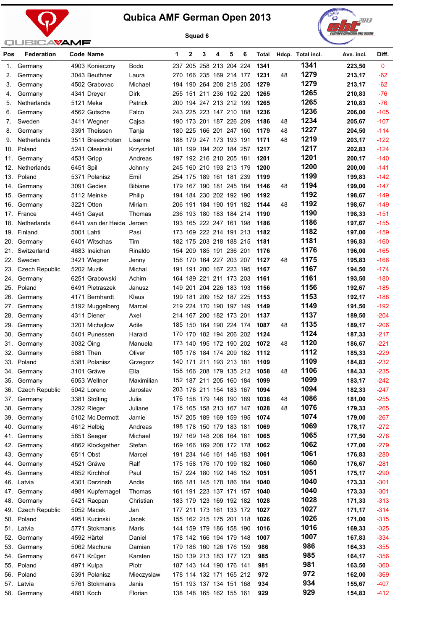



| Pos        | <b>Federation</b>     |           | <b>Code Name</b>              |                  | 1 | 2 | 3           | 4                                                  | 5 | 6 | Total        |    | Hdcp. Total incl. | Ave. incl.       | Diff.            |
|------------|-----------------------|-----------|-------------------------------|------------------|---|---|-------------|----------------------------------------------------|---|---|--------------|----|-------------------|------------------|------------------|
| 1.         | Germany               |           | 4903 Konieczny                | <b>Bodo</b>      |   |   |             | 237 205 258 213 204 224                            |   |   | 1341         |    | 1341              | 223,50           | $\mathbf{0}$     |
| 2.         | Germany               |           | 3043 Beuthner                 | Laura            |   |   |             | 270 166 235 169 214 177                            |   |   | 1231         | 48 | 1279              | 213,17           | $-62$            |
| 3.         | Germany               |           | 4502 Grabovac                 | Michael          |   |   |             | 194 190 264 208 218 205                            |   |   | 1279         |    | 1279              | 213,17           | $-62$            |
| 4.         | Germany               |           | 4341 Dreyer                   | Dirk             |   |   |             | 255 151 211 236 192 220                            |   |   | 1265         |    | 1265              | 210,83           | $-76$            |
| 5.         | <b>Netherlands</b>    |           | 5121 Meka                     | Patrick          |   |   |             | 200 194 247 213 212 199                            |   |   | 1265         |    | 1265              | 210,83           | $-76$            |
| 6.         | Germany               |           | 4562 Gutsche                  | Falco            |   |   |             | 243 225 223 147 210 188                            |   |   | 1236         |    | 1236              | 206,00           | $-105$           |
| 7.         | Sweden                |           | 3411 Wegner                   | Cajsa            |   |   |             | 190 173 201 187 226 209                            |   |   | 1186         | 48 | 1234              | 205,67           | $-107$           |
| 8.         | Germany               |           | 3391 Theissen                 | Tanja            |   |   |             | 180 225 166 201 247 160                            |   |   | 1179         | 48 | 1227              | 204,50           | $-114$           |
| 9.         | Netherlands           |           | 3511 Breeschoten              | Lisanne          |   |   |             | 188 179 247 173 193 191                            |   |   | 1171         | 48 | 1219              | 203,17           | $-122$           |
| 10.        | Poland                |           | 5241 Olesinski                | Krzysztof        |   |   |             | 181 199 194 202 184 257                            |   |   | 1217         |    | 1217              | 202,83           | $-124$           |
| 11.        | Germany               |           | 4531 Gripp                    | Andreas          |   |   |             | 197 192 216 210 205 181                            |   |   | 1201         |    | 1201              | 200,17           | $-140$           |
| 12.        | Netherlands           | 6451 Spil |                               | Johnny           |   |   |             | 245 160 210 193 213 179                            |   |   | 1200         |    | 1200              | 200,00           | $-141$           |
| 13.        | Poland                |           | 5371 Polanisz                 | Emil             |   |   |             | 254 175 189 161 181 239                            |   |   | 1199         |    | 1199              | 199,83           | $-142$           |
| 14.        | Germany               |           | 3091 Gedies                   | <b>Bibiane</b>   |   |   |             | 179 167 190 181 245 184                            |   |   | 1146         | 48 | 1194              | 199,00           | $-147$           |
| 15.        | Germany               |           | 5112 Meinke                   | Philip           |   |   |             | 194 184 230 202 192 190                            |   |   | 1192         |    | 1192              | 198,67           | $-149$           |
| 16.        | Germany               |           | 3221 Otten                    | Miriam           |   |   |             | 206 191 184 190 191 182                            |   |   | 1144         | 48 | 1192              | 198,67           | $-149$           |
|            | 17. France            |           | 4451 Gayet                    | Thomas           |   |   |             | 236 193 180 183 184 214                            |   |   | 1190         |    | 1190              | 198,33           | $-151$           |
| 18.        | Netherlands           |           | 6441 van der Heide Jeroen     |                  |   |   |             | 193 165 222 247 161 198                            |   |   | 1186         |    | 1186              | 197,67           | $-155$           |
| 19.        | Finland               |           | 5001 Lahti                    | Pasi             |   |   |             | 173 169 222 214 191 213                            |   |   | 1182         |    | 1182              | 197,00           | $-159$           |
| 20.        | Germany               |           | 6401 Witschas                 | Tim              |   |   |             | 182 175 203 218 188 215                            |   |   | 1181         |    | 1181              | 196,83           | $-160$           |
| 21.        | Switzerland           |           | 4683 Ineichen                 | Rinaldo          |   |   |             | 154 209 185 191 236 201                            |   |   | 1176         |    | 1176              | 196,00           | $-165$           |
| 22.        | Sweden                |           | 3421 Wegner                   | Jenny            |   |   |             | 156 170 164 227 203 207                            |   |   | 1127         | 48 | 1175              | 195,83           | $-166$           |
| 23.        | <b>Czech Republic</b> |           | 5202 Muzik                    | Michal           |   |   |             | 191 191 200 167 223 195                            |   |   | 1167         |    | 1167              | 194,50           | $-174$           |
| 24.        | Germany               |           | 6251 Grabowski                | Achim            |   |   |             | 164 189 221 211 173 203                            |   |   | 1161         |    | 1161              | 193,50           | $-180$           |
| 25.        | Poland                |           | 6491 Pietraszek               | Janusz           |   |   |             | 149 201 204 226 183 193                            |   |   | 1156         |    | 1156              | 192,67           | $-185$           |
| 26.        | Germany               |           | 4171 Bernhardt                | Klaus            |   |   |             | 199 181 209 152 187 225                            |   |   | 1153         |    | 1153              | 192,17           | $-188$           |
| 27.        | Germany               |           | 5192 Muggelberg               | Marcel           |   |   |             | 219 224 170 190 197 149                            |   |   | 1149         |    | 1149              | 191,50           | $-192$           |
| 28.        | Germany               |           | 4311 Diener                   | Axel             |   |   |             | 214 167 200 182 173 201                            |   |   | 1137         |    | 1137              | 189,50           | $-204$           |
| 29.        | Germany               |           | 3201 Michajlow                | Adile            |   |   |             | 185 150 164 190 224 174                            |   |   | 1087         | 48 | 1135              | 189,17           | $-206$           |
| 30.        | Germany               |           | 5401 Punessen                 | Harald           |   |   |             | 170 170 182 194 206 202                            |   |   | 1124         |    | 1124              | 187,33           | $-217$           |
| 31.        | Germany               | 3032 Öing |                               | Manuela          |   |   |             | 173 140 195 172 190 202                            |   |   | 1072         | 48 | 1120              | 186,67           | $-221$           |
| 32.        | Germany               |           | 5881 Then                     | Oliver           |   |   |             | 185 178 184 174 209 182                            |   |   | 1112         |    | 1112              | 185,33           | $-229$           |
|            | 33. Poland            |           | 5381 Polanisz                 | Grzegorz         |   |   |             | 140 171 211 193 213 181                            |   |   | 1109         |    | 1109              | 184,83           | $-232$           |
| 34.        | Germany               |           | 3101 Gräwe                    | Ella             |   |   | 158 166 208 | 179 135 212                                        |   |   | 1058         | 48 | 1106              | 184,33           | $-235$           |
|            | 35. Germany           |           | 6053 Wellner                  | Maximilian       |   |   |             | 152 187 211 205 160 184                            |   |   | 1099         |    | 1099              | 183,17           | $-242$           |
|            | 36. Czech Republic    |           | 5042 Lorenc                   | Jaroslav         |   |   |             | 203 176 211 154 183 167                            |   |   | 1094         |    | 1094              | 182,33           | -247             |
|            | 37. Germany           |           | 3381 Stolting                 | Julia            |   |   |             | 176 158 179 146 190 189                            |   |   | 1038         | 48 | 1086              | 181,00           | $-255$           |
|            | 38. Germany           |           | 3292 Rieger                   | Juliane          |   |   |             | 178 165 158 213 167 147                            |   |   | 1028         | 48 | 1076<br>1074      | 179,33           | $-265$           |
|            | 39. Germany           |           | 5102 Mc Dermott               | Jamie            |   |   |             | 157 205 189 169 159 195                            |   |   | 1074         |    | 1069              | 179,00           | $-267$           |
| 40.        | Germany               |           | 4612 Helbig                   | Andreas          |   |   |             | 198 178 150 179 183 181                            |   |   | 1069         |    | 1065              | 178,17           | $-272$           |
| 41.        | Germany<br>Germany    |           | 5651 Seeger                   | Michael          |   |   |             | 197 169 148 206 164 181<br>169 166 169 208 172 178 |   |   | 1065<br>1062 |    | 1062              | 177,50           | $-276$           |
| 42.        |                       |           | 4862 Klockgether<br>6511 Obst | Stefan<br>Marcel |   |   |             | 191 234 146 161 146 183                            |   |   | 1061         |    | 1061              | 177,00<br>176,83 | $-279$           |
| 43.<br>44. | Germany<br>Germany    |           | 4521 Gräwe                    | Ralf             |   |   |             | 175 158 176 170 199 182                            |   |   | 1060         |    | 1060              | 176,67           | $-280$<br>$-281$ |
| 45.        | Germany               |           | 4852 Kirchhof                 | Paul             |   |   |             | 157 224 180 192 146 152                            |   |   | 1051         |    | 1051              | 175,17           | $-290$           |
|            | 46. Latvia            |           | 4301 Darzinsh                 | Andis            |   |   |             | 166 181 145 178 186 184                            |   |   | 1040         |    | 1040              | 173,33           | $-301$           |
| 47.        | Germany               |           | 4981 Kupfernagel              | Thomas           |   |   |             | 161 191 223 137 171 157                            |   |   | 1040         |    | 1040              | 173,33           | $-301$           |
| 48.        | Germany               |           | 5421 Racpan                   | Christian        |   |   |             | 183 179 123 169 192 182                            |   |   | 1028         |    | 1028              | 171,33           | $-313$           |
| 49.        | Czech Republic        |           | 5052 Macek                    | Jan              |   |   |             | 177 211 173 161 133 172                            |   |   | 1027         |    | 1027              | 171,17           | -314             |
| 50.        | Poland                |           | 4951 Kucinski                 | Jacek            |   |   |             | 155 162 215 175 201 118                            |   |   | 1026         |    | 1026              | 171,00           | $-315$           |
| 51.        | Latvia                |           | 5771 Stokmanis                | Maris            |   |   |             | 144 159 179 186 158 190                            |   |   | 1016         |    | 1016              | 169,33           | $-325$           |
| 52.        | Germany               |           | 4592 Härtel                   | Daniel           |   |   |             | 178 142 166 194 179 148                            |   |   | 1007         |    | 1007              | 167,83           | $-334$           |
| 53.        | Germany               |           | 5062 Machura                  | Damian           |   |   |             | 179 186 160 126 176 159                            |   |   | 986          |    | 986               | 164,33           | $-355$           |
| 54.        | Germany               |           | 6471 Krüger                   | Karsten          |   |   |             | 150 139 213 183 177 123                            |   |   | 985          |    | 985               | 164,17           | $-356$           |
| 55.        | Poland                |           | 4971 Kulpa                    | Piotr            |   |   |             | 187 143 144 190 176 141                            |   |   | 981          |    | 981               | 163,50           | $-360$           |
|            | 56. Poland            |           | 5391 Polanisz                 | Mieczyslaw       |   |   |             | 178 114 132 171 165 212                            |   |   | 972          |    | 972               | 162,00           | $-369$           |
|            | 57. Latvia            |           | 5761 Stokmanis                | Janis            |   |   |             | 151 193 137 134 151 168                            |   |   | 934          |    | 934               | 155,67           | -407             |
|            | 58. Germany           |           | 4881 Koch                     | Florian          |   |   |             | 138 148 165 162 155 161                            |   |   | 929          |    | 929               | 154,83           | $-412$           |
|            |                       |           |                               |                  |   |   |             |                                                    |   |   |              |    |                   |                  |                  |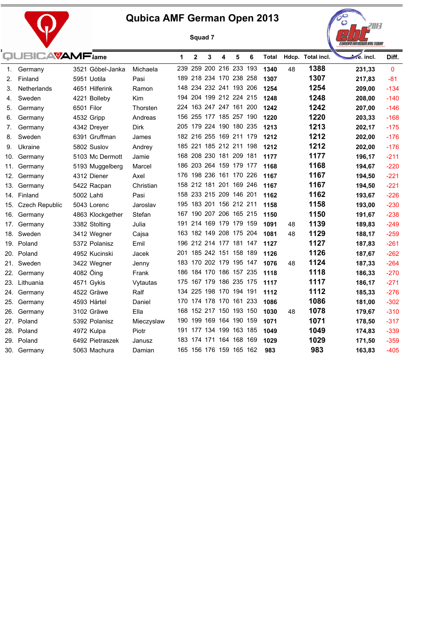



|    | QUBICAVAMF <sub>iame</sub> |            |                  |             | 1   | $\mathbf{2}$ | 3                       | 4 | 5 | 6 | Total |    | Hdcp. Total incl. | ve. incl. | Diff.        |
|----|----------------------------|------------|------------------|-------------|-----|--------------|-------------------------|---|---|---|-------|----|-------------------|-----------|--------------|
| 1. | Germany                    |            | 3521 Göbel-Janka | Michaela    |     |              | 239 259 200 216 233 193 |   |   |   | 1340  | 48 | 1388              | 231,33    | $\mathbf{0}$ |
| 2. | Finland                    |            | 5951 Uotila      | Pasi        |     |              | 189 218 234 170 238 258 |   |   |   | 1307  |    | 1307              | 217,83    | $-81$        |
| 3. | Netherlands                |            | 4651 Hilferink   | Ramon       |     |              | 148 234 232 241 193 206 |   |   |   | 1254  |    | 1254              | 209,00    | $-134$       |
| 4. | Sweden                     |            | 4221 Bolleby     | Kim         |     |              | 194 204 199 212 224 215 |   |   |   | 1248  |    | 1248              | 208,00    | $-140$       |
| 5. | Germany                    | 6501 Filor |                  | Thorsten    |     |              | 224 163 247 247 161 200 |   |   |   | 1242  |    | 1242              | 207,00    | $-146$       |
| 6. | Germany                    |            | 4532 Gripp       | Andreas     |     |              | 156 255 177 185 257 190 |   |   |   | 1220  |    | 1220              | 203,33    | $-168$       |
| 7. | Germany                    |            | 4342 Dreyer      | <b>Dirk</b> |     |              | 205 179 224 190 180 235 |   |   |   | 1213  |    | 1213              | 202,17    | $-175$       |
| 8. | Sweden                     |            | 6391 Gruffman    | James       |     |              | 182 216 255 169 211 179 |   |   |   | 1212  |    | 1212              | 202,00    | $-176$       |
| 9. | Ukraine                    |            | 5802 Suslov      | Andrey      |     |              | 185 221 185 212 211 198 |   |   |   | 1212  |    | 1212              | 202,00    | $-176$       |
|    | 10. Germany                |            | 5103 Mc Dermott  | Jamie       |     |              | 168 208 230 181 209 181 |   |   |   | 1177  |    | 1177              | 196,17    | $-211$       |
|    | 11. Germany                |            | 5193 Muggelberg  | Marcel      |     |              | 186 203 264 159 179 177 |   |   |   | 1168  |    | 1168              | 194,67    | $-220$       |
|    | 12. Germany                |            | 4312 Diener      | Axel        |     |              | 176 198 236 161 170 226 |   |   |   | 1167  |    | 1167              | 194,50    | $-221$       |
|    | 13. Germany                |            | 5422 Racpan      | Christian   |     |              | 158 212 181 201 169 246 |   |   |   | 1167  |    | 1167              | 194,50    | $-221$       |
|    | 14. Finland                | 5002 Lahti |                  | Pasi        |     |              | 158 233 215 209 146 201 |   |   |   | 1162  |    | 1162              | 193,67    | $-226$       |
|    | 15. Czech Republic         |            | 5043 Lorenc      | Jaroslav    |     |              | 195 183 201 156 212 211 |   |   |   | 1158  |    | 1158              | 193,00    | $-230$       |
|    | 16. Germany                |            | 4863 Klockgether | Stefan      |     |              | 167 190 207 206 165 215 |   |   |   | 1150  |    | 1150              | 191,67    | $-238$       |
|    | 17. Germany                |            | 3382 Stolting    | Julia       | 191 |              | 214 169 179 179 159     |   |   |   | 1091  | 48 | 1139              | 189,83    | $-249$       |
|    | 18. Sweden                 |            | 3412 Wegner      | Cajsa       |     |              | 163 182 149 208 175 204 |   |   |   | 1081  | 48 | 1129              | 188,17    | $-259$       |
|    | 19. Poland                 |            | 5372 Polanisz    | Emil        |     |              | 196 212 214 177 181 147 |   |   |   | 1127  |    | 1127              | 187,83    | $-261$       |
|    | 20. Poland                 |            | 4952 Kucinski    | Jacek       |     |              | 201 185 242 151 158 189 |   |   |   | 1126  |    | 1126              | 187,67    | $-262$       |
|    | 21. Sweden                 |            | 3422 Wegner      | Jenny       |     |              | 183 170 202 179 195 147 |   |   |   | 1076  | 48 | 1124              | 187,33    | $-264$       |
|    | 22. Germany                | 4082 Öing  |                  | Frank       |     |              | 186 184 170 186 157 235 |   |   |   | 1118  |    | 1118              | 186,33    | $-270$       |
|    | 23. Lithuania              |            | 4571 Gykis       | Vytautas    |     |              | 175 167 179 186 235 175 |   |   |   | 1117  |    | 1117              | 186,17    | $-271$       |
|    | 24. Germany                |            | 4522 Gräwe       | Ralf        |     |              | 134 225 198 170 194 191 |   |   |   | 1112  |    | 1112              | 185,33    | $-276$       |
|    | 25. Germany                |            | 4593 Härtel      | Daniel      |     |              | 170 174 178 170 161 233 |   |   |   | 1086  |    | 1086              | 181,00    | $-302$       |
|    | 26. Germany                |            | 3102 Gräwe       | Ella        |     |              | 168 152 217 150 193 150 |   |   |   | 1030  | 48 | 1078              | 179,67    | $-310$       |
|    | 27. Poland                 |            | 5392 Polanisz    | Mieczyslaw  |     |              | 190 199 169 164 190 159 |   |   |   | 1071  |    | 1071              | 178,50    | $-317$       |
|    | 28. Poland                 |            | 4972 Kulpa       | Piotr       |     |              | 191 177 134 199 163 185 |   |   |   | 1049  |    | 1049              | 174,83    | $-339$       |
|    | 29. Poland                 |            | 6492 Pietraszek  | Janusz      |     |              | 183 174 171 164 168 169 |   |   |   | 1029  |    | 1029              | 171,50    | $-359$       |
|    | 30. Germany                |            | 5063 Machura     | Damian      |     |              | 165 156 176 159 165 162 |   |   |   | 983   |    | 983               | 163,83    | $-405$       |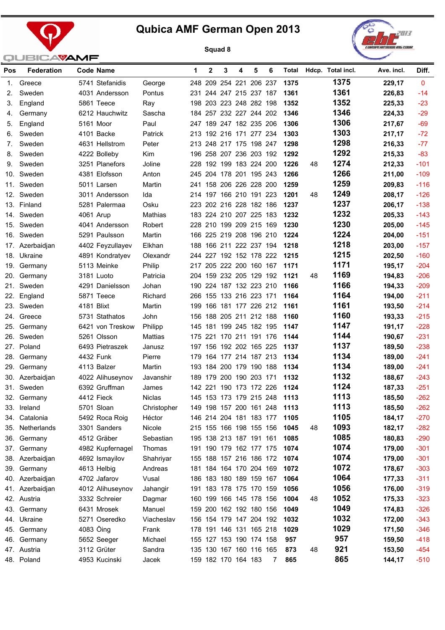



| Pos | <b>Federation</b> |            | <b>Code Name</b> |             | 1   | $\mathbf{2}$ | 3 | 4                       | 5 | 6 |                              |    | Total Hdcp. Total incl. | Ave. incl. | Diff.        |
|-----|-------------------|------------|------------------|-------------|-----|--------------|---|-------------------------|---|---|------------------------------|----|-------------------------|------------|--------------|
| 1.  | Greece            |            | 5741 Stefanidis  | George      |     |              |   | 248 209 254 221 206 237 |   |   | 1375                         |    | 1375                    | 229,17     | $\mathbf{0}$ |
| 2.  | Sweden            |            | 4031 Andersson   | Pontus      |     |              |   | 231 244 247 215 237 187 |   |   | 1361                         |    | 1361                    | 226,83     | $-14$        |
| З.  | England           |            | 5861 Teece       | Ray         |     |              |   | 198 203 223 248 282 198 |   |   | 1352                         |    | 1352                    | 225,33     | $-23$        |
| 4.  | Germany           |            | 6212 Hauchwitz   | Sascha      |     |              |   | 184 257 232 227 244 202 |   |   | 1346                         |    | 1346                    | 224,33     | $-29$        |
| 5.  | England           |            | 5161 Moor        | Paul        |     |              |   | 247 189 247 182 235 206 |   |   | 1306                         |    | 1306                    | 217,67     | $-69$        |
| 6.  | Sweden            |            | 4101 Backe       | Patrick     |     |              |   | 213 192 216 171 277 234 |   |   | 1303                         |    | 1303                    | 217,17     | $-72$        |
| 7.  | Sweden            |            | 4631 Hellstrom   | Peter       |     |              |   | 213 248 217 175 198 247 |   |   | 1298                         |    | 1298                    | 216,33     | $-77$        |
| 8.  | Sweden            |            | 4222 Bolleby     | Kim         |     |              |   | 196 258 207 236 203 192 |   |   | 1292                         |    | 1292                    | 215,33     | $-83$        |
| 9.  | Sweden            |            | 3251 Planefors   | Joline      |     |              |   | 228 192 199 183 224 200 |   |   | 1226                         | 48 | 1274                    | 212,33     | $-101$       |
| 10. | Sweden            |            | 4381 Elofsson    | Anton       |     |              |   | 245 204 178 201 195 243 |   |   | 1266                         |    | 1266                    | 211,00     | $-109$       |
| 11. | Sweden            |            | 5011 Larsen      | Martin      | 241 |              |   | 158 206 226 228 200     |   |   | 1259                         |    | 1259                    | 209,83     | $-116$       |
|     | 12. Sweden        |            | 3011 Andersson   | Ida         |     |              |   | 214 197 166 210 191 223 |   |   | 1201                         | 48 | 1249                    | 208,17     | $-126$       |
| 13. | Finland           |            | 5281 Palermaa    | Osku        |     |              |   | 223 202 216 228 182 186 |   |   | 1237                         |    | 1237                    | 206,17     | $-138$       |
|     | 14. Sweden        |            | 4061 Arup        | Mathias     |     |              |   | 183 224 210 207 225 183 |   |   | 1232                         |    | 1232                    | 205,33     | $-143$       |
| 15. | Sweden            |            | 4041 Andersson   | Robert      |     |              |   | 228 210 199 209 215 169 |   |   | 1230                         |    | 1230                    | 205,00     | $-145$       |
|     | 16. Sweden        |            | 5291 Paulsson    | Martin      |     |              |   | 166 225 219 208 196 210 |   |   | 1224                         |    | 1224                    | 204,00     | $-151$       |
| 17. | Azerbaidjan       |            | 4402 Feyzullayev | Elkhan      |     |              |   | 188 166 211 222 237 194 |   |   | 1218                         |    | 1218                    | 203,00     | $-157$       |
|     | 18. Ukraine       |            | 4891 Kondratyev  | Olexandr    |     |              |   | 244 227 192 152 178 222 |   |   | 1215                         |    | 1215                    | 202,50     | $-160$       |
|     | 19. Germany       |            | 5113 Meinke      | Philip      |     |              |   | 217 205 222 200 160 167 |   |   | 1171                         |    | 1171                    | 195,17     | $-204$       |
|     | 20. Germany       |            | 3181 Luoto       | Patricia    |     |              |   | 204 159 232 205 129 192 |   |   | 1121                         | 48 | 1169                    | 194,83     | $-206$       |
| 21. | Sweden            |            | 4291 Danielsson  | Johan       |     |              |   | 190 224 187 132 223 210 |   |   | 1166                         |    | 1166                    | 194,33     | $-209$       |
|     | 22. England       |            | 5871 Teece       | Richard     |     |              |   | 266 155 133 216 223 171 |   |   | 1164                         |    | 1164                    | 194,00     | $-211$       |
| 23. | Sweden            | 4181 Blixt |                  | Martin      |     |              |   | 199 166 181 177 226 212 |   |   | 1161                         |    | 1161                    | 193,50     | $-214$       |
|     | 24. Greece        |            | 5731 Stathatos   | John        |     |              |   | 156 188 205 211 212 188 |   |   | 1160                         |    | 1160                    | 193,33     | $-215$       |
| 25. | Germany           |            | 6421 von Treskow | Philipp     |     |              |   | 145 181 199 245 182 195 |   |   | 1147                         |    | 1147                    | 191,17     | $-228$       |
|     | 26. Sweden        |            | 5261 Olsson      | Mattias     |     |              |   | 175 221 170 211 191 176 |   |   | 1144                         |    | 1144                    | 190,67     | $-231$       |
|     | 27. Poland        |            | 6493 Pietraszek  | Janusz      |     |              |   | 197 156 192 202 165 225 |   |   | 1137                         |    | 1137                    | 189,50     | $-238$       |
| 28. | Germany           |            | 4432 Funk        | Pierre      |     |              |   | 179 164 177 214 187 213 |   |   | 1134                         |    | 1134                    | 189,00     | $-241$       |
|     | 29. Germany       |            | 4113 Balzer      | Martin      |     |              |   | 193 184 200 179 190 188 |   |   | 1134                         |    | 1134                    | 189,00     | $-241$       |
|     | 30. Azerbaidjan   |            | 4022 Alihuseynov | Javanshir   |     |              |   | 189 179 200 190 203 171 |   |   | 1132                         |    | 1132                    | 188,67     | $-243$       |
|     | 31. Sweden        |            | 6392 Gruffman    | James       |     |              |   | 142 221 190 173 172 226 |   |   | 1124                         |    | 1124                    | 187,33     | $-251$       |
|     | 32. Germany       |            | 4412 Fieck       | Niclas      |     |              |   |                         |   |   | 145 153 173 179 215 248 1113 |    | 1113                    | 185,50     | $-262$       |
|     | 33. Ireland       |            | 5701 Sloan       | Christopher |     |              |   |                         |   |   | 149 198 157 200 161 248 1113 |    | 1113                    | 185,50     | $-262$       |
|     | 34. Catalonia     |            | 5492 Roca Roig   | Héctor      |     |              |   | 146 214 204 181 183 177 |   |   | 1105                         |    | 1105                    | 184,17     | $-270$       |
|     | 35. Netherlands   |            | 3301 Sanders     | Nicole      |     |              |   | 215 155 166 198 155 156 |   |   | 1045                         | 48 | 1093                    | 182,17     | $-282$       |
|     | 36. Germany       |            | 4512 Gräber      | Sebastian   |     |              |   | 195 138 213 187 191 161 |   |   | 1085                         |    | 1085                    | 180,83     | $-290$       |
|     | 37. Germany       |            | 4982 Kupfernagel | Thomas      |     |              |   | 191 190 179 162 177 175 |   |   | 1074                         |    | 1074                    | 179,00     | $-301$       |
|     | 38. Azerbaidjan   |            | 4692 Ismayilov   | Shahriyar   |     |              |   | 155 188 157 216 186 172 |   |   | 1074                         |    | 1074                    | 179,00     | $-301$       |
|     | 39. Germany       |            | 4613 Helbig      | Andreas     |     |              |   | 181 184 164 170 204 169 |   |   | 1072                         |    | 1072                    | 178,67     | $-303$       |
|     | 40. Azerbaidjan   |            | 4702 Jafarov     | Vusal       |     |              |   | 186 183 180 189 159 167 |   |   | 1064                         |    | 1064                    | 177,33     | $-311$       |
|     | 41. Azerbaidjan   |            | 4012 Alihuseynov | Jahangir    |     |              |   | 191 183 178 175 170 159 |   |   | 1056                         |    | 1056                    | 176,00     | $-319$       |
|     | 42. Austria       |            | 3332 Schreier    | Dagmar      |     |              |   | 160 199 166 145 178 156 |   |   | 1004                         | 48 | 1052                    | 175,33     | $-323$       |
|     | 43. Germany       |            | 6431 Mrosek      | Manuel      |     |              |   | 159 200 162 192 180 156 |   |   | 1049                         |    | 1049                    | 174,83     | $-326$       |
|     | 44. Ukraine       |            | 5271 Oseredko    | Viacheslav  |     |              |   | 156 154 179 147 204 192 |   |   | 1032                         |    | 1032                    | 172,00     | $-343$       |
|     | 45. Germany       |            | 4083 Öing        | Frank       |     |              |   | 178 191 146 131 165 218 |   |   | 1029                         |    | 1029                    | 171,50     | $-346$       |
|     | 46. Germany       |            | 5652 Seeger      | Michael     |     |              |   | 155 127 153 190 174 158 |   |   | 957                          |    | 957                     | 159,50     | $-418$       |
|     | 47. Austria       |            | 3112 Grüter      | Sandra      |     |              |   | 135 130 167 160 116 165 |   |   | 873                          | 48 | 921                     | 153,50     | $-454$       |
|     | 48. Poland        |            | 4953 Kucinski    | Jacek       |     |              |   | 159 182 170 164 183     |   | 7 | 865                          |    | 865                     | 144,17     | $-510$       |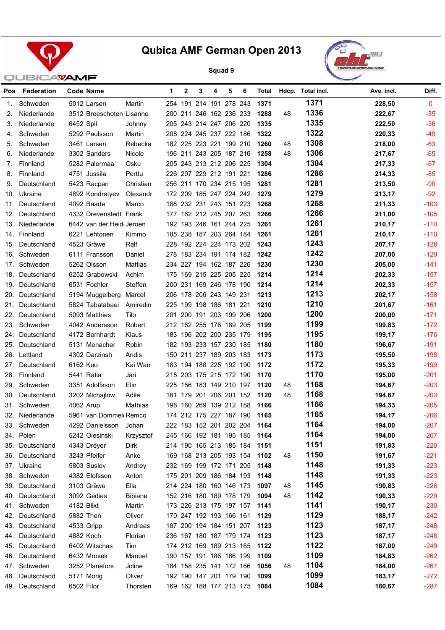



| <b>Pos</b> | Federation      |            | Code Name                |                | 1   | $\mathbf{2}$ | 3                       | 4 | 5 | 6 | Total                        |    | Hdcp. Total incl. | Ave. incl. | Diff.        |
|------------|-----------------|------------|--------------------------|----------------|-----|--------------|-------------------------|---|---|---|------------------------------|----|-------------------|------------|--------------|
| 1.         | Schweden        |            | 5012 Larsen              | Martin         |     |              | 254 191 214 191 278 243 |   |   |   | 1371                         |    | 1371              | 228,50     | $\mathbf{0}$ |
| 2.         | Niederlande     |            | 3512 Breeschoten Lisanne |                |     |              | 200 211 246 162 236 233 |   |   |   | 1288                         | 48 | 1336              | 222,67     | $-35$        |
| 3.         | Niederlande     | 6452 Spil  |                          | Johnny         |     |              | 205 243 214 247 206 220 |   |   |   | 1335                         |    | 1335              | 222,50     | $-36$        |
| 4.         | Schweden        |            | 5292 Paulsson            | Martin         |     |              | 208 224 245 237 222 186 |   |   |   | 1322                         |    | 1322              | 220,33     | $-49$        |
| 5.         | Schweden        |            | 3461 Larsen              | Rebecka        |     |              | 182 225 223 221 199 210 |   |   |   | 1260                         | 48 | 1308              | 218,00     | $-63$        |
| 6.         | Niederlande     |            | 3302 Sanders             | Nicole         |     |              | 196 211 243 205 187 216 |   |   |   | 1258                         | 48 | 1306              | 217,67     | $-65$        |
| 7.         | Finnland        |            | 5282 Palermaa            | Osku           |     |              | 205 243 213 212 206 225 |   |   |   | 1304                         |    | 1304              | 217,33     | $-67$        |
| 8.         | Finnland        |            | 4751 Jussila             | Perttu         |     |              | 226 207 229 212 191 221 |   |   |   | 1286                         |    | 1286              | 214,33     | $-85$        |
| 9.         | Deutschland     |            | 5423 Racpan              | Christian      |     |              | 256 211 170 234 215 195 |   |   |   | 1281                         |    | 1281              | 213,50     | $-90$        |
| 10.        | Ukraine         |            | 4892 Kondratyev          | Olexandr       |     |              | 172 209 185 247 224 242 |   |   |   | 1279                         |    | 1279              | 213,17     | $-92$        |
| 11.        | Deutschland     |            | 4092 Baade               | Marco          |     |              | 188 232 231 243 151 223 |   |   |   | 1268                         |    | 1268              | 211,33     | $-103$       |
| 12.        | Deutschland     |            | 4332 Drevenstedt Frank   |                |     |              | 177 162 212 245 207 263 |   |   |   | 1266                         |    | 1266              | 211,00     | $-105$       |
| 13.        | Niederlande     |            | 6442 van der Heid Jeroen |                |     |              | 192 193 246 161 244 225 |   |   |   | 1261                         |    | 1261              | 210,17     | $-110$       |
| 14.        | Finnland        |            | 6221 Lehtonen            | Kimmo          |     |              | 185 238 187 203 264 184 |   |   |   | 1261                         |    | 1261              | 210,17     | $-110$       |
| 15.        | Deutschland     |            | 4523 Gräwe               | Ralf           |     |              | 228 192 224 224 173 202 |   |   |   | 1243                         |    | 1243              | 207,17     | $-128$       |
| 16.        | Schweden        |            | 6111 Fransson            | Daniel         |     |              | 278 183 234 191 174 182 |   |   |   | 1242                         |    | 1242              | 207,00     | $-129$       |
| 17.        | Schweden        |            | 5262 Olsson              | Mattias        |     |              | 234 227 194 162 187 226 |   |   |   | 1230                         |    | 1230              | 205,00     | $-141$       |
| 18.        | Deutschland     |            | 6252 Grabowski           | Achim          | 175 |              | 169 215 225 205 225     |   |   |   | 1214                         |    | 1214              | 202,33     | $-157$       |
| 19.        | Deutschland     |            | 6531 Fochler             | Steffen        |     |              | 200 231 169 246 178 190 |   |   |   | 1214                         |    | 1214              | 202,33     | $-157$       |
| 20.        | Deutschland     |            | 5194 Muggelberg          | Marcel         |     |              | 206 178 206 243 149 231 |   |   |   | 1213                         |    | 1213              | 202,17     | $-158$       |
| 21.        | Deutschland     |            | 5824 Tabatabaei          | Amiredin       |     |              | 225 199 198 186 181 221 |   |   |   | 1210                         |    | 1210              | 201,67     | $-161$       |
| 22.        | Deutschland     |            | 5093 Matthies            | Tilo           |     |              | 201 200 191 203 199 206 |   |   |   | 1200                         |    | 1200              | 200,00     | $-171$       |
|            | 23. Schweden    |            | 4042 Andersson           | Robert         |     |              | 212 162 255 176 189 205 |   |   |   | 1199                         |    | 1199              | 199,83     | $-172$       |
| 24.        | Deutschland     |            | 4172 Bernhardt           | Klaus          |     |              | 183 196 202 200 235 179 |   |   |   | 1195                         |    | 1195              | 199,17     | $-176$       |
| 25.        | Deutschland     |            | 5131 Menacher            | Robin          |     |              | 182 193 233 157 230 185 |   |   |   | 1180                         |    | 1180              | 196,67     | $-191$       |
|            | 26. Lettland    |            | 4302 Darzinsh            | Andis          |     |              | 150 211 237 189 203 183 |   |   |   | 1173                         |    | 1173              | 195,50     | $-198$       |
| 27.        | Deutschland     | 6162 Kuo   |                          | Kai Wan        |     |              | 183 194 188 225 192 190 |   |   |   | 1172                         |    | 1172              | 195,33     | $-199$       |
|            | 28. Finnland    |            | 5441 Ratia               | Jari           |     |              | 215 203 175 215 172 190 |   |   |   | 1170                         |    | 1170              | 195,00     | $-201$       |
|            | 29. Schweden    |            | 3351 Adolfsson           | Elin           |     |              | 225 156 183 149 210 197 |   |   |   | 1120                         | 48 | 1168              | 194,67     | $-203$       |
| 30.        | Deutschland     |            | 3202 Michajlow           | Adile          |     |              | 181 179 201 206 201 152 |   |   |   | 1120                         | 48 | 1168              | 194,67     | $-203$       |
|            | 31. Schweden    | 4062 Arup  |                          | Mathias        |     |              | 198 160 269 139 212 188 |   |   |   | 1166                         |    | 1166              | 194,33     | $-205$       |
|            | 32. Niederlande |            | 5961 van Dommel Remco    |                |     |              |                         |   |   |   | 174 212 175 227 187 190 1165 |    | 1165              | 194,17     | $-206$       |
|            | 33. Schweden    |            | 4292 Danielsson          | Johan          |     |              |                         |   |   |   | 222 183 152 201 202 204 1164 |    | 1164              | 194,00     | $-207$       |
|            | 34. Polen       |            | 5242 Olesinski           | Krzysztof      |     |              | 245 166 192 181 195 185 |   |   |   | 1164                         |    | 1164              | 194,00     | $-207$       |
| 35.        | Deutschland     |            | 4343 Dreyer              | Dirk           |     |              | 214 190 165 213 185 184 |   |   |   | 1151                         |    | 1151              | 191,83     | $-220$       |
| 36.        | Deutschland     |            | 3243 Pfeifer             | Anke           |     |              |                         |   |   |   | 169 168 213 205 193 154 1102 | 48 | 1150              | 191,67     | $-221$       |
| 37.        | Ukraine         |            | 5803 Suslov              | Andrey         |     |              | 232 169 199 172 171 205 |   |   |   | 1148                         |    | 1148              | 191,33     | $-223$       |
|            | 38. Schweden    |            | 4382 Elofsson            | Anton          |     |              | 175 201 209 186 184 193 |   |   |   | 1148                         |    | 1148              | 191,33     | $-223$       |
| 39.        | Deutschland     |            | 3103 Gräwe               | Ella           |     |              | 214 224 180 160 146 173 |   |   |   | 1097                         | 48 | 1145              | 190,83     | $-226$       |
| 40.        | Deutschland     |            | 3092 Gedies              | <b>Bibiane</b> |     |              | 152 216 180 189 178 179 |   |   |   | 1094                         | 48 | 1142              | 190,33     | $-229$       |
| 41.        | Schweden        | 4182 Blixt |                          | Martin         |     |              | 173 226 213 175 197 157 |   |   |   | 1141                         |    | 1141              | 190,17     | $-230$       |
| 42.        | Deutschland     |            | 5882 Then                | Oliver         |     |              | 170 247 192 193 166 161 |   |   |   | 1129                         |    | 1129              | 188,17     | $-242$       |
| 43.        | Deutschland     |            | 4533 Gripp               | Andreas        |     |              | 187 200 194 184 151 207 |   |   |   | 1123                         |    | 1123              | 187,17     | $-248$       |
| 44.        | Deutschland     |            | 4882 Koch                | Florian        |     |              |                         |   |   |   | 236 167 180 187 179 174 1123 |    | 1123              | 187,17     | $-248$       |
| 45.        | Deutschland     |            | 6402 Witschas            | Tim            |     |              | 174 212 169 189 213 165 |   |   |   | 1122                         |    | 1122              | 187,00     | $-249$       |
| 46.        | Deutschland     |            | 6432 Mrosek              | Manuel         |     |              | 190 157 191 186 186 199 |   |   |   | 1109                         |    | 1109              | 184,83     | $-262$       |
| 47.        | Schweden        |            | 3252 Planefors           | Joline         |     |              | 184 158 235 141 172 166 |   |   |   | 1056                         | 48 | 1104              | 184,00     | $-267$       |
| 48.        | Deutschland     |            | 5171 Morig               | Oliver         |     |              | 192 190 147 201 179 190 |   |   |   | 1099                         |    | 1099              | 183,17     | $-272$       |
| 49.        | Deutschland     | 6502 Filor |                          | Thorsten       |     |              |                         |   |   |   | 169 162 188 177 213 175 1084 |    | 1084              | 180,67     | $-287$       |
|            |                 |            |                          |                |     |              |                         |   |   |   |                              |    |                   |            |              |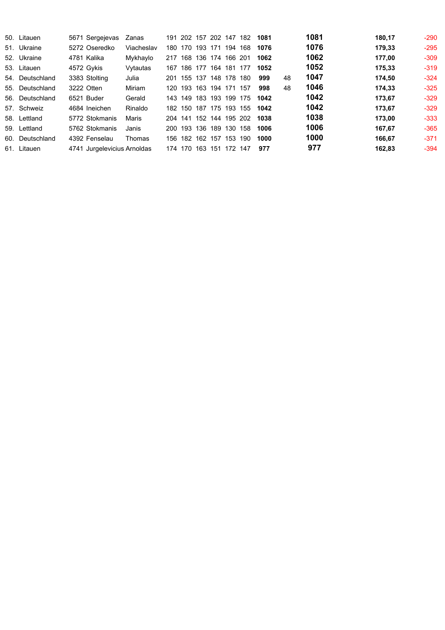| 50. Litauen     | 5671 Sergejevas             | Zanas      | 191     |             |     | 202 157 202 147         |     | 182 | 1081 |    | 1081 | 180,17 | $-290$ |
|-----------------|-----------------------------|------------|---------|-------------|-----|-------------------------|-----|-----|------|----|------|--------|--------|
| 51. Ukraine     | 5272 Oseredko               | Viacheslav |         | 180 170     | 193 | 171                     | 194 | 168 | 1076 |    | 1076 | 179.33 | $-295$ |
| 52. Ukraine     | 4781 Kalika                 | Mykhaylo   | 217 168 |             |     | 136 174 166 201         |     |     | 1062 |    | 1062 | 177,00 | $-309$ |
| 53. Litauen     | 4572 Gykis                  | Vytautas   | 167     |             |     | 186 177 164 181         |     | 177 | 1052 |    | 1052 | 175.33 | $-319$ |
| 54. Deutschland | 3383 Stolting               | Julia      |         |             |     | 201 155 137 148 178     |     | 180 | 999  | 48 | 1047 | 174,50 | $-324$ |
| 55. Deutschland | 3222 Otten                  | Miriam     |         | 120 193     |     | 163 194 171             |     | 157 | 998  | 48 | 1046 | 174.33 | $-325$ |
| 56. Deutschland | 6521 Buder                  | Gerald     |         | 143 149 183 |     | 193 199                 |     | 175 | 1042 |    | 1042 | 173.67 | $-329$ |
| 57. Schweiz     | 4684 Ineichen               | Rinaldo    | 182.    | 150         |     | 187 175 193             |     | 155 | 1042 |    | 1042 | 173.67 | $-329$ |
| 58. Lettland    | 5772 Stokmanis              | Maris      |         |             |     | 204 141 152 144 195 202 |     |     | 1038 |    | 1038 | 173.00 | $-333$ |
| 59. Lettland    | 5762 Stokmanis              | Janis      |         | 200 193     | 136 | 189                     | 130 | 158 | 1006 |    | 1006 | 167.67 | $-365$ |
| 60. Deutschland | 4392 Fenselau               | Thomas     | 156.    | 182         | 162 | 157                     | 153 | 190 | 1000 |    | 1000 | 166.67 | $-371$ |
| 61. Litauen     | 4741 Jurgelevicius Arnoldas |            | 174 170 |             | 163 | 151                     | 172 | 147 | 977  |    | 977  | 162,83 | $-394$ |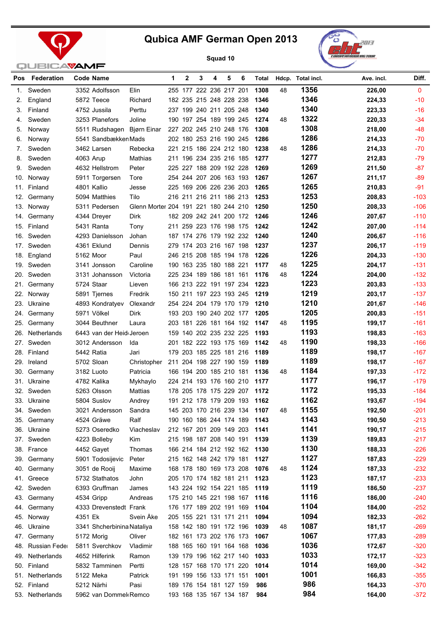





|     |                           | <b>SAVAME</b>              |                                      |   |              |   |                         |   |   |                              |    |                         |            |              |
|-----|---------------------------|----------------------------|--------------------------------------|---|--------------|---|-------------------------|---|---|------------------------------|----|-------------------------|------------|--------------|
|     | Pos Federation            | Code Name                  |                                      | 1 | $\mathbf{2}$ | 3 | 4                       | 5 | 6 |                              |    | Total Hdcp. Total incl. | Ave. incl. | Diff.        |
| 1.  | Sweden                    | 3352 Adolfsson             | Elin                                 |   |              |   | 255 177 222 236 217 201 |   |   | 1308                         | 48 | 1356                    | 226,00     | $\mathbf{0}$ |
| 2.  | England                   | 5872 Teece                 | Richard                              |   |              |   | 182 235 215 248 228 238 |   |   | 1346                         |    | 1346                    | 224,33     | $-10$        |
| 3.  | Finland                   | 4752 Jussila               | Perttu                               |   |              |   | 237 199 240 211 205 248 |   |   | 1340                         |    | 1340                    | 223,33     | $-16$        |
| 4.  | Sweden                    | 3253 Planefors             | Joline                               |   |              |   | 190 197 254 189 199 245 |   |   | 1274                         | 48 | 1322                    | 220,33     | $-34$        |
| 5.  | Norway                    | 5511 Rudshagen             | Bjørn Einar                          |   |              |   | 227 202 245 210 248 176 |   |   | 1308                         |    | 1308                    | 218,00     | $-48$        |
| 6.  | Norway                    | 5541 Sandbækker Mads       |                                      |   |              |   | 202 180 253 216 190 245 |   |   | 1286                         |    | 1286                    | 214,33     | $-70$        |
| 7.  | Sweden                    | 3462 Larsen                | Rebecka                              |   |              |   | 221 215 186 224 212 180 |   |   | 1238                         | 48 | 1286                    | 214,33     | $-70$        |
| 8.  | Sweden                    | 4063 Arup                  | Mathias                              |   |              |   | 211 196 234 235 216 185 |   |   | 1277                         |    | 1277                    | 212,83     | $-79$        |
| 9.  | Sweden                    | 4632 Hellstrom             | Peter                                |   |              |   | 225 227 188 209 192 228 |   |   | 1269                         |    | 1269                    | 211,50     | $-87$        |
|     | 10. Norway                | 5911 Torgersen             | Tore                                 |   |              |   | 254 244 207 206 163 193 |   |   | 1267                         |    | 1267                    | 211,17     | $-89$        |
|     | 11. Finland               | 4801 Kallio                | Jesse                                |   |              |   | 225 169 206 226 236 203 |   |   | 1265                         |    | 1265                    | 210,83     | $-91$        |
|     | 12. Germany               | 5094 Matthies              | Tilo                                 |   |              |   | 216 211 216 211 186 213 |   |   | 1253                         |    | 1253                    | 208,83     | $-103$       |
|     | 13. Norway                | 5311 Pedersen              | Glenn Morter 204 191 221 180 244 210 |   |              |   |                         |   |   | 1250                         |    | 1250                    | 208,33     | $-106$       |
|     | 14. Germany               | 4344 Dreyer                | Dirk                                 |   |              |   | 182 209 242 241 200 172 |   |   | 1246                         |    | 1246                    | 207,67     | $-110$       |
|     | 15. Finland               | 5431 Ranta                 | Tony                                 |   |              |   | 211 259 223 176 198 175 |   |   | 1242                         |    | 1242                    | 207,00     | $-114$       |
|     | 16. Sweden                | 4293 Danielsson            | Johan                                |   |              |   | 187 174 276 179 192 232 |   |   | 1240                         |    | 1240                    | 206,67     | $-116$       |
|     | 17. Sweden                | 4361 Eklund                | Dennis                               |   |              |   | 279 174 203 216 167 198 |   |   | 1237                         |    | 1237                    | 206,17     | $-119$       |
|     | 18. England               | 5162 Moor                  | Paul                                 |   |              |   | 246 215 208 185 194 178 |   |   | 1226                         |    | 1226                    | 204,33     | $-130$       |
|     | 19. Sweden                | 3141 Jonsson               | Caroline                             |   |              |   | 190 163 235 180 188 221 |   |   | 1177                         | 48 | 1225                    | 204,17     | $-131$       |
|     | 20. Sweden                | 3131 Johansson             | Victoria                             |   |              |   | 225 234 189 186 181 161 |   |   | 1176                         | 48 | 1224                    | 204,00     | $-132$       |
|     | 21. Germany               | 5724 Staar                 | Lieven                               |   |              |   | 166 213 222 191 197 234 |   |   | 1223                         |    | 1223                    | 203,83     | $-133$       |
|     | 22. Norway                | 5891 Tjernes               | Fredrik                              |   |              |   | 150 211 197 223 193 245 |   |   | 1219                         |    | 1219                    | 203,17     | $-137$       |
|     | 23. Ukraine               | 4893 Kondratyev            | Olexandr                             |   |              |   | 254 224 204 179 170 179 |   |   | 1210                         |    | 1210                    | 201,67     | $-146$       |
|     | 24. Germany               | 5971 Völkel                | Dirk                                 |   |              |   | 193 203 190 240 202 177 |   |   | 1205                         |    | 1205                    | 200,83     | $-151$       |
|     | 25. Germany               | 3044 Beuthner              | Laura                                |   |              |   | 203 181 226 181 164 192 |   |   | 1147                         | 48 | 1195                    | 199,17     | $-161$       |
|     | 26. Netherlands           | 6443 van der Heid Jeroen   |                                      |   |              |   | 159 140 202 235 232 225 |   |   | 1193                         |    | 1193                    | 198,83     | $-163$       |
|     | 27. Sweden                | 3012 Andersson             | Ida                                  |   |              |   | 201 182 222 193 175 169 |   |   | 1142                         | 48 | 1190                    | 198,33     | $-166$       |
|     | 28. Finland               | 5442 Ratia                 | Jari                                 |   |              |   | 179 203 185 225 181 216 |   |   | 1189                         |    | 1189                    | 198,17     | $-167$       |
|     | 29. Ireland               | 5702 Sloan                 | Christopher                          |   |              |   | 211 204 198 227 190 159 |   |   | 1189                         |    | 1189                    | 198,17     | $-167$       |
|     | 30. Germany               | 3182 Luoto                 | Patricia                             |   |              |   | 166 194 200 185 210 181 |   |   | 1136                         | 48 | 1184                    | 197,33     | $-172$       |
|     | 31. Ukraine               | 4782 Kalika                | Mykhaylo                             |   |              |   | 224 214 193 176 160 210 |   |   | 1177                         |    | 1177                    | 196,17     | $-179$       |
|     | 32. Sweden                | 5263 Olsson                | Mattias                              |   |              |   | 178 205 178 175 229 207 |   |   | 1172                         |    | 1172                    | 195,33     | $-184$       |
|     | 33. Ukraine               | 5804 Suslov                | Andrey                               |   |              |   |                         |   |   | 191 212 178 179 209 193 1162 |    | 1162                    | 193,67     | $-194$       |
|     | 34. Sweden                | 3021 Andersson             | Sandra                               |   |              |   | 145 203 170 216 239 134 |   |   | 1107                         | 48 | 1155                    | 192,50     | $-201$       |
|     | 35. Germany               | 4524 Gräwe                 | Ralf                                 |   |              |   | 190 160 186 244 174 189 |   |   | 1143                         |    | 1143                    | 190,50     | $-213$       |
|     |                           | 5273 Oseredko              | Viacheslav                           |   |              |   | 212 167 201 209 149 203 |   |   | 1141                         |    | 1141                    | 190,17     | $-215$       |
|     | 36. Ukraine<br>37. Sweden | 4223 Bolleby               | Kim                                  |   |              |   | 215 198 187 208 140 191 |   |   | 1139                         |    | 1139                    | 189,83     | $-217$       |
|     | 38. France                |                            | Thomas                               |   |              |   | 166 214 184 212 192 162 |   |   | 1130                         |    | 1130                    | 188,33     | $-226$       |
|     |                           | 4452 Gayet                 | Peter                                |   |              |   | 215 162 148 242 179 181 |   |   | 1127                         |    | 1127                    |            | $-229$       |
|     | 39. Germany               | 5901 Todosijevic           |                                      |   |              |   |                         |   |   |                              |    | 1124                    | 187,83     |              |
|     | 40. Germany               | 3051 de Rooij              | Maxime                               |   |              |   | 168 178 180 169 173 208 |   |   | 1076                         | 48 | 1123                    | 187,33     | $-232$       |
|     | 41. Greece                | 5732 Stathatos             | John                                 |   |              |   | 205 170 174 182 181 211 |   |   | 1123                         |    | 1119                    | 187,17     | $-233$       |
|     | 42. Sweden                | 6393 Gruffman              | James                                |   |              |   | 143 224 192 154 221 185 |   |   | 1119                         |    | 1116                    | 186,50     | $-237$       |
|     | 43. Germany               | 4534 Gripp                 | Andreas                              |   |              |   | 175 210 145 221 198 167 |   |   | 1116                         |    | 1104                    | 186,00     | $-240$       |
|     | 44. Germany               | 4333 Drevenstedt Frank     |                                      |   |              |   | 176 177 189 202 191 169 |   |   | 1104                         |    |                         | 184,00     | $-252$       |
|     | 45. Norway                | 4351 Ek                    | Svein Åke                            |   |              |   | 205 155 221 131 171 211 |   |   | 1094                         |    | 1094                    | 182,33     | $-262$       |
|     | 46. Ukraine               | 3341 Shcherbinina Nataliya |                                      |   |              |   | 158 142 180 191 172 196 |   |   | 1039                         | 48 | 1087                    | 181,17     | $-269$       |
| 47. | Germany                   | 5172 Morig                 | Oliver                               |   |              |   | 182 161 173 202 176 173 |   |   | 1067                         |    | 1067                    | 177,83     | $-289$       |
|     | 48. Russian Feder         | 5811 Sverchkov             | Vladimir                             |   |              |   | 188 165 160 191 164 168 |   |   | 1036                         |    | 1036                    | 172,67     | $-320$       |
|     | 49. Netherlands           | 4652 Hilferink             | Ramon                                |   |              |   | 139 179 196 162 217 140 |   |   | 1033                         |    | 1033                    | 172,17     | $-323$       |
|     | 50. Finland               | 5832 Tamminen              | Pertti                               |   |              |   | 128 157 168 170 171 220 |   |   | 1014                         |    | 1014                    | 169,00     | $-342$       |
|     | 51. Netherlands           | 5122 Meka                  | Patrick                              |   |              |   | 191 199 156 133 171 151 |   |   | 1001                         |    | 1001                    | 166,83     | $-355$       |
|     | 52. Finland               | 5212 Närhi                 | Pasi                                 |   |              |   | 189 176 154 181 127 159 |   |   | 986                          |    | 986                     | 164,33     | $-370$       |
|     | 53. Netherlands           | 5962 van Dommel Remco      |                                      |   |              |   | 193 168 135 167 134 187 |   |   | 984                          |    | 984                     | 164,00     | $-372$       |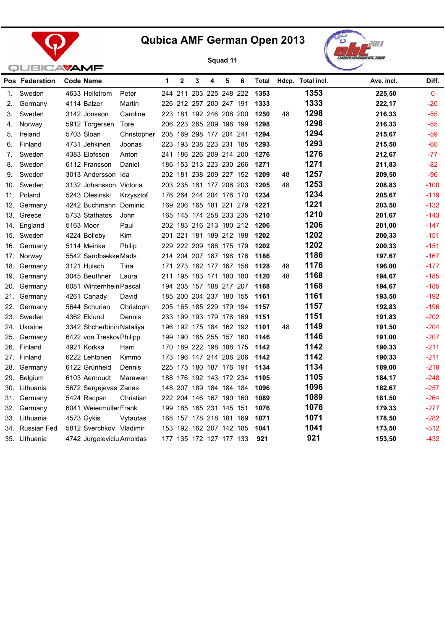





|     | Pos Federation | Code Name                 |                            | 1 | $\mathbf{2}$ | 3                       | 4 | 5 | 6 | Total |    | Hdcp. Total incl. | Ave. incl. | Diff.        |
|-----|----------------|---------------------------|----------------------------|---|--------------|-------------------------|---|---|---|-------|----|-------------------|------------|--------------|
| 1.  | Sweden         | 4633 Hellstrom            | Peter                      |   |              | 244 211 203 225 248 222 |   |   |   | 1353  |    | 1353              | 225,50     | $\mathbf{0}$ |
| 2.  | Germany        | 4114 Balzer               | Martin                     |   |              | 226 212 257 200 247 191 |   |   |   | 1333  |    | 1333              | 222,17     | $-20$        |
| 3.  | Sweden         | 3142 Jonsson              | Caroline                   |   |              | 223 181 192 246 208 200 |   |   |   | 1250  | 48 | 1298              | 216,33     | $-55$        |
| 4.  | Norway         | 5912 Torgersen            | Tore                       |   |              | 206 223 265 209 196 199 |   |   |   | 1298  |    | 1298              | 216,33     | $-55$        |
| 5.  | Ireland        | 5703 Sloan                | Christopher                |   |              | 205 169 298 177 204 241 |   |   |   | 1294  |    | 1294              | 215,67     | $-59$        |
| 6.  | Finland        | 4731 Jehkinen             | Joonas                     |   |              | 223 193 238 223 231 185 |   |   |   | 1293  |    | 1293              | 215,50     | $-60$        |
| 7.  | Sweden         | 4383 Elofsson             | Anton                      |   |              | 241 186 226 209 214 200 |   |   |   | 1276  |    | 1276              | 212,67     | $-77$        |
| 8.  | Sweden         | 6112 Fransson             | Daniel                     |   |              | 186 153 213 223 230 266 |   |   |   | 1271  |    | 1271              | 211,83     | $-82$        |
| 9.  | Sweden         | 3013 Andersson Ida        |                            |   |              | 202 181 238 209 227 152 |   |   |   | 1209  | 48 | 1257              | 209,50     | $-96$        |
| 10. | Sweden         | 3132 Johansson Victoria   |                            |   |              | 203 235 181 177 206 203 |   |   |   | 1205  | 48 | 1253              | 208,83     | $-100$       |
| 11. | Poland         | 5243 Olesinski            | Krzysztof                  |   |              | 176 264 244 204 176 170 |   |   |   | 1234  |    | 1234              | 205,67     | $-119$       |
| 12. | Germany        | 4242 Buchmann Dominic     |                            |   |              | 169 206 165 181 221 279 |   |   |   | 1221  |    | 1221              | 203,50     | $-132$       |
| 13. | Greece         | 5733 Stathatos            | John                       |   |              | 165 145 174 258 233 235 |   |   |   | 1210  |    | 1210              | 201,67     | $-143$       |
| 14. | England        | 5163 Moor                 | Paul                       |   |              | 202 183 216 213 180 212 |   |   |   | 1206  |    | 1206              | 201,00     | $-147$       |
| 15. | Sweden         | 4224 Bolleby              | Kim                        |   |              | 201 221 181 189 212 198 |   |   |   | 1202  |    | 1202              | 200,33     | $-151$       |
| 16. | Germany        | 5114 Meinke               | Philip                     |   |              | 229 222 209 188 175 179 |   |   |   | 1202  |    | 1202              | 200,33     | $-151$       |
|     | 17. Norway     | 5542 Sandbække Mads       |                            |   |              | 214 204 207 187 198 176 |   |   |   | 1186  |    | 1186              | 197,67     | $-167$       |
| 18. | Germany        | 3121 Hulsch               | Tina                       |   |              | 171 273 182 177 167 158 |   |   |   | 1128  | 48 | 1176              | 196,00     | $-177$       |
| 19. | Germany        | 3045 Beuthner             | Laura                      |   |              | 211 195 183 171 180 180 |   |   |   | 1120  | 48 | 1168              | 194,67     | $-185$       |
| 20. | Germany        | 6081 Winternhein Pascal   |                            |   |              | 194 205 157 188 217 207 |   |   |   | 1168  |    | 1168              | 194,67     | $-185$       |
| 21. | Germany        | 4261 Canady               | David                      |   |              | 185 200 204 237 180 155 |   |   |   | 1161  |    | 1161              | 193,50     | $-192$       |
| 22. | Germany        | 5644 Schurian             | Christoph                  |   |              | 205 165 185 229 179 194 |   |   |   | 1157  |    | 1157              | 192,83     | $-196$       |
|     | 23. Sweden     | 4362 Eklund               | Dennis                     |   |              | 233 199 193 179 178 169 |   |   |   | 1151  |    | 1151              | 191,83     | $-202$       |
|     | 24. Ukraine    | 3342 Shcherbinin Nataliya |                            |   |              | 196 192 175 184 162 192 |   |   |   | 1101  | 48 | 1149              | 191,50     | $-204$       |
| 25. | Germany        | 6422 von Treskov Philipp  |                            |   |              | 199 190 185 255 157 160 |   |   |   | 1146  |    | 1146              | 191,00     | $-207$       |
|     | 26. Finland    | 4921 Korkka               | Harri                      |   |              | 170 189 222 198 188 175 |   |   |   | 1142  |    | 1142              | 190,33     | $-211$       |
|     | 27. Finland    | 6222 Lehtonen             | Kimmo                      |   |              | 173 196 147 214 206 206 |   |   |   | 1142  |    | 1142              | 190,33     | $-211$       |
| 28. | Germany        | 6122 Grünheid             | Dennis                     |   |              | 225 175 180 187 176 191 |   |   |   | 1134  |    | 1134              | 189,00     | $-219$       |
|     | 29. Belgium    | 6103 Aernoudt             | Marawan                    |   |              | 188 176 192 143 172 234 |   |   |   | 1105  |    | 1105              | 184,17     | $-248$       |
|     | 30. Lithuania  | 5672 Sergejevas Zanas     |                            |   |              | 148 207 189 184 184 184 |   |   |   | 1096  |    | 1096              | 182,67     | $-257$       |
|     | 31. Germany    | 5424 Racpan               | Christian                  |   |              | 222 204 146 167 190 160 |   |   |   | 1089  |    | 1089              | 181,50     | $-264$       |
|     | 32. Germany    | 6041 Weiermüller Frank    |                            |   |              | 199 185 165 231 145 151 |   |   |   | 1076  |    | 1076              | 179,33     | $-277$       |
|     | 33. Lithuania  | 4573 Gykis                | Vytautas                   |   |              | 168 157 178 218 181 169 |   |   |   | 1071  |    | 1071              | 178,50     | $-282$       |
| 34. | Russian Fed    | 5812 Sverchkov Vladimir   |                            |   |              | 153 192 162 207 142 185 |   |   |   | 1041  |    | 1041              | 173,50     | $-312$       |
|     | 35. Lithuania  |                           | 4742 Jurgeleviciu Arnoldas |   |              | 177 135 172 127 177 133 |   |   |   | 921   |    | 921               | 153,50     | $-432$       |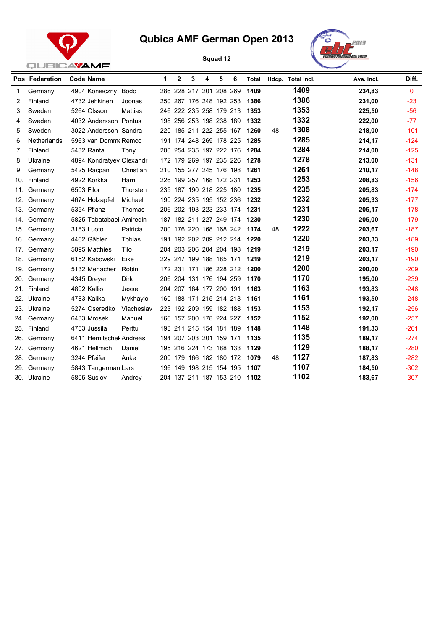



|     |                | <b>QUBICAVAMF</b>        |                |   |             |   |   |                         |                         |       |    |                   |            |              |
|-----|----------------|--------------------------|----------------|---|-------------|---|---|-------------------------|-------------------------|-------|----|-------------------|------------|--------------|
|     | Pos Federation | <b>Code Name</b>         |                | 1 | $\mathbf 2$ | 3 | 4 | 5                       | 6                       | Total |    | Hdcp. Total incl. | Ave. incl. | Diff.        |
| 1.  | Germany        | 4904 Konieczny Bodo      |                |   |             |   |   | 286 228 217 201 208 269 |                         | 1409  |    | 1409              | 234,83     | $\mathbf{0}$ |
| 2.  | Finland        | 4732 Jehkinen            | Joonas         |   |             |   |   | 250 267 176 248 192 253 |                         | 1386  |    | 1386              | 231,00     | $-23$        |
| 3.  | Sweden         | 5264 Olsson              | <b>Mattias</b> |   |             |   |   | 246 222 235 258 179 213 |                         | 1353  |    | 1353              | 225,50     | $-56$        |
| 4.  | Sweden         | 4032 Andersson Pontus    |                |   |             |   |   | 198 256 253 198 238 189 |                         | 1332  |    | 1332              | 222,00     | $-77$        |
| 5.  | Sweden         | 3022 Andersson Sandra    |                |   |             |   |   | 220 185 211 222 255 167 |                         | 1260  | 48 | 1308              | 218,00     | $-101$       |
| 6.  | Netherlands    | 5963 van Domme Remco     |                |   |             |   |   | 191 174 248 269 178 225 |                         | 1285  |    | 1285              | 214,17     | $-124$       |
| 7.  | Finland        | 5432 Ranta               | Tony           |   |             |   |   | 200 254 235 197 222 176 |                         | 1284  |    | 1284              | 214,00     | $-125$       |
| 8.  | Ukraine        | 4894 Kondratyev Olexandr |                |   |             |   |   | 172 179 269 197 235 226 |                         | 1278  |    | 1278              | 213,00     | $-131$       |
| 9.  | Germany        | 5425 Racpan              | Christian      |   |             |   |   | 210 155 277 245 176 198 |                         | 1261  |    | 1261              | 210,17     | $-148$       |
|     | 10. Finland    | 4922 Korkka              | Harri          |   |             |   |   | 226 199 257 168 172 231 |                         | 1253  |    | 1253              | 208,83     | $-156$       |
|     | 11. Germany    | 6503 Filor               | Thorsten       |   |             |   |   | 235 187 190 218 225 180 |                         | 1235  |    | 1235              | 205,83     | $-174$       |
|     | 12. Germany    | 4674 Holzapfel           | Michael        |   |             |   |   | 190 224 235 195 152 236 |                         | 1232  |    | 1232              | 205,33     | $-177$       |
|     | 13. Germany    | 5354 Pflanz              | Thomas         |   |             |   |   | 206 202 193 223 233 174 |                         | 1231  |    | 1231              | 205,17     | $-178$       |
|     | 14. Germany    | 5825 Tabatabaei Amiredin |                |   |             |   |   | 187 182 211 227 249 174 |                         | 1230  |    | 1230              | 205,00     | $-179$       |
|     | 15. Germany    | 3183 Luoto               | Patricia       |   |             |   |   | 200 176 220 168 168 242 |                         | 1174  | 48 | 1222              | 203,67     | $-187$       |
|     | 16. Germany    | 4462 Gäbler              | Tobias         |   |             |   |   | 191 192 202 209 212 214 |                         | 1220  |    | 1220              | 203,33     | $-189$       |
|     | 17. Germany    | 5095 Matthies            | Tilo           |   |             |   |   | 204 203 206 204 204 198 |                         | 1219  |    | 1219              | 203,17     | $-190$       |
|     | 18. Germany    | 6152 Kabowski            | Eike           |   |             |   |   | 229 247 199 188 185 171 |                         | 1219  |    | 1219              | 203,17     | $-190$       |
|     | 19. Germany    | 5132 Menacher            | Robin          |   |             |   |   | 172 231 171 186 228 212 |                         | 1200  |    | 1200              | 200,00     | $-209$       |
|     | 20. Germany    | 4345 Dreyer              | <b>Dirk</b>    |   |             |   |   | 206 204 131 176 194 259 |                         | 1170  |    | 1170              | 195,00     | $-239$       |
|     | 21. Finland    | 4802 Kallio              | Jesse          |   |             |   |   | 204 207 184 177 200 191 |                         | 1163  |    | 1163              | 193,83     | $-246$       |
|     | 22. Ukraine    | 4783 Kalika              | Mykhaylo       |   |             |   |   | 160 188 171 215 214 213 |                         | 1161  |    | 1161              | 193,50     | $-248$       |
|     | 23. Ukraine    | 5274 Oseredko            | Viacheslav     |   |             |   |   | 223 192 209 159 182 188 |                         | 1153  |    | 1153              | 192,17     | $-256$       |
|     | 24. Germany    | 6433 Mrosek              | Manuel         |   |             |   |   | 166 157 200 178 224 227 |                         | 1152  |    | 1152              | 192,00     | $-257$       |
|     | 25. Finland    | 4753 Jussila             | Perttu         |   |             |   |   | 198 211 215 154 181 189 |                         | 1148  |    | 1148              | 191,33     | $-261$       |
|     | 26. Germany    | 6411 Hernitschek Andreas |                |   |             |   |   | 194 207 203 201 159 171 |                         | 1135  |    | 1135              | 189,17     | $-274$       |
|     | 27. Germany    | 4621 Hellmich            | Daniel         |   |             |   |   | 195 216 224 173 188 133 |                         | 1129  |    | 1129              | 188,17     | $-280$       |
|     | 28. Germany    | 3244 Pfeifer             | Anke           |   |             |   |   | 200 179 166 182 180 172 |                         | 1079  | 48 | 1127              | 187,83     | $-282$       |
| 29. | Germany        | 5843 Tangerman Lars      |                |   |             |   |   | 196 149 198 215 154 195 |                         | 1107  |    | 1107              | 184,50     | $-302$       |
|     | 30. Ukraine    | 5805 Suslov              | Andrey         |   |             |   |   |                         | 204 137 211 187 153 210 | 1102  |    | 1102              | 183,67     | $-307$       |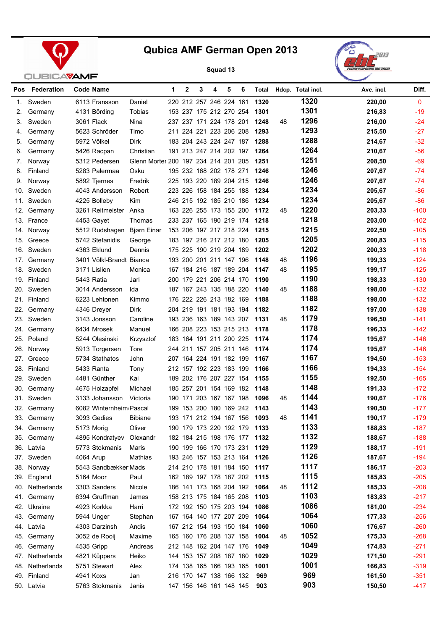



| Pos | Federation      |           | <b>Code Name</b>           |                                      | 1 | $\mathbf{2}$ | 3 | 4                       | 5 | 6                       | Total                        |    | Hdcp. Total incl. | Ave. incl. | Diff.        |
|-----|-----------------|-----------|----------------------------|--------------------------------------|---|--------------|---|-------------------------|---|-------------------------|------------------------------|----|-------------------|------------|--------------|
| 1.  | Sweden          |           | 6113 Fransson              | Daniel                               |   |              |   | 220 212 257 246 224 161 |   |                         | 1320                         |    | 1320              | 220,00     | $\mathbf{0}$ |
| 2.  | Germany         |           | 4131 Börding               | Tobias                               |   |              |   | 153 237 175 212 270 254 |   |                         | 1301                         |    | 1301              | 216,83     | $-19$        |
| 3.  | Sweden          |           | 3061 Flack                 | Nina                                 |   |              |   | 237 237 171 224 178 201 |   |                         | 1248                         | 48 | 1296              | 216,00     | $-24$        |
| 4.  | Germany         |           | 5623 Schröder              | Timo                                 |   |              |   | 211 224 221 223 206 208 |   |                         | 1293                         |    | 1293              | 215,50     | $-27$        |
| 5.  | Germany         |           | 5972 Völkel                | <b>Dirk</b>                          |   |              |   | 183 204 243 224 247 187 |   |                         | 1288                         |    | 1288              | 214,67     | $-32$        |
| 6.  | Germany         |           | 5426 Racpan                | Christian                            |   |              |   | 191 213 247 214 202 197 |   |                         | 1264                         |    | 1264              | 210,67     | $-56$        |
| 7.  | Norway          |           | 5312 Pedersen              | Glenn Morter 200 197 234 214 201 205 |   |              |   |                         |   |                         | 1251                         |    | 1251              | 208,50     | $-69$        |
| 8.  | Finland         |           | 5283 Palermaa              | Osku                                 |   |              |   | 195 232 168 202 178 271 |   |                         | 1246                         |    | 1246              | 207,67     | $-74$        |
| 9.  | Norway          |           | 5892 Tjernes               | Fredrik                              |   |              |   | 225 193 220 189 204 215 |   |                         | 1246                         |    | 1246              | 207,67     | $-74$        |
|     | 10. Sweden      |           | 4043 Andersson             | Robert                               |   |              |   | 223 226 158 184 255 188 |   |                         | 1234                         |    | 1234              | 205,67     | $-86$        |
|     | 11. Sweden      |           | 4225 Bolleby               | Kim                                  |   |              |   | 246 215 192 185 210 186 |   |                         | 1234                         |    | 1234              | 205,67     | $-86$        |
|     | 12. Germany     |           | 3261 Reitmeister           | Anka                                 |   |              |   | 163 226 255 173 155 200 |   |                         | 1172                         | 48 | 1220              | 203,33     | $-100$       |
|     | 13. France      |           | 4453 Gayet                 | Thomas                               |   |              |   | 233 237 165 190 219 174 |   |                         | 1218                         |    | 1218              | 203,00     | $-102$       |
|     | 14. Norway      |           | 5512 Rudshagen Biørn Einar |                                      |   |              |   | 153 206 197 217 218 224 |   |                         | 1215                         |    | 1215              | 202,50     | $-105$       |
|     | 15. Greece      |           | 5742 Stefanidis            | George                               |   |              |   | 183 197 216 217 212 180 |   |                         | 1205                         |    | 1205              | 200,83     | $-115$       |
|     | 16. Sweden      |           | 4363 Eklund                | Dennis                               |   |              |   | 175 225 190 219 204 189 |   |                         | 1202                         |    | 1202              | 200,33     | $-118$       |
|     | 17. Germany     |           | 3401 Völkl-Brandt Bianca   |                                      |   |              |   | 193 200 201 211 147 196 |   |                         | 1148                         | 48 | 1196              | 199,33     | $-124$       |
|     | 18. Sweden      |           | 3171 Lislien               | Monica                               |   |              |   | 167 184 216 187 189 204 |   |                         | 1147                         | 48 | 1195              | 199,17     | $-125$       |
|     | 19. Finland     |           | 5443 Ratia                 | Jari                                 |   |              |   | 200 179 221 206 214 170 |   |                         | 1190                         |    | 1190              | 198,33     | $-130$       |
|     | 20. Sweden      |           | 3014 Andersson             | Ida                                  |   |              |   | 187 167 243 135 188 220 |   |                         | 1140                         | 48 | 1188              | 198,00     | $-132$       |
|     | 21. Finland     |           | 6223 Lehtonen              | Kimmo                                |   |              |   | 176 222 226 213 182 169 |   |                         | 1188                         |    | 1188              | 198,00     | $-132$       |
|     | 22. Germany     |           | 4346 Dreyer                | <b>Dirk</b>                          |   |              |   | 204 219 191 181 193 194 |   |                         | 1182                         |    | 1182              | 197,00     | $-138$       |
|     | 23. Sweden      |           | 3143 Jonsson               | Caroline                             |   |              |   | 193 236 163 189 143 207 |   |                         | 1131                         | 48 | 1179              | 196,50     | $-141$       |
|     | 24. Germany     |           | 6434 Mrosek                | Manuel                               |   |              |   | 166 208 223 153 215 213 |   |                         | 1178                         |    | 1178              | 196,33     | $-142$       |
|     | 25. Poland      |           | 5244 Olesinski             | Krzysztof                            |   |              |   | 183 164 191 211 200 225 |   |                         | 1174                         |    | 1174              | 195,67     | $-146$       |
|     | 26. Norway      |           | 5913 Torgersen             | Tore                                 |   |              |   | 244 211 157 205 211 146 |   |                         | 1174                         |    | 1174              | 195,67     | $-146$       |
|     | 27. Greece      |           | 5734 Stathatos             | John                                 |   |              |   | 207 164 224 191 182 199 |   |                         | 1167                         |    | 1167              | 194,50     | $-153$       |
|     | 28. Finland     |           | 5433 Ranta                 | Tony                                 |   |              |   | 212 157 192 223 183 199 |   |                         | 1166                         |    | 1166              | 194,33     | $-154$       |
|     | 29. Sweden      |           | 4481 Günther               | Kai                                  |   |              |   | 189 202 176 207 227 154 |   |                         | 1155                         |    | 1155              | 192,50     | $-165$       |
|     | 30. Germany     |           | 4675 Holzapfel             | Michael                              |   |              |   | 185 257 201 154 169 182 |   |                         | 1148                         |    | 1148              | 191,33     | $-172$       |
|     | 31. Sweden      |           | 3133 Johansson             | Victoria                             |   |              |   | 190 171 203 167 167 198 |   |                         | 1096                         | 48 | 1144              | 190,67     | $-176$       |
|     | 32. Germany     |           | 6082 Winternheim Pascal    |                                      |   |              |   | 199 153 200 180 169 242 |   |                         | 1143                         |    | 1143              | 190,50     | $-177$       |
|     | 33. Germany     |           | 3093 Gedies                | <b>Bibiane</b>                       |   |              |   |                         |   |                         | 193 171 212 194 167 156 1093 | 48 | 1141              | 190,17     | $-179$       |
|     | 34. Germany     |           | 5173 Morig                 | Oliver                               |   |              |   |                         |   |                         | 190 179 173 220 192 179 1133 |    | 1133              | 188,83     | $-187$       |
|     | 35. Germany     |           | 4895 Kondratyev            | Olexandr                             |   |              |   |                         |   |                         | 182 184 215 198 176 177 1132 |    | 1132              | 188,67     | $-188$       |
|     | 36. Latvia      |           | 5773 Stokmanis             | Maris                                |   |              |   | 190 199 166 170 173 231 |   |                         | 1129                         |    | 1129              | 188,17     | $-191$       |
|     | 37. Sweden      | 4064 Arup |                            | Mathias                              |   |              |   | 193 246 157 153 213 164 |   |                         | 1126                         |    | 1126              | 187,67     | $-194$       |
|     | 38. Norway      |           | 5543 Sandbækker Mads       |                                      |   |              |   |                         |   |                         | 214 210 178 181 184 150 1117 |    | 1117              | 186,17     | $-203$       |
|     | 39. England     |           | 5164 Moor                  | Paul                                 |   |              |   |                         |   |                         | 162 189 197 178 187 202 1115 |    | 1115              | 185,83     | $-205$       |
|     | 40. Netherlands |           | 3303 Sanders               | Nicole                               |   |              |   |                         |   | 186 141 173 168 204 192 | 1064                         | 48 | 1112              | 185,33     | $-208$       |
|     | 41. Germany     |           | 6394 Gruffman              | James                                |   |              |   | 158 213 175 184 165 208 |   |                         | 1103                         |    | 1103              | 183,83     | $-217$       |
|     | 42. Ukraine     |           | 4923 Korkka                | Harri                                |   |              |   | 172 192 150 175 203 194 |   |                         | 1086                         |    | 1086              | 181,00     | $-234$       |
|     | 43. Germany     |           | 5944 Unger                 | Stephan                              |   |              |   | 167 164 140 177 207 209 |   |                         | 1064                         |    | 1064              | 177,33     | $-256$       |
|     | 44. Latvia      |           | 4303 Darzinsh              | Andis                                |   |              |   | 167 212 154 193 150 184 |   |                         | 1060                         |    | 1060              | 176,67     | $-260$       |
|     | 45. Germany     |           | 3052 de Rooij              | Maxime                               |   |              |   | 165 160 176 208 137 158 |   |                         | 1004                         | 48 | 1052              | 175,33     | $-268$       |
|     | 46. Germany     |           | 4535 Gripp                 | Andreas                              |   |              |   | 212 148 162 204 147 176 |   |                         | 1049                         |    | 1049              | 174,83     | $-271$       |
|     | 47. Netherlands |           | 4821 Küppers               | Heiko                                |   |              |   | 144 153 157 208 187 180 |   |                         | 1029                         |    | 1029              | 171,50     | $-291$       |
|     | 48. Netherlands |           | 5751 Stewart               | Alex                                 |   |              |   | 174 138 165 166 193 165 |   |                         | 1001                         |    | 1001              | 166,83     | $-319$       |
|     | 49. Finland     | 4941 Koxs |                            | Jan                                  |   |              |   | 216 170 147 138 166 132 |   |                         | 969                          |    | 969               | 161,50     | $-351$       |
|     | 50. Latvia      |           | 5763 Stokmanis             | Janis                                |   |              |   | 147 156 146 161 148 145 |   |                         | 903                          |    | 903               | 150,50     | $-417$       |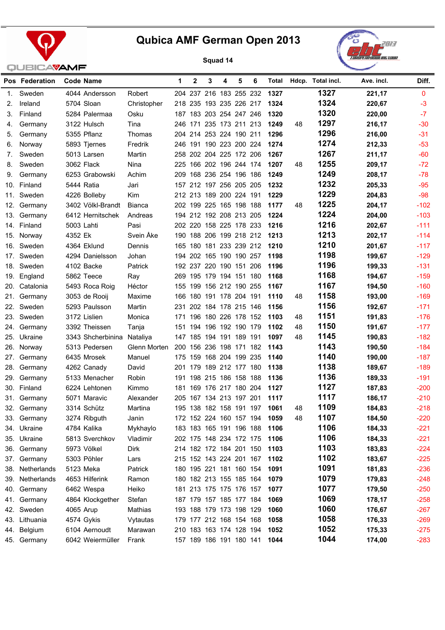



|     | Pos Federation | Code Name         |               | 1.   | $\mathbf{2}$            | 3 | 4                   | 5 | 6                       | Total |    | Hdcp. Total incl. | Ave. incl. | Diff.        |
|-----|----------------|-------------------|---------------|------|-------------------------|---|---------------------|---|-------------------------|-------|----|-------------------|------------|--------------|
| 1.  | Sweden         | 4044 Andersson    | Robert        |      | 204 237 216 183 255 232 |   |                     |   |                         | 1327  |    | 1327              | 221,17     | $\mathbf{0}$ |
| 2.  | Ireland        | 5704 Sloan        | Christopher   |      | 218 235 193 235 226 217 |   |                     |   |                         | 1324  |    | 1324              | 220,67     | $-3$         |
| З.  | Finland        | 5284 Palermaa     | Osku          |      | 187 183 203 254 247 246 |   |                     |   |                         | 1320  |    | 1320              | 220,00     | $-7$         |
| 4.  | Germany        | 3122 Hulsch       | Tina          |      | 246 171 235 173 211 213 |   |                     |   |                         | 1249  | 48 | 1297              | 216,17     | $-30$        |
| 5.  | Germany        | 5355 Pflanz       | Thomas        |      | 204 214 253 224 190 211 |   |                     |   |                         | 1296  |    | 1296              | 216,00     | $-31$        |
| 6.  | Norway         | 5893 Tjernes      | Fredrik       |      | 246 191 190 223 200 224 |   |                     |   |                         | 1274  |    | 1274              | 212,33     | $-53$        |
| 7.  | Sweden         | 5013 Larsen       | Martin        |      | 258 202 204 225 172 206 |   |                     |   |                         | 1267  |    | 1267              | 211,17     | $-60$        |
| 8.  | Sweden         | 3062 Flack        | Nina          |      | 225 166 202 196 244 174 |   |                     |   |                         | 1207  | 48 | 1255              | 209,17     | $-72$        |
| 9.  | Germany        | 6253 Grabowski    | Achim         | 209. |                         |   | 168 236 254 196 186 |   |                         | 1249  |    | 1249              | 208,17     | $-78$        |
|     | 10. Finland    | 5444 Ratia        | Jari          |      | 157 212 197 256 205 205 |   |                     |   |                         | 1232  |    | 1232              | 205,33     | $-95$        |
| 11. | Sweden         | 4226 Bolleby      | Kim           |      | 212 213 189 200 224 191 |   |                     |   |                         | 1229  |    | 1229              | 204,83     | $-98$        |
| 12. | Germany        | 3402 Völkl-Brandt | <b>Bianca</b> |      | 202 199 225 165 198 188 |   |                     |   |                         | 1177  | 48 | 1225              | 204,17     | $-102$       |
| 13. | Germany        | 6412 Hernitschek  | Andreas       |      | 194 212 192 208 213 205 |   |                     |   |                         | 1224  |    | 1224              | 204,00     | $-103$       |
|     | 14. Finland    | 5003 Lahti        | Pasi          |      | 202 220 158 225 178 233 |   |                     |   |                         | 1216  |    | 1216              | 202,67     | $-111$       |
| 15. | Norway         | 4352 Ek           | Svein Åke     |      | 190 188 206 199 218 212 |   |                     |   |                         | 1213  |    | 1213              | 202,17     | $-114$       |
| 16. | Sweden         | 4364 Eklund       | Dennis        |      | 165 180 181 233 239 212 |   |                     |   |                         | 1210  |    | 1210              | 201,67     | $-117$       |
|     | 17. Sweden     | 4294 Danielsson   | Johan         |      | 194 202 165 190 190 257 |   |                     |   |                         | 1198  |    | 1198              | 199,67     | $-129$       |
|     | 18. Sweden     | 4102 Backe        | Patrick       |      | 192 237 220 190 151 206 |   |                     |   |                         | 1196  |    | 1196              | 199,33     | $-131$       |
|     | 19. England    | 5862 Teece        | Ray           |      | 269 195 179 194 151 180 |   |                     |   |                         | 1168  |    | 1168              | 194,67     | $-159$       |
|     | 20. Catalonia  | 5493 Roca Roig    | Héctor        |      | 155 199 156 212 190 255 |   |                     |   |                         | 1167  |    | 1167              | 194,50     | $-160$       |
|     | 21. Germany    | 3053 de Rooij     | Maxime        |      | 166 180 191 178 204 191 |   |                     |   |                         | 1110  | 48 | 1158              | 193,00     | $-169$       |
|     | 22. Sweden     | 5293 Paulsson     | Martin        | 231. |                         |   | 202 184 178 215 146 |   |                         | 1156  |    | 1156              | 192,67     | $-171$       |
|     | 23. Sweden     | 3172 Lislien      | Monica        | 171  |                         |   | 196 180 226 178 152 |   |                         | 1103  | 48 | 1151              | 191,83     | $-176$       |
|     | 24. Germany    | 3392 Theissen     | Tanja         | 151  |                         |   | 194 196 192 190 179 |   |                         | 1102  | 48 | 1150              | 191,67     | $-177$       |
| 25. | Ukraine        | 3343 Shcherbinina | Nataliya      |      | 147 185 194 191 189 191 |   |                     |   |                         | 1097  | 48 | 1145              | 190,83     | $-182$       |
| 26. | Norway         | 5313 Pedersen     | Glenn Morten  |      | 200 156 236 198 171 182 |   |                     |   |                         | 1143  |    | 1143              | 190,50     | $-184$       |
| 27. | Germany        | 6435 Mrosek       | Manuel        |      | 175 159                 |   | 168 204 199 235     |   |                         | 1140  |    | 1140              | 190,00     | $-187$       |
| 28. | Germany        | 4262 Canady       | David         |      | 201 179                 |   | 189 212 177 180     |   |                         | 1138  |    | 1138              | 189,67     | $-189$       |
| 29. | Germany        | 5133 Menacher     | Robin         |      | 191 198 215 186 158 188 |   |                     |   |                         | 1136  |    | 1136              | 189,33     | $-191$       |
|     | 30. Finland    | 6224 Lehtonen     | Kimmo         | 181  |                         |   | 169 176 217 180 204 |   |                         | 1127  |    | 1127              | 187,83     | $-200$       |
|     | 31. Germany    | 5071 Maravic      | Alexander     |      | 205 167 134 213 197 201 |   |                     |   |                         | 1117  |    | 1117              | 186,17     | $-210$       |
|     | 32. Germany    | 3314 Schütz       | Martina       |      | 195 138 182 158 191 197 |   |                     |   |                         | 1061  | 48 | 1109              | 184,83     | $-218$       |
|     | 33. Germany    | 3274 Ribguth      | Janin         |      | 172 152 224 160 157 194 |   |                     |   |                         | 1059  | 48 | 1107              | 184,50     | $-220$       |
| 34. | Ukraine        | 4784 Kalika       | Mykhaylo      |      | 183 183 165 191 196 188 |   |                     |   |                         | 1106  |    | 1106              | 184,33     | $-221$       |
|     | 35. Ukraine    | 5813 Sverchkov    | Vladimir      |      | 202 175 148 234 172 175 |   |                     |   |                         | 1106  |    | 1106              | 184,33     | $-221$       |
| 36. | Germany        | 5973 Völkel       | Dirk          |      | 214 182 172 184 201 150 |   |                     |   |                         | 1103  |    | 1103              | 183,83     | $-224$       |
|     | 37. Germany    | 5303 Pöhler       | Lars          |      | 215 152 143 224 201 167 |   |                     |   |                         | 1102  |    | 1102              | 183,67     | $-225$       |
| 38. | Netherlands    | 5123 Meka         | Patrick       |      | 180 195 221 181 160 154 |   |                     |   |                         | 1091  |    | 1091              | 181,83     | $-236$       |
| 39. | Netherlands    | 4653 Hilferink    | Ramon         |      |                         |   |                     |   | 180 182 213 155 185 164 | 1079  |    | 1079              | 179,83     | $-248$       |
| 40. | Germany        | 6462 Wespa        | Heiko         |      | 181 213 175 175 176 157 |   |                     |   |                         | 1077  |    | 1077              | 179,50     | $-250$       |
| 41. | Germany        | 4864 Klockgether  | Stefan        |      | 187 179 157 185 177 184 |   |                     |   |                         | 1069  |    | 1069              | 178,17     | $-258$       |
| 42. | Sweden         | 4065 Arup         | Mathias       |      | 193 188 179 173 198 129 |   |                     |   |                         | 1060  |    | 1060              | 176,67     | $-267$       |
| 43. | Lithuania      | 4574 Gykis        | Vytautas      |      | 179 177 212 168 154 168 |   |                     |   |                         | 1058  |    | 1058              | 176,33     | $-269$       |
| 44. | Belgium        | 6104 Aernoudt     | Marawan       |      | 210 183 163 174 128 194 |   |                     |   |                         | 1052  |    | 1052              | 175,33     | $-275$       |
|     | 45. Germany    | 6042 Weiermüller  | Frank         |      | 157 189 186 191 180 141 |   |                     |   |                         | 1044  |    | 1044              | 174,00     | $-283$       |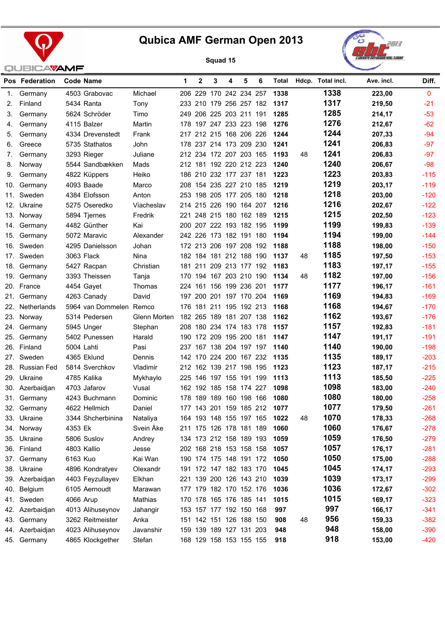



|     | Pos Federation  |          | Code Name               |              | 1 | $\mathbf{2}$ | 3                       | 4 | 5 | 6 | Total |    | Hdcp. Total incl. | Ave. incl. | Diff.        |
|-----|-----------------|----------|-------------------------|--------------|---|--------------|-------------------------|---|---|---|-------|----|-------------------|------------|--------------|
| 1.  | Germany         |          | 4503 Grabovac           | Michael      |   |              | 206 229 170 242 234 257 |   |   |   | 1338  |    | 1338              | 223,00     | $\mathbf{0}$ |
| 2.  | Finland         |          | 5434 Ranta              | Tony         |   |              | 233 210 179 256 257 182 |   |   |   | 1317  |    | 1317              | 219,50     | $-21$        |
| 3.  | Germany         |          | 5624 Schröder           | Timo         |   |              | 249 206 225 203 211 191 |   |   |   | 1285  |    | 1285              | 214,17     | $-53$        |
| 4.  | Germany         |          | 4115 Balzer             | Martin       |   |              | 178 197 247 233 223 198 |   |   |   | 1276  |    | 1276              | 212,67     | $-62$        |
| 5.  | Germany         |          | 4334 Drevenstedt        | Frank        |   |              | 217 212 215 168 206 226 |   |   |   | 1244  |    | 1244              | 207,33     | $-94$        |
| 6.  | Greece          |          | 5735 Stathatos          | John         |   |              | 178 237 214 173 209 230 |   |   |   | 1241  |    | 1241              | 206,83     | $-97$        |
| 7.  | Germany         |          | 3293 Rieger             | Juliane      |   |              | 212 234 172 207 203 165 |   |   |   | 1193  | 48 | 1241              | 206,83     | $-97$        |
| 8.  | Norway          |          | 5544 Sandbækken         | Mads         |   |              | 212 181 192 220 212 223 |   |   |   | 1240  |    | 1240              | 206,67     | $-98$        |
| 9.  | Germany         |          | 4822 Küppers            | Heiko        |   |              | 186 210 232 177 237 181 |   |   |   | 1223  |    | 1223              | 203,83     | $-115$       |
| 10. | Germany         |          | 4093 Baade              | Marco        |   |              | 208 154 235 227 210 185 |   |   |   | 1219  |    | 1219              | 203,17     | $-119$       |
| 11. | Sweden          |          | 4384 Elofsson           | Anton        |   |              | 253 198 205 177 205 180 |   |   |   | 1218  |    | 1218              | 203,00     | $-120$       |
|     | 12. Ukraine     |          | 5275 Oseredko           | Viacheslav   |   |              | 214 215 226 190 164 207 |   |   |   | 1216  |    | 1216              | 202,67     | $-122$       |
|     | 13. Norway      |          | 5894 Tjernes            | Fredrik      |   |              | 221 248 215 180 162 189 |   |   |   | 1215  |    | 1215              | 202,50     | $-123$       |
| 14. | Germany         |          | 4482 Günther            | Kai          |   |              | 200 207 222 193 182 195 |   |   |   | 1199  |    | 1199              | 199,83     | $-139$       |
|     | 15. Germany     |          | 5072 Maravic            | Alexander    |   |              | 242 226 173 182 191 180 |   |   |   | 1194  |    | 1194              | 199,00     | $-144$       |
|     | 16. Sweden      |          | 4295 Danielsson         | Johan        |   |              | 172 213 206 197 208 192 |   |   |   | 1188  |    | 1188              | 198,00     | $-150$       |
|     | 17. Sweden      |          | 3063 Flack              | Nina         |   |              | 182 184 181 212 188 190 |   |   |   | 1137  | 48 | 1185              | 197,50     | $-153$       |
| 18. | Germany         |          | 5427 Racpan             | Christian    |   |              | 181 211 209 213 177 192 |   |   |   | 1183  |    | 1183              | 197,17     | $-155$       |
|     | 19. Germany     |          | 3393 Theissen           | Tanja        |   |              | 170 194 167 203 210 190 |   |   |   | 1134  | 48 | 1182              | 197,00     | $-156$       |
|     | 20. France      |          | 4454 Gayet              | Thomas       |   |              | 224 161 156 199 236 201 |   |   |   | 1177  |    | 1177              | 196,17     | $-161$       |
|     | 21. Germany     |          | 4263 Canady             | David        |   |              | 197 200 201 197 170 204 |   |   |   | 1169  |    | 1169              | 194,83     | $-169$       |
| 22. | Netherlands     |          | 5964 van Dommelen Remco |              |   |              | 176 181 211 195 192 213 |   |   |   | 1168  |    | 1168              | 194,67     | $-170$       |
|     | 23. Norway      |          | 5314 Pedersen           | Glenn Morten |   |              | 182 265 189 181 207 138 |   |   |   | 1162  |    | 1162              | 193,67     | $-176$       |
| 24. | Germany         |          | 5945 Unger              | Stephan      |   |              | 208 180 234 174 183 178 |   |   |   | 1157  |    | 1157              | 192,83     | $-181$       |
| 25. | Germany         |          | 5402 Punessen           | Harald       |   |              | 190 172 209 195 200 181 |   |   |   | 1147  |    | 1147              | 191,17     | $-191$       |
|     | 26. Finland     |          | 5004 Lahti              | Pasi         |   |              | 237 167 138 204 197 197 |   |   |   | 1140  |    | 1140              | 190,00     | $-198$       |
|     | 27. Sweden      |          | 4365 Eklund             | Dennis       |   |              | 142 170 224 200 167 232 |   |   |   | 1135  |    | 1135              | 189,17     | $-203$       |
|     | 28. Russian Fed |          | 5814 Sverchkov          | Vladimir     |   |              | 212 162 139 217 198 195 |   |   |   | 1123  |    | 1123              | 187,17     | $-215$       |
|     | 29. Ukraine     |          | 4785 Kalika             | Mykhaylo     |   |              | 225 146 197 155 191 199 |   |   |   | 1113  |    | 1113              | 185,50     | $-225$       |
|     | 30. Azerbaidjan |          | 4703 Jafarov            | Vusal        |   |              | 162 192 185 158 174 227 |   |   |   | 1098  |    | 1098              | 183,00     | $-240$       |
|     | 31. Germany     |          | 4243 Buchmann           | Dominic      |   |              | 178 189 189 160 198 166 |   |   |   | 1080  |    | 1080              | 180,00     | $-258$       |
|     | 32. Germany     |          | 4622 Hellmich           | Daniel       |   |              | 177 143 201 159 185 212 |   |   |   | 1077  |    | 1077              | 179,50     | -261         |
|     | 33. Ukraine     |          | 3344 Shcherbinina       | Nataliya     |   |              | 164 193 148 155 197 165 |   |   |   | 1022  | 48 | 1070              | 178,33     | $-268$       |
|     | 34. Norway      | 4353 Ek  |                         | Svein Åke    |   |              | 211 175 126 178 181 189 |   |   |   | 1060  |    | 1060              | 176,67     | $-278$       |
|     | 35. Ukraine     |          | 5806 Suslov             | Andrey       |   |              | 134 173 212 158 189 193 |   |   |   | 1059  |    | 1059              | 176,50     | $-279$       |
|     | 36. Finland     |          | 4803 Kallio             | Jesse        |   |              | 202 168 218 153 158 158 |   |   |   | 1057  |    | 1057              | 176,17     | $-281$       |
| 37. | Germany         | 6163 Kuo |                         | Kai Wan      |   |              | 190 174 175 148 191 172 |   |   |   | 1050  |    | 1050              | 175,00     | $-288$       |
| 38. | Ukraine         |          | 4896 Kondratyev         | Olexandr     |   |              | 191 172 147 182 183 170 |   |   |   | 1045  |    | 1045              | 174,17     | $-293$       |
| 39. | Azerbaidjan     |          | 4403 Feyzullayev        | Elkhan       |   |              | 221 139 200 126 143 210 |   |   |   | 1039  |    | 1039              | 173,17     | $-299$       |
| 40. | Belgium         |          | 6105 Aernoudt           | Marawan      |   |              | 177 179 182 170 152 176 |   |   |   | 1036  |    | 1036              | 172,67     | $-302$       |
| 41. | Sweden          |          | 4066 Arup               | Mathias      |   |              | 170 178 165 176 185 141 |   |   |   | 1015  |    | 1015              | 169,17     | $-323$       |
| 42. | Azerbaidjan     |          | 4013 Alihuseynov        | Jahangir     |   |              | 153 157 177 192 150 168 |   |   |   | 997   |    | 997               | 166,17     | $-341$       |
| 43. | Germany         |          | 3262 Reitmeister        | Anka         |   |              | 151 142 151 126 188 150 |   |   |   | 908   | 48 | 956               | 159,33     | $-382$       |
| 44. | Azerbaidjan     |          | 4023 Alihuseynov        | Javanshir    |   |              | 159 139 189 127 131 203 |   |   |   | 948   |    | 948               | 158,00     | $-390$       |
| 45. | Germany         |          | 4865 Klockgether        | Stefan       |   |              | 168 129 158 153 155 155 |   |   |   | 918   |    | 918               | 153,00     | $-420$       |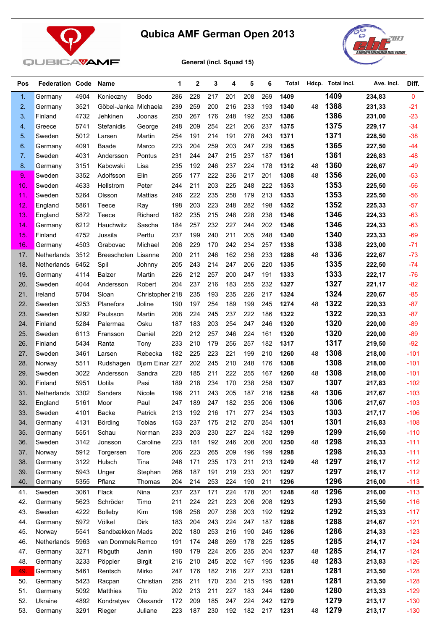



**General (incl. Squad 15)**

| Pos            | <b>Federation Code</b> |      | Name                 |                 | 1   | $\mathbf 2$ | 3   | 4   | 5   | 6   | Total |    | Hdcp. Total incl. | Ave. incl. | Diff.  |
|----------------|------------------------|------|----------------------|-----------------|-----|-------------|-----|-----|-----|-----|-------|----|-------------------|------------|--------|
| 1.             | Germany                | 4904 | Konieczny            | Bodo            | 286 | 228         | 217 | 201 | 208 | 269 | 1409  |    | 1409              | 234,83     | 0      |
| 2.             | Germany                | 3521 | Göbel-Janka Michaela |                 | 239 | 259         | 200 | 216 | 233 | 193 | 1340  | 48 | 1388              | 231,33     | $-21$  |
| 3.             | Finland                | 4732 | Jehkinen             | Joonas          | 250 | 267         | 176 | 248 | 192 | 253 | 1386  |    | 1386              | 231,00     | $-23$  |
| 4.             | Greece                 | 5741 | Stefanidis           | George          | 248 | 209         | 254 | 221 | 206 | 237 | 1375  |    | 1375              | 229,17     | $-34$  |
| 5 <sub>1</sub> | Sweden                 | 5012 | Larsen               | Martin          | 254 | 191         | 214 | 191 | 278 | 243 | 1371  |    | 1371              | 228,50     | $-38$  |
| 6.             | Germany                | 4091 | Baade                | Marco           | 223 | 204         | 259 | 203 | 247 | 229 | 1365  |    | 1365              | 227,50     | $-44$  |
| 7.             | Sweden                 | 4031 | Andersson            | Pontus          | 231 | 244         | 247 | 215 | 237 | 187 | 1361  |    | 1361              | 226,83     | $-48$  |
| 8.             | Germany                | 3151 | Kabowski             | Lisa            | 235 | 192         | 246 | 237 | 224 | 178 | 1312  | 48 | 1360              | 226,67     | $-49$  |
| 9.             | Sweden                 | 3352 | Adolfsson            | Elin            | 255 | 177         | 222 | 236 | 217 | 201 | 1308  | 48 | 1356              | 226,00     | $-53$  |
| 10.            | Sweden                 | 4633 | Hellstrom            | Peter           | 244 | 211         | 203 | 225 | 248 | 222 | 1353  |    | 1353              | 225,50     | $-56$  |
| 11.            | Sweden                 | 5264 | Olsson               | <b>Mattias</b>  | 246 | 222         | 235 | 258 | 179 | 213 | 1353  |    | 1353              | 225,50     | $-56$  |
| 12.            | England                | 5861 | Teece                | Ray             | 198 | 203         | 223 | 248 | 282 | 198 | 1352  |    | 1352              | 225,33     | $-57$  |
| 13.            | England                | 5872 | Teece                | Richard         | 182 | 235         | 215 | 248 | 228 | 238 | 1346  |    | 1346              | 224,33     | $-63$  |
| 14.            | Germany                | 6212 | Hauchwitz            | Sascha          | 184 | 257         | 232 | 227 | 244 | 202 | 1346  |    | 1346              | 224,33     | $-63$  |
| 15.            | Finland                | 4752 | Jussila              | Perttu          | 237 | 199         | 240 | 211 | 205 | 248 | 1340  |    | 1340              | 223,33     | $-69$  |
| 16.            | Germany                | 4503 | Grabovac             | Michael         | 206 | 229         | 170 | 242 | 234 | 257 | 1338  |    | 1338              | 223,00     | $-71$  |
| 17.            | Netherlands            | 3512 | Breeschoten Lisanne  |                 | 200 | 211         | 246 | 162 | 236 | 233 | 1288  | 48 | 1336              | 222,67     | $-73$  |
| 18.            | Netherlands            | 6452 | Spil                 | Johnny          | 205 | 243         | 214 | 247 | 206 | 220 | 1335  |    | 1335              | 222,50     | $-74$  |
| 19.            | Germany                | 4114 | <b>Balzer</b>        | Martin          | 226 | 212         | 257 | 200 | 247 | 191 | 1333  |    | 1333              | 222,17     | $-76$  |
| 20.            | Sweden                 | 4044 | Andersson            | Robert          | 204 | 237         | 216 | 183 | 255 | 232 | 1327  |    | 1327              | 221,17     | $-82$  |
| 21.            | Ireland                | 5704 | Sloan                | Christopher 218 |     | 235         | 193 | 235 | 226 | 217 | 1324  |    | 1324              | 220,67     | $-85$  |
| 22.            | Sweden                 | 3253 | Planefors            | Joline          | 190 | 197         | 254 | 189 | 199 | 245 | 1274  | 48 | 1322              | 220,33     | $-87$  |
| 23.            | Sweden                 | 5292 | Paulsson             | Martin          | 208 | 224         | 245 | 237 | 222 | 186 | 1322  |    | 1322              | 220,33     | $-87$  |
| 24.            | Finland                | 5284 | Palermaa             | Osku            | 187 | 183         | 203 | 254 | 247 | 246 | 1320  |    | 1320              | 220,00     | $-89$  |
| 25.            | Sweden                 | 6113 | Fransson             | Daniel          | 220 | 212         | 257 | 246 | 224 | 161 | 1320  |    | 1320              | 220,00     | $-89$  |
| 26.            | Finland                | 5434 | Ranta                | Tony            | 233 | 210         | 179 | 256 | 257 | 182 | 1317  |    | 1317              | 219,50     | $-92$  |
| 27.            | Sweden                 | 3461 | Larsen               | Rebecka         | 182 | 225         | 223 | 221 | 199 | 210 | 1260  | 48 | 1308              | 218,00     | $-101$ |
| 28.            | Norway                 | 5511 | Rudshagen            | Bjørn Einar 227 |     | 202         | 245 | 210 | 248 | 176 | 1308  |    | 1308              | 218,00     | $-101$ |
| 29.            | Sweden                 | 3022 | Andersson            | Sandra          | 220 | 185         | 211 | 222 | 255 | 167 | 1260  | 48 | 1308              | 218,00     | $-101$ |
| 30.            | Finland                | 5951 | Uotila               | Pasi            | 189 | 218         | 234 | 170 | 238 | 258 | 1307  |    | 1307              | 217,83     | $-102$ |
| 31.            | Netherlands            | 3302 | Sanders              | Nicole          | 196 | 211         | 243 | 205 | 187 | 216 | 1258  | 48 | 1306              | 217,67     | $-103$ |
| 32.            | England                | 5161 | Moor                 | Paul            | 247 | 189         | 247 | 182 | 235 | 206 | 1306  |    | 1306              | 217,67     | $-103$ |
| 33.            | Sweden                 | 4101 | Backe                | Patrick         | 213 | 192         | 216 | 171 | 277 | 234 | 1303  |    | 1303              | 217,17     | $-106$ |
| 34.            | Germany                | 4131 | Börding              | Tobias          | 153 | 237         | 175 | 212 | 270 | 254 | 1301  |    | 1301              | 216,83     | $-108$ |
| 35.            | Germany                | 5551 | Schau                | Norman          | 233 | 203         | 230 | 227 | 224 | 182 | 1299  |    | 1299              | 216,50     | $-110$ |
| 36.            | Sweden                 | 3142 | Jonsson              | Caroline        | 223 | 181         | 192 | 246 | 208 | 200 | 1250  | 48 | 1298              | 216,33     | $-111$ |
| 37.            | Norway                 | 5912 | Torgersen            | Tore            | 206 | 223         | 265 | 209 | 196 | 199 | 1298  |    | 1298              | 216,33     | $-111$ |
| 38.            | Germany                | 3122 | Hulsch               | Tina            | 246 | 171         | 235 | 173 | 211 | 213 | 1249  | 48 | 1297              | 216,17     | $-112$ |
| 39.            | Germany                | 5943 | Unger                | Stephan         | 266 | 187         | 191 | 219 | 233 | 201 | 1297  |    | 1297              | 216,17     | $-112$ |
| 40.            | Germany                | 5355 | Pflanz               | Thomas          | 204 | 214         | 253 | 224 | 190 | 211 | 1296  |    | 1296              | 216,00     | $-113$ |
| 41.            | Sweden                 | 3061 | Flack                | Nina            | 237 | 237         | 171 | 224 | 178 | 201 | 1248  | 48 | 1296              | 216,00     | $-113$ |
| 42.            | Germany                | 5623 | Schröder             | Timo            | 211 | 224         | 221 | 223 | 206 | 208 | 1293  |    | 1293              | 215,50     | $-116$ |
| 43.            | Sweden                 | 4222 | <b>Bolleby</b>       | Kim             | 196 | 258         | 207 | 236 | 203 | 192 | 1292  |    | 1292              | 215,33     | $-117$ |
| 44.            | Germany                | 5972 | Völkel               | Dirk            | 183 | 204         | 243 | 224 | 247 | 187 | 1288  |    | 1288              | 214,67     | $-121$ |
| 45.            | Norway                 | 5541 | Sandbækken Mads      |                 | 202 | 180         | 253 | 216 | 190 | 245 | 1286  |    | 1286              | 214,33     | $-123$ |
| 46.            | Netherlands            | 5963 | van Dommele Remco    |                 | 191 | 174         | 248 | 269 | 178 | 225 | 1285  |    | 1285              | 214,17     | $-124$ |
| 47.            | Germany                | 3271 | Ribguth              | Janin           | 190 | 179         | 224 | 205 | 235 | 204 | 1237  | 48 | 1285              | 214,17     | $-124$ |
| 48.            | Germany                | 3233 | Pöppler              | <b>Birgit</b>   | 216 | 210         | 245 | 202 | 167 | 195 | 1235  | 48 | 1283              | 213,83     | $-126$ |
| 49.            | Germany                | 5461 | Rentsch              | Mirko           | 247 | 176         | 182 | 216 | 227 | 233 | 1281  |    | 1281              | 213,50     | $-128$ |
| 50.            | Germany                | 5423 | Racpan               | Christian       | 256 | 211         | 170 | 234 | 215 | 195 | 1281  |    | 1281              | 213,50     | $-128$ |
| 51.            | Germany                | 5092 | Matthies             | Tilo            | 202 | 213         | 211 | 227 | 183 | 244 | 1280  |    | 1280              | 213,33     | $-129$ |
| 52.            | Ukraine                | 4892 | Kondratyev           | Olexandr        | 172 | 209         | 185 | 247 | 224 | 242 | 1279  |    | 1279              | 213,17     | $-130$ |
| 53.            | Germany                | 3291 | Rieger               | Juliane         | 223 | 187         | 230 | 192 | 182 | 217 | 1231  | 48 | 1279              | 213,17     | $-130$ |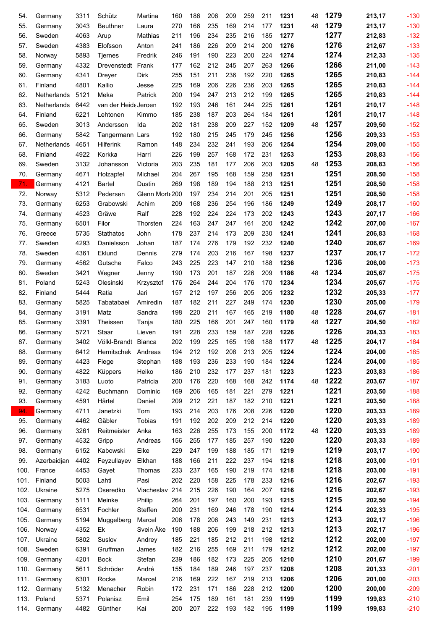| 54.        | Germany           | 3311         | Schütz               | Martina            | 160        | 186        | 206        | 209        | 259        | 211        | 1231         | 48 | 1279         | 213,17           | $-130$           |
|------------|-------------------|--------------|----------------------|--------------------|------------|------------|------------|------------|------------|------------|--------------|----|--------------|------------------|------------------|
| 55.        | Germany           | 3043         | <b>Beuthner</b>      | Laura              | 270        | 166        | 235        | 169        | 214        | 177        | 1231         | 48 | 1279         | 213,17           | $-130$           |
| 56.        | Sweden            | 4063         | Arup                 | Mathias            | 211        | 196        | 234        | 235        | 216        | 185        | 1277         |    | 1277         | 212,83           | $-132$           |
| 57.        | Sweden            | 4383         | Elofsson             | Anton              | 241        | 186        | 226        | 209        | 214        | 200        | 1276         |    | 1276         | 212,67           | $-133$           |
| 58.        | Norway            | 5893         | <b>Tjernes</b>       | Fredrik            | 246        | 191        | 190        | 223        | 200        | 224        | 1274         |    | 1274         | 212,33           | $-135$           |
| 59.        | Germany           | 4332         | Drevenstedt          | Frank              | 177        | 162        | 212        | 245        | 207        | 263        | 1266         |    | 1266         | 211,00           | $-143$           |
| 60.        | Germany           | 4341         | Dreyer               | Dirk               | 255        | 151        | 211        | 236        | 192        | 220        | 1265         |    | 1265         | 210,83           | $-144$           |
| 61.        | Finland           | 4801         | Kallio               | Jesse              | 225        | 169        | 206        | 226        | 236        | 203        | 1265         |    | 1265         | 210,83           | $-144$           |
| 62.        | Netherlands       | 5121         | Meka                 | Patrick            | 200        | 194        | 247        | 213        | 212        | 199        | 1265         |    | 1265         | 210,83           | $-144$           |
| 63.        | Netherlands       | 6442         | van der Heide Jeroen |                    | 192        | 193        | 246        | 161        | 244        | 225        | 1261         |    | 1261         | 210,17           | $-148$           |
| 64.        | Finland           | 6221         | Lehtonen             | Kimmo              | 185        | 238        | 187        | 203        | 264        | 184        | 1261         |    | 1261         | 210,17           | $-148$           |
| 65.        | Sweden            | 3013         | Andersson            | Ida                | 202        | 181        | 238        | 209        | 227        | 152        | 1209         | 48 | 1257         | 209,50           | $-152$           |
| 66.        | Germany           | 5842         | Tangermann Lars      |                    | 192        | 180        | 215        | 245        | 179        | 245        | 1256         |    | 1256         | 209,33           | $-153$           |
| 67.        | Netherlands       | 4651         | <b>Hilferink</b>     | Ramon              | 148        | 234        | 232        | 241        | 193        | 206        | 1254         |    | 1254         | 209,00           | $-155$           |
| 68.        | Finland           | 4922         | Korkka               | Harri              | 226        | 199        | 257        | 168        | 172        | 231        | 1253         |    | 1253         | 208,83           | $-156$           |
| 69.        | Sweden            | 3132         | Johansson            | Victoria           | 203        | 235        | 181        | 177        | 206        | 203        | 1205         | 48 | 1253         | 208,83           | $-156$           |
| 70.        | Germany           | 4671         | Holzapfel            | Michael            | 204        | 267        | 195        | 168        | 159        | 258        | 1251         |    | 1251         | 208,50           | $-158$           |
| 71.        | Germany           | 4121         | Bartel               | Dustin             | 269        | 198        | 189        | 194        | 188        | 213        | 1251         |    | 1251         | 208,50           | $-158$           |
| 72.        | Norway            | 5312         | Pedersen             | Glenn Morte 200    |            | 197        | 234        | 214        | 201        | 205        | 1251         |    | 1251         | 208,50           | $-158$           |
| 73.        | Germany           | 6253         | Grabowski            | Achim              | 209        | 168        | 236        | 254        | 196        | 186        | 1249         |    | 1249         | 208,17           | $-160$           |
| 74.        | Germany           | 4523         | Gräwe                | Ralf               | 228        | 192        | 224        | 224        | 173        | 202        | 1243         |    | 1243<br>1242 | 207,17           | $-166$           |
| 75.        | Germany           | 6501         | Filor                | Thorsten           | 224        | 163        | 247        | 247        | 161        | 200        | 1242         |    | 1241         | 207,00           | $-167$           |
| 76.        | Greece            | 5735         | Stathatos            | John               | 178        | 237        | 214        | 173        | 209        | 230        | 1241         |    | 1240         | 206,83           | $-168$           |
| 77.        | Sweden            | 4293         | Danielsson           | Johan              | 187        | 174        | 276        | 179        | 192        | 232        | 1240         |    | 1237         | 206,67           | $-169$           |
| 78.        | Sweden            | 4361<br>4562 | Eklund               | Dennis             | 279<br>243 | 174<br>225 | 203<br>223 | 216<br>147 | 167<br>210 | 198<br>188 | 1237<br>1236 |    | 1236         | 206,17           | $-172$<br>$-173$ |
| 79.<br>80. | Germany<br>Sweden | 3421         | Gutsche              | Falco              | 190        | 173        | 201        | 187        | 226        | 209        | 1186         | 48 | 1234         | 206,00<br>205,67 | $-175$           |
| 81.        | Poland            | 5243         | Wegner<br>Olesinski  | Jenny<br>Krzysztof | 176        | 264        | 244        | 204        | 176        | 170        | 1234         |    | 1234         | 205,67           | $-175$           |
| 82.        | Finland           | 5444         | Ratia                | Jari               | 157        | 212        | 197        | 256        | 205        | 205        | 1232         |    | 1232         | 205,33           | $-177$           |
| 83.        | Germany           | 5825         | Tabatabaei           | Amiredin           | 187        | 182        | 211        | 227        | 249        | 174        | 1230         |    | 1230         | 205,00           | $-179$           |
| 84.        | Germany           | 3191         | Matz                 | Sandra             | 198        | 220        | 211        | 167        | 165        | 219        | 1180         | 48 | 1228         | 204,67           | $-181$           |
| 85.        | Germany           | 3391         | Theissen             | Tanja              | 180        | 225        | 166        | 201        | 247        | 160        | 1179         | 48 | 1227         | 204,50           | $-182$           |
| 86.        | Germany           | 5721         | Staar                | Lieven             | 191        | 228        | 233        | 159        | 187        | 228        | 1226         |    | 1226         | 204,33           | $-183$           |
| 87.        | Germany           | 3402         | Völkl-Brandt Bianca  |                    | 202        | 199        | 225        | 165        | 198        | 188        | 1177         | 48 | 1225         | 204,17           | $-184$           |
| 88.        | Germany           | 6412         | Hernitschek Andreas  |                    | 194        | 212        | 192        | 208        | 213        | 205        | 1224         |    | 1224         | 204,00           | $-185$           |
| 89.        | Germany           | 4423         | Fiege                | Stephan            | 188        | 193        | 236        | 233        | 190        | 184        | 1224         |    | 1224         | 204,00           | $-185$           |
| 90.        | Germany           | 4822         | Küppers              | Heiko              | 186        | 210        | 232        | 177        | 237        | 181        | 1223         |    | 1223         | 203,83           | $-186$           |
| 91.        | Germany           | 3183         | Luoto                | Patricia           | 200        | 176        | 220        | 168        | 168        | 242        | 1174         | 48 | 1222         | 203,67           | $-187$           |
| 92.        | Germany           | 4242         | <b>Buchmann</b>      | Dominic            | 169        | 206        | 165        | 181        | 221        | 279        | 1221         |    | 1221         | 203,50           | $-188$           |
| 93.        | Germany           | 4591         | Härtel               | Daniel             | 209        | 212        | 221        | 187        | 182        | 210        | 1221         |    | 1221         | 203,50           | $-188$           |
| 94.        | Germany           | 4711         | Janetzki             | Tom                | 193        | 214        | 203        | 176        | 208        | 226        | 1220         |    | 1220         | 203,33           | $-189$           |
| 95.        | Germany           | 4462         | Gäbler               | Tobias             | 191        | 192        | 202        | 209        | 212        | 214        | 1220         |    | 1220         | 203,33           | $-189$           |
| 96.        | Germany           | 3261         | Reitmeister          | Anka               | 163        | 226        | 255        | 173        | 155        | 200        | 1172         | 48 | 1220         | 203,33           | $-189$           |
| 97.        | Germany           | 4532         | Gripp                | Andreas            | 156        | 255        | 177        | 185        | 257        | 190        | 1220         |    | 1220         | 203,33           | $-189$           |
| 98.        | Germany           | 6152         | Kabowski             | Eike               | 229        | 247        | 199        | 188        | 185        | 171        | 1219         |    | 1219         | 203,17           | $-190$           |
| 99.        | Azerbaidjan       | 4402         | Feyzullayev          | Elkhan             | 188        | 166        | 211        | 222        | 237        | 194        | 1218         |    | 1218         | 203,00           | $-191$           |
| 100.       | France            | 4453         | Gayet                | Thomas             | 233        | 237        | 165        | 190        | 219        | 174        | 1218         |    | 1218         | 203,00           | $-191$           |
| 101.       | Finland           | 5003         | Lahti                | Pasi               | 202        | 220        | 158        | 225        | 178        | 233        | 1216         |    | 1216         | 202,67           | $-193$           |
| 102.       | Ukraine           | 5275         | Oseredko             | Viacheslav         | 214        | 215        | 226        | 190        | 164        | 207        | 1216         |    | 1216         | 202,67           | $-193$           |
| 103.       | Germany           | 5111         | Meinke               | Philip             | 264        | 201        | 197        | 160        | 200        | 193        | 1215         |    | 1215         | 202,50           | $-194$           |
| 104.       | Germany           | 6531         | Fochler              | Steffen            | 200        | 231        | 169        | 246        | 178        | 190        | 1214         |    | 1214         | 202,33           | $-195$           |
| 105.       | Germany           | 5194         | Muggelberg           | Marcel             | 206        | 178        | 206        | 243        | 149        | 231        | 1213         |    | 1213         | 202,17           | $-196$           |
| 106.       | Norway            | 4352         | Ek                   | Svein Åke          | 190        | 188        | 206        | 199        | 218        | 212        | 1213         |    | 1213         | 202,17           | $-196$           |
| 107.       | Ukraine           | 5802         | Suslov               | Andrey             | 185        | 221        | 185        | 212        | 211        | 198        | 1212         |    | 1212         | 202,00           | $-197$           |
| 108.       | Sweden            | 6391         | Gruffman             | James              | 182        | 216        | 255        | 169        | 211        | 179        | 1212         |    | 1212         | 202,00           | $-197$           |
| 109.       | Germany           | 4201         | <b>Bock</b>          | Stefan             | 239        | 186        | 182        | 173        | 225        | 205        | 1210         |    | 1210         | 201,67           | $-199$           |
| 110.       | Germany           | 5611         | Schröder             | André              | 155        | 184        | 189        | 246        | 197        | 237        | 1208         |    | 1208         | 201,33           | $-201$           |
| 111.       | Germany           | 6301         | Rocke                | Marcel             | 216        | 169        | 222        | 167        | 219        | 213        | 1206         |    | 1206         | 201,00           | $-203$           |
| 112.       | Germany           | 5132         | Menacher             | Robin              | 172        | 231        | 171        | 186        | 228        | 212        | 1200         |    | 1200         | 200,00           | $-209$           |
| 113.       | Poland            | 5371         | Polanisz             | Emil               | 254        | 175        | 189        | 161        | 181        | 239        | 1199         |    | 1199         | 199,83           | $-210$           |
| 114.       | Germany           | 4482         | Günther              | Kai                | 200        | 207        | 222        | 193        | 182        | 195        | 1199         |    | 1199         | 199,83           | $-210$           |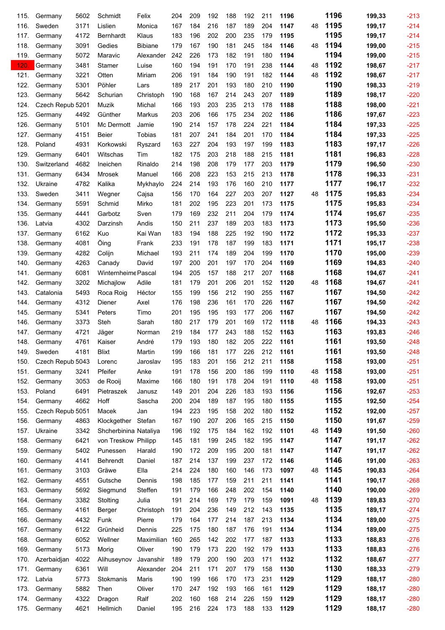| 115. | Germany          | 5602 | Schmidt                    | Felix            | 204 | 209 | 192 | 188 | 192 | 211 | 1196 |    | 1196 | 199,33 | $-213$ |
|------|------------------|------|----------------------------|------------------|-----|-----|-----|-----|-----|-----|------|----|------|--------|--------|
| 116. | Sweden           | 3171 | Lislien                    | Monica           | 167 | 184 | 216 | 187 | 189 | 204 | 1147 | 48 | 1195 | 199,17 | $-214$ |
| 117. | Germany          | 4172 | <b>Bernhardt</b>           | Klaus            | 183 | 196 | 202 | 200 | 235 | 179 | 1195 |    | 1195 | 199,17 | $-214$ |
| 118. | Germany          | 3091 | Gedies                     | <b>Bibiane</b>   | 179 | 167 | 190 | 181 | 245 | 184 | 1146 | 48 | 1194 | 199,00 | $-215$ |
| 119. | Germany          | 5072 | Maravic                    | Alexander        | 242 | 226 | 173 | 182 | 191 | 180 | 1194 |    | 1194 | 199,00 | $-215$ |
| 120  | Germany          | 3481 | <b>Stamer</b>              | Luise            | 160 | 194 | 191 | 170 | 191 | 238 | 1144 | 48 | 1192 | 198,67 | $-217$ |
| 121. | Germany          | 3221 | Otten                      | Miriam           | 206 | 191 | 184 | 190 | 191 | 182 | 1144 | 48 | 1192 | 198,67 | $-217$ |
| 122. | Germany          | 5301 | Pöhler                     | Lars             | 189 | 217 | 201 | 193 | 180 | 210 | 1190 |    | 1190 | 198,33 | $-219$ |
| 123. | Germany          | 5642 | Schurian                   | Christoph        | 190 | 168 | 167 | 214 | 243 | 207 | 1189 |    | 1189 | 198,17 | $-220$ |
| 124. | Czech Repub 5201 |      | Muzik                      | Michal           | 166 | 193 | 203 | 235 | 213 | 178 | 1188 |    | 1188 | 198,00 | $-221$ |
| 125. | Germany          | 4492 | Günther                    | <b>Markus</b>    | 203 | 206 | 166 | 175 | 234 | 202 | 1186 |    | 1186 | 197,67 | $-223$ |
| 126. | Germany          | 5101 | Mc Dermott                 | Jamie            | 190 | 214 | 157 | 178 | 224 | 221 | 1184 |    | 1184 | 197,33 | $-225$ |
| 127. | Germany          | 4151 | Beier                      | Tobias           | 181 | 207 | 241 | 184 | 201 | 170 | 1184 |    | 1184 | 197,33 | $-225$ |
| 128. | Poland           | 4931 | Korkowski                  | Ryszard          | 163 | 227 | 204 | 193 | 197 | 199 | 1183 |    | 1183 | 197,17 | $-226$ |
| 129. | Germany          | 6401 | Witschas                   | Tim              | 182 | 175 | 203 | 218 | 188 | 215 | 1181 |    | 1181 | 196,83 | $-228$ |
| 130. | Switzerland      | 4682 | Ineichen                   | Rinaldo          | 214 | 198 | 208 | 179 | 177 | 203 | 1179 |    | 1179 | 196,50 | $-230$ |
| 131. | Germany          | 6434 | <b>Mrosek</b>              | Manuel           | 166 | 208 | 223 | 153 | 215 | 213 | 1178 |    | 1178 | 196,33 | $-231$ |
| 132. | Ukraine          | 4782 | Kalika                     | Mykhaylo         | 224 | 214 | 193 | 176 | 160 | 210 | 1177 |    | 1177 | 196,17 | $-232$ |
| 133. | Sweden           | 3411 | Wegner                     | Cajsa            | 156 | 170 | 164 | 227 | 203 | 207 | 1127 | 48 | 1175 | 195,83 | $-234$ |
| 134. | Germany          | 5591 | Schmid                     | Mirko            | 181 | 202 | 195 | 223 | 201 | 173 | 1175 |    | 1175 | 195,83 | $-234$ |
| 135. | Germany          | 4441 | Garbotz                    | Sven             | 179 | 169 | 232 | 211 | 204 | 179 | 1174 |    | 1174 | 195,67 | $-235$ |
| 136. |                  | 4302 |                            |                  | 150 | 211 | 237 | 189 | 203 | 183 | 1173 |    | 1173 |        | $-236$ |
|      | Latvia           |      | Darzinsh                   | Andis<br>Kai Wan | 183 | 194 | 188 | 225 | 192 | 190 | 1172 |    | 1172 | 195,50 | $-237$ |
| 137. | Germany          | 6162 | Kuo                        |                  |     |     |     |     |     |     |      |    | 1171 | 195,33 |        |
| 138. | Germany          | 4081 | Öing                       | Frank            | 233 | 191 | 178 | 187 | 199 | 183 | 1171 |    |      | 195,17 | $-238$ |
| 139. | Germany          | 4282 | Colijn                     | Michael          | 193 | 211 | 174 | 189 | 204 | 199 | 1170 |    | 1170 | 195,00 | $-239$ |
| 140. | Germany          | 4263 | Canady                     | David            | 197 | 200 | 201 | 197 | 170 | 204 | 1169 |    | 1169 | 194,83 | $-240$ |
| 141. | Germany          | 6081 | <b>Winternheime Pascal</b> |                  | 194 | 205 | 157 | 188 | 217 | 207 | 1168 |    | 1168 | 194,67 | $-241$ |
| 142. | Germany          | 3202 | Michajlow                  | Adile            | 181 | 179 | 201 | 206 | 201 | 152 | 1120 | 48 | 1168 | 194,67 | $-241$ |
| 143. | Catalonia        | 5493 | Roca Roig                  | Héctor           | 155 | 199 | 156 | 212 | 190 | 255 | 1167 |    | 1167 | 194,50 | $-242$ |
| 144. | Germany          | 4312 | Diener                     | Axel             | 176 | 198 | 236 | 161 | 170 | 226 | 1167 |    | 1167 | 194,50 | $-242$ |
| 145. | Germany          | 5341 | Peters                     | Timo             | 201 | 195 | 195 | 193 | 177 | 206 | 1167 |    | 1167 | 194,50 | $-242$ |
| 146. | Germany          | 3373 | Steh                       | Sarah            | 180 | 217 | 179 | 201 | 169 | 172 | 1118 | 48 | 1166 | 194,33 | $-243$ |
| 147. | Germany          | 4721 | Jäger                      | Norman           | 219 | 184 | 177 | 243 | 188 | 152 | 1163 |    | 1163 | 193,83 | $-246$ |
| 148. | Germany          | 4761 | Kaiser                     | André            | 179 | 193 | 180 | 182 | 205 | 222 | 1161 |    | 1161 | 193,50 | $-248$ |
| 149. | Sweden           | 4181 | <b>Blixt</b>               | Martin           | 199 | 166 | 181 | 177 | 226 | 212 | 1161 |    | 1161 | 193,50 | $-248$ |
| 150. | Czech Repub 5043 |      | Lorenc                     | Jaroslav         | 195 | 183 | 201 | 156 | 212 | 211 | 1158 |    | 1158 | 193,00 | $-251$ |
| 151. | Germany          | 3241 | Pfeifer                    | Anke             | 191 | 178 | 156 | 200 | 186 | 199 | 1110 | 48 | 1158 | 193,00 | $-251$ |
| 152. | Germany          | 3053 | de Rooij                   | Maxime           | 166 | 180 | 191 | 178 | 204 | 191 | 1110 | 48 | 1158 | 193,00 | $-251$ |
| 153. | Poland           | 6491 | Pietraszek                 | Janusz           | 149 | 201 | 204 | 226 | 183 | 193 | 1156 |    | 1156 | 192,67 | $-253$ |
| 154. | Germany          | 4662 | Hoff                       | Sascha           | 200 | 204 | 189 | 187 | 195 | 180 | 1155 |    | 1155 | 192,50 | $-254$ |
| 155. | Czech Repub 5051 |      | Macek                      | Jan              | 194 | 223 | 195 | 158 | 202 | 180 | 1152 |    | 1152 | 192,00 | $-257$ |
| 156. | Germany          | 4863 | Klockgether                | Stefan           | 167 | 190 | 207 | 206 | 165 | 215 | 1150 |    | 1150 | 191,67 | $-259$ |
| 157. | Ukraine          | 3342 | Shcherbinina Nataliya      |                  | 196 | 192 | 175 | 184 | 162 | 192 | 1101 | 48 | 1149 | 191,50 | $-260$ |
| 158. | Germany          | 6421 | von Treskow Philipp        |                  | 145 | 181 | 199 | 245 | 182 | 195 | 1147 |    | 1147 | 191,17 | $-262$ |
| 159. | Germany          | 5402 | Punessen                   | Harald           | 190 | 172 | 209 | 195 | 200 | 181 | 1147 |    | 1147 | 191,17 | $-262$ |
| 160. | Germany          | 4141 | Behrendt                   | Daniel           | 187 | 214 | 137 | 199 | 237 | 172 | 1146 |    | 1146 | 191,00 | $-263$ |
| 161. | Germany          | 3103 | Gräwe                      | Ella             | 214 | 224 | 180 | 160 | 146 | 173 | 1097 | 48 | 1145 | 190,83 | $-264$ |
| 162. | Germany          | 4551 | Gutsche                    | Dennis           | 198 | 185 | 177 | 159 | 211 | 211 | 1141 |    | 1141 | 190,17 | $-268$ |
| 163. | Germany          | 5692 | Siegmund                   | Steffen          | 191 | 179 | 166 | 248 | 202 | 154 | 1140 |    | 1140 | 190,00 | $-269$ |
| 164. | Germany          | 3382 | Stolting                   | Julia            | 191 | 214 | 169 | 179 | 179 | 159 | 1091 | 48 | 1139 | 189,83 | $-270$ |
| 165. | Germany          | 4161 | Berger                     | Christoph        | 191 | 204 | 236 | 149 | 212 | 143 | 1135 |    | 1135 | 189,17 | $-274$ |
| 166. | Germany          | 4432 | Funk                       | Pierre           | 179 | 164 | 177 | 214 | 187 | 213 | 1134 |    | 1134 | 189,00 | $-275$ |
| 167. | Germany          | 6122 | Grünheid                   | Dennis           | 225 | 175 | 180 | 187 | 176 | 191 | 1134 |    | 1134 | 189,00 | $-275$ |
| 168. | Germany          | 6052 | Wellner                    | Maximilian       | 160 | 265 | 142 | 202 | 177 | 187 | 1133 |    | 1133 | 188,83 | $-276$ |
| 169. | Germany          | 5173 | Morig                      | Oliver           | 190 | 179 | 173 | 220 | 192 | 179 | 1133 |    | 1133 | 188,83 | $-276$ |
| 170. | Azerbaidjan      | 4022 | Alihuseynov                | Javanshir        | 189 | 179 | 200 | 190 | 203 | 171 | 1132 |    | 1132 | 188,67 | $-277$ |
| 171. | Germany          | 6361 | Will                       | Alexander        | 204 | 211 | 171 | 207 | 179 | 158 | 1130 |    | 1130 | 188,33 | $-279$ |
| 172. | Latvia           | 5773 | Stokmanis                  | Maris            | 190 | 199 | 166 | 170 | 173 | 231 | 1129 |    | 1129 | 188,17 | $-280$ |
| 173. | Germany          | 5882 | Then                       | Oliver           | 170 | 247 | 192 | 193 | 166 | 161 | 1129 |    | 1129 | 188,17 | $-280$ |
| 174. | Germany          | 4322 | Dragon                     | Ralf             | 202 | 160 | 168 | 214 | 226 | 159 | 1129 |    | 1129 | 188,17 | $-280$ |
| 175. | Germany          | 4621 | Hellmich                   | Daniel           | 195 | 216 | 224 | 173 | 188 | 133 | 1129 |    | 1129 | 188,17 | $-280$ |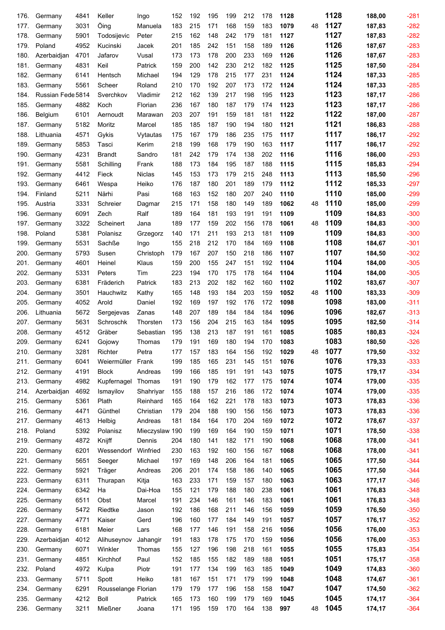| 176. | Germany           | 4841 | Keller              | Ingo           | 152 | 192 | 195 | 199 | 212 | 178 | 1128 |    | 1128 | 188,00 | $-281$ |
|------|-------------------|------|---------------------|----------------|-----|-----|-----|-----|-----|-----|------|----|------|--------|--------|
| 177. | Germany           | 3031 | Öing                | Manuela        | 183 | 215 | 171 | 168 | 159 | 183 | 1079 | 48 | 1127 | 187,83 | $-282$ |
| 178. | Germany           | 5901 | Todosijevic         | Peter          | 215 | 162 | 148 | 242 | 179 | 181 | 1127 |    | 1127 | 187,83 | $-282$ |
| 179. | Poland            | 4952 | Kucinski            | Jacek          | 201 | 185 | 242 | 151 | 158 | 189 | 1126 |    | 1126 | 187,67 | $-283$ |
| 180. | Azerbaidjan       | 4701 | Jafarov             | Vusal          | 173 | 173 | 178 | 200 | 233 | 169 | 1126 |    | 1126 | 187,67 | $-283$ |
| 181. | Germany           | 4831 | Keil                | Patrick        | 159 | 200 | 142 | 230 | 212 | 182 | 1125 |    | 1125 | 187,50 | $-284$ |
| 182. | Germany           | 6141 | Hentsch             | Michael        | 194 | 129 | 178 | 215 | 177 | 231 | 1124 |    | 1124 | 187,33 | $-285$ |
| 183. | Germany           | 5561 | Scheer              | Roland         | 210 | 170 | 192 | 207 | 173 | 172 | 1124 |    | 1124 | 187,33 | $-285$ |
| 184. | Russian Fede 5814 |      | Sverchkov           | Vladimir       | 212 | 162 | 139 | 217 | 198 | 195 | 1123 |    | 1123 | 187,17 | $-286$ |
| 185. | Germany           | 4882 | Koch                | Florian        | 236 | 167 | 180 | 187 | 179 | 174 | 1123 |    | 1123 | 187,17 | $-286$ |
| 186. | Belgium           | 6101 | Aernoudt            | Marawan        | 203 | 207 | 191 | 159 | 181 | 181 | 1122 |    | 1122 | 187,00 | $-287$ |
| 187. | Germany           | 5182 | Moritz              | Marcel         | 185 | 185 | 187 | 190 | 194 | 180 | 1121 |    | 1121 | 186,83 | $-288$ |
| 188. | Lithuania         | 4571 | Gykis               | Vytautas       | 175 | 167 | 179 | 186 | 235 | 175 | 1117 |    | 1117 | 186,17 | $-292$ |
| 189. | Germany           | 5853 | Tasci               | Kerim          | 218 | 199 | 168 | 179 | 190 | 163 | 1117 |    | 1117 | 186,17 | $-292$ |
| 190. | Germany           | 4231 | <b>Brandt</b>       | Sandro         | 181 | 242 | 179 | 174 | 138 | 202 | 1116 |    | 1116 | 186,00 | $-293$ |
| 191. | Germany           | 5581 | Schilling           | Frank          | 188 | 173 | 184 | 195 | 187 | 188 | 1115 |    | 1115 | 185,83 | $-294$ |
| 192. | Germany           | 4412 | Fieck               | <b>Niclas</b>  | 145 | 153 | 173 | 179 | 215 | 248 | 1113 |    | 1113 | 185,50 | $-296$ |
| 193. | Germany           | 6461 | Wespa               | Heiko          | 176 | 187 | 180 | 201 | 189 | 179 | 1112 |    | 1112 | 185,33 | $-297$ |
| 194. | Finland           | 5211 | Närhi               | Pasi           | 168 | 163 | 152 | 180 | 207 | 240 | 1110 |    | 1110 | 185,00 | $-299$ |
| 195. | Austria           | 3331 | Schreier            | Dagmar         | 215 | 171 | 158 | 180 | 149 | 189 | 1062 | 48 | 1110 | 185,00 | $-299$ |
| 196. | Germany           | 6091 | Zech                | Ralf           | 189 | 164 | 181 | 193 | 191 | 191 | 1109 |    | 1109 | 184,83 | $-300$ |
| 197. | Germany           | 3322 | Scheinert           | Jana           | 189 | 177 | 159 | 202 | 156 | 178 | 1061 | 48 | 1109 | 184,83 | $-300$ |
| 198. | Poland            | 5381 | Polanisz            | Grzegorz       | 140 | 171 | 211 | 193 | 213 | 181 | 1109 |    | 1109 | 184,83 | $-300$ |
| 199. | Germany           | 5531 | Sachße              | Ingo           | 155 | 218 | 212 | 170 | 184 | 169 | 1108 |    | 1108 | 184,67 | $-301$ |
| 200. | Germany           | 5793 | Susen               | Christoph      | 179 | 167 | 207 | 150 | 218 | 186 | 1107 |    | 1107 | 184,50 | $-302$ |
| 201. | Germany           | 4601 | Heinel              | Klaus          | 159 | 200 | 155 | 247 | 151 | 192 | 1104 |    | 1104 | 184,00 | $-305$ |
| 202. | Germany           | 5331 | Peters              | Tim            | 223 | 194 | 170 | 175 | 178 | 164 | 1104 |    | 1104 | 184,00 | $-305$ |
| 203. | Germany           | 6381 | Fräderich           | Patrick        | 183 | 213 | 202 | 182 | 162 | 160 | 1102 |    | 1102 | 183,67 | $-307$ |
| 204. | Germany           | 3501 | Hauchwitz           | Kathy          | 165 | 148 | 193 | 184 | 203 | 159 | 1052 | 48 | 1100 | 183,33 | $-309$ |
| 205. | Germany           | 4052 | Arold               | Daniel         | 192 | 169 | 197 | 192 | 176 | 172 | 1098 |    | 1098 | 183,00 | $-311$ |
| 206. | Lithuania         | 5672 | Sergejevas          | Zanas          | 148 | 207 | 189 | 184 | 184 | 184 | 1096 |    | 1096 | 182,67 | $-313$ |
| 207. | Germany           | 5631 | Schroschk           | Thorsten       | 173 | 156 | 204 | 215 | 163 | 184 | 1095 |    | 1095 | 182,50 | $-314$ |
| 208. | Germany           | 4512 | Gräber              | Sebastian      | 195 | 138 | 213 | 187 | 191 | 161 | 1085 |    | 1085 | 180,83 | $-324$ |
| 209. | Germany           | 6241 | Gojowy              | Thomas         | 179 | 191 | 169 | 180 | 194 | 170 | 1083 |    | 1083 | 180,50 | $-326$ |
| 210. | Germany           | 3281 | Richter             | Petra          | 177 | 157 | 183 | 164 | 156 | 192 | 1029 | 48 | 1077 | 179,50 | $-332$ |
| 211. | Germany           | 6041 | Weiermüller         | Frank          | 199 | 185 | 165 | 231 | 145 | 151 | 1076 |    | 1076 | 179,33 | $-333$ |
| 212. | Germany           | 4191 | <b>Block</b>        | Andreas        | 199 | 166 | 185 | 191 | 191 | 143 | 1075 |    | 1075 | 179,17 | $-334$ |
| 213. | Germany           | 4982 | Kupfernagel         | Thomas         | 191 | 190 | 179 | 162 | 177 | 175 | 1074 |    | 1074 | 179,00 | $-335$ |
| 214. | Azerbaidjan       | 4692 | Ismayilov           | Shahriyar      | 155 | 188 | 157 | 216 | 186 | 172 | 1074 |    | 1074 | 179,00 | $-335$ |
| 215. | Germany           | 5361 | Plath               | Reinhard       | 165 | 164 | 162 | 221 | 178 | 183 | 1073 |    | 1073 | 178,83 | $-336$ |
| 216. | Germany           | 4471 | Günthel             | Christian      | 179 | 204 | 188 | 190 | 156 | 156 | 1073 |    | 1073 | 178,83 | $-336$ |
| 217. | Germany           | 4613 | Helbig              | Andreas        | 181 | 184 | 164 | 170 | 204 | 169 | 1072 |    | 1072 | 178,67 | $-337$ |
| 218. | Poland            | 5392 | Polanisz            | Mieczyslaw 190 |     | 199 | 169 | 164 | 190 | 159 | 1071 |    | 1071 | 178,50 | $-338$ |
| 219. | Germany           | 4872 | Knijff              | Dennis         | 204 | 180 | 141 | 182 | 171 | 190 | 1068 |    | 1068 | 178,00 | $-341$ |
| 220. | Germany           | 6201 | Wessendorf          | Winfried       | 230 | 163 | 192 | 160 | 156 | 167 | 1068 |    | 1068 | 178,00 | $-341$ |
| 221. | Germany           | 5651 | Seeger              | Michael        | 197 | 169 | 148 | 206 | 164 | 181 | 1065 |    | 1065 | 177,50 | $-344$ |
| 222. | Germany           | 5921 | Träger              | Andreas        | 206 | 201 | 174 | 158 | 186 | 140 | 1065 |    | 1065 | 177,50 | $-344$ |
| 223. | Germany           | 6311 | Thurapan            | Kitja          | 163 | 233 | 171 | 159 | 157 | 180 | 1063 |    | 1063 | 177,17 | $-346$ |
| 224. | Germany           | 6342 | Ha                  | Dai-Hoa        | 155 | 121 | 179 | 188 | 180 | 238 | 1061 |    | 1061 | 176,83 | $-348$ |
| 225. | Germany           | 6511 | Obst                | Marcel         | 191 | 234 | 146 | 161 | 146 | 183 | 1061 |    | 1061 | 176,83 | $-348$ |
| 226. | Germany           | 5472 | Riedtke             | Jason          | 192 | 186 | 168 | 211 | 146 | 156 | 1059 |    | 1059 | 176,50 | $-350$ |
| 227. | Germany           | 4771 | Kaiser              | Gerd           | 196 | 160 | 177 | 184 | 149 | 191 | 1057 |    | 1057 | 176,17 | $-352$ |
| 228. | Germany           | 6181 | Meier               | Lars           | 168 | 177 | 146 | 191 | 158 | 216 | 1056 |    | 1056 | 176,00 | $-353$ |
| 229. | Azerbaidjan       | 4012 | Alihuseynov         | Jahangir       | 191 | 183 | 178 | 175 | 170 | 159 | 1056 |    | 1056 | 176,00 | $-353$ |
| 230. | Germany           | 6071 | Winkler             | Thomas         | 155 | 127 | 196 | 198 | 218 | 161 | 1055 |    | 1055 | 175,83 | $-354$ |
| 231. | Germany           | 4851 | Kirchhof            | Paul           | 152 | 185 | 155 | 182 | 189 | 188 | 1051 |    | 1051 | 175,17 | $-358$ |
| 232. | Poland            | 4972 | Kulpa               | Piotr          | 191 | 177 | 134 | 199 | 163 | 185 | 1049 |    | 1049 | 174,83 | $-360$ |
| 233. | Germany           | 5711 | Spott               | Heiko          | 181 | 167 | 151 | 171 | 179 | 199 | 1048 |    | 1048 | 174,67 | $-361$ |
| 234. | Germany           | 6291 | Rousselange Florian |                | 179 | 179 | 177 | 196 | 158 | 158 | 1047 |    | 1047 | 174,50 | $-362$ |
| 235. | Germany           | 4212 | <b>Boll</b>         | Patrick        | 165 | 173 | 160 | 199 | 179 | 169 | 1045 |    | 1045 | 174,17 | $-364$ |
| 236. | Germany           | 3211 | Mießner             | Joana          | 171 | 195 | 159 | 170 | 164 | 138 | 997  | 48 | 1045 | 174,17 | $-364$ |
|      |                   |      |                     |                |     |     |     |     |     |     |      |    |      |        |        |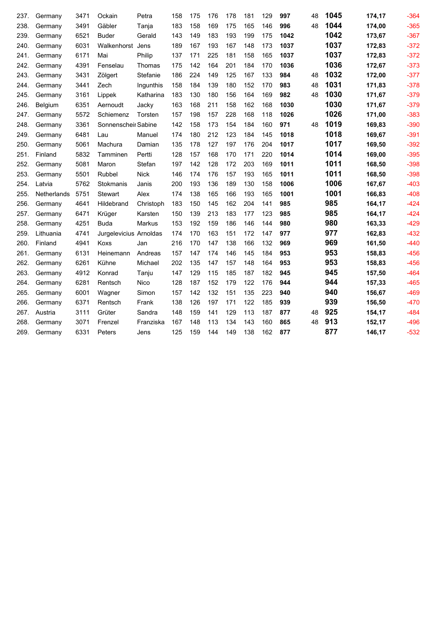| 237. | Germany     | 3471 | Ockain                 | Petra       | 158 | 175 | 176 | 178 | 181 | 129 | 997  | 48 | 1045 | 174,17 | $-364$ |
|------|-------------|------|------------------------|-------------|-----|-----|-----|-----|-----|-----|------|----|------|--------|--------|
| 238. | Germany     | 3491 | Gäbler                 | Tanja       | 183 | 158 | 169 | 175 | 165 | 146 | 996  | 48 | 1044 | 174,00 | $-365$ |
| 239. | Germany     | 6521 | <b>Buder</b>           | Gerald      | 143 | 149 | 183 | 193 | 199 | 175 | 1042 |    | 1042 | 173,67 | $-367$ |
| 240. | Germany     | 6031 | Walkenhorst            | Jens        | 189 | 167 | 193 | 167 | 148 | 173 | 1037 |    | 1037 | 172,83 | $-372$ |
| 241. | Germany     | 6171 | Mai                    | Philip      | 137 | 171 | 225 | 181 | 158 | 165 | 1037 |    | 1037 | 172,83 | $-372$ |
| 242. | Germany     | 4391 | Fenselau               | Thomas      | 175 | 142 | 164 | 201 | 184 | 170 | 1036 |    | 1036 | 172,67 | $-373$ |
| 243. | Germany     | 3431 | Zölgert                | Stefanie    | 186 | 224 | 149 | 125 | 167 | 133 | 984  | 48 | 1032 | 172,00 | $-377$ |
| 244. | Germany     | 3441 | Zech                   | Ingunthis   | 158 | 184 | 139 | 180 | 152 | 170 | 983  | 48 | 1031 | 171,83 | $-378$ |
| 245. | Germany     | 3161 | Lippek                 | Katharina   | 183 | 130 | 180 | 156 | 164 | 169 | 982  | 48 | 1030 | 171,67 | $-379$ |
| 246. | Belgium     | 6351 | Aernoudt               | Jacky       | 163 | 168 | 211 | 158 | 162 | 168 | 1030 |    | 1030 | 171,67 | $-379$ |
| 247. | Germany     | 5572 | Schiemenz              | Torsten     | 157 | 198 | 157 | 228 | 168 | 118 | 1026 |    | 1026 | 171,00 | $-383$ |
| 248. | Germany     | 3361 | Sonnenscheir Sabine    |             | 142 | 158 | 173 | 154 | 184 | 160 | 971  | 48 | 1019 | 169,83 | $-390$ |
| 249. | Germany     | 6481 | Lau                    | Manuel      | 174 | 180 | 212 | 123 | 184 | 145 | 1018 |    | 1018 | 169,67 | $-391$ |
| 250. | Germany     | 5061 | Machura                | Damian      | 135 | 178 | 127 | 197 | 176 | 204 | 1017 |    | 1017 | 169,50 | $-392$ |
| 251. | Finland     | 5832 | Tamminen               | Pertti      | 128 | 157 | 168 | 170 | 171 | 220 | 1014 |    | 1014 | 169,00 | $-395$ |
| 252. | Germany     | 5081 | Maron                  | Stefan      | 197 | 142 | 128 | 172 | 203 | 169 | 1011 |    | 1011 | 168,50 | $-398$ |
| 253. | Germany     | 5501 | Rubbel                 | <b>Nick</b> | 146 | 174 | 176 | 157 | 193 | 165 | 1011 |    | 1011 | 168,50 | $-398$ |
| 254. | Latvia      | 5762 | Stokmanis              | Janis       | 200 | 193 | 136 | 189 | 130 | 158 | 1006 |    | 1006 | 167,67 | $-403$ |
| 255. | Netherlands | 5751 | Stewart                | Alex        | 174 | 138 | 165 | 166 | 193 | 165 | 1001 |    | 1001 | 166,83 | $-408$ |
| 256. | Germany     | 4641 | Hildebrand             | Christoph   | 183 | 150 | 145 | 162 | 204 | 141 | 985  |    | 985  | 164,17 | $-424$ |
| 257. | Germany     | 6471 | Krüger                 | Karsten     | 150 | 139 | 213 | 183 | 177 | 123 | 985  |    | 985  | 164,17 | $-424$ |
| 258. | Germany     | 4251 | <b>Buda</b>            | Markus      | 153 | 192 | 159 | 186 | 146 | 144 | 980  |    | 980  | 163,33 | $-429$ |
| 259  | Lithuania   | 4741 | Jurgelevicius Arnoldas |             | 174 | 170 | 163 | 151 | 172 | 147 | 977  |    | 977  | 162,83 | $-432$ |
| 260. | Finland     | 4941 | Koxs                   | Jan         | 216 | 170 | 147 | 138 | 166 | 132 | 969  |    | 969  | 161,50 | $-440$ |
| 261. | Germany     | 6131 | Heinemann              | Andreas     | 157 | 147 | 174 | 146 | 145 | 184 | 953  |    | 953  | 158,83 | $-456$ |
| 262. | Germany     | 6261 | Kühne                  | Michael     | 202 | 135 | 147 | 157 | 148 | 164 | 953  |    | 953  | 158,83 | $-456$ |
| 263. | Germany     | 4912 | Konrad                 | Tanju       | 147 | 129 | 115 | 185 | 187 | 182 | 945  |    | 945  | 157,50 | $-464$ |
| 264. | Germany     | 6281 | Rentsch                | Nico        | 128 | 187 | 152 | 179 | 122 | 176 | 944  |    | 944  | 157,33 | $-465$ |
| 265. | Germany     | 6001 | Wagner                 | Simon       | 157 | 142 | 132 | 151 | 135 | 223 | 940  |    | 940  | 156,67 | $-469$ |
| 266. | Germany     | 6371 | Rentsch                | Frank       | 138 | 126 | 197 | 171 | 122 | 185 | 939  |    | 939  | 156,50 | $-470$ |
| 267. | Austria     | 3111 | Grüter                 | Sandra      | 148 | 159 | 141 | 129 | 113 | 187 | 877  | 48 | 925  | 154,17 | $-484$ |
| 268. | Germany     | 3071 | Frenzel                | Franziska   | 167 | 148 | 113 | 134 | 143 | 160 | 865  | 48 | 913  | 152,17 | $-496$ |
| 269. | Germany     | 6331 | Peters                 | Jens        | 125 | 159 | 144 | 149 | 138 | 162 | 877  |    | 877  | 146,17 | $-532$ |
|      |             |      |                        |             |     |     |     |     |     |     |      |    |      |        |        |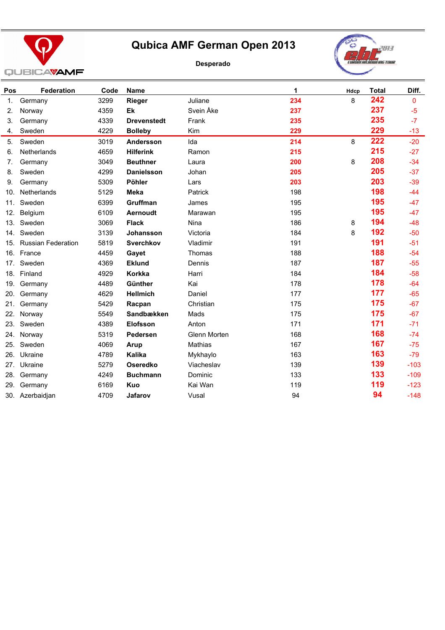

#### **Desperado**



| Pos | <b>Federation</b>         | Code | Name               |              | 1   | Hdcp | <b>Total</b> | Diff.  |
|-----|---------------------------|------|--------------------|--------------|-----|------|--------------|--------|
| 1.  | Germany                   | 3299 | Rieger             | Juliane      | 234 | 8    | 242          | 0      |
| 2.  | Norway                    | 4359 | Ek                 | Svein Åke    | 237 |      | 237          | $-5$   |
| 3.  | Germany                   | 4339 | <b>Drevenstedt</b> | Frank        | 235 |      | 235          | $-7$   |
| 4.  | Sweden                    | 4229 | <b>Bolleby</b>     | Kim          | 229 |      | 229          | $-13$  |
| 5.  | Sweden                    | 3019 | Andersson          | Ida          | 214 | 8    | 222          | $-20$  |
| 6.  | Netherlands               | 4659 | <b>Hilferink</b>   | Ramon        | 215 |      | 215          | $-27$  |
| 7.  | Germany                   | 3049 | <b>Beuthner</b>    | Laura        | 200 | 8    | 208          | $-34$  |
| 8.  | Sweden                    | 4299 | <b>Danielsson</b>  | Johan        | 205 |      | 205          | $-37$  |
| 9.  | Germany                   | 5309 | Pöhler             | Lars         | 203 |      | 203          | $-39$  |
| 10. | Netherlands               | 5129 | <b>Meka</b>        | Patrick      | 198 |      | 198          | $-44$  |
| 11. | Sweden                    | 6399 | Gruffman           | James        | 195 |      | 195          | $-47$  |
| 12. | Belgium                   | 6109 | Aernoudt           | Marawan      | 195 |      | 195          | $-47$  |
| 13. | Sweden                    | 3069 | <b>Flack</b>       | Nina         | 186 | 8    | 194          | $-48$  |
| 14. | Sweden                    | 3139 | <b>Johansson</b>   | Victoria     | 184 | 8    | 192          | $-50$  |
| 15. | <b>Russian Federation</b> | 5819 | <b>Sverchkov</b>   | Vladimir     | 191 |      | 191          | $-51$  |
| 16. | France                    | 4459 | Gayet              | Thomas       | 188 |      | 188          | $-54$  |
| 17. | Sweden                    | 4369 | <b>Eklund</b>      | Dennis       | 187 |      | 187          | $-55$  |
| 18. | Finland                   | 4929 | Korkka             | Harri        | 184 |      | 184          | $-58$  |
| 19. | Germany                   | 4489 | Günther            | Kai          | 178 |      | 178          | $-64$  |
| 20. | Germany                   | 4629 | <b>Hellmich</b>    | Daniel       | 177 |      | 177          | $-65$  |
| 21. | Germany                   | 5429 | Racpan             | Christian    | 175 |      | 175          | $-67$  |
| 22. | Norway                    | 5549 | Sandbækken         | Mads         | 175 |      | 175          | $-67$  |
| 23. | Sweden                    | 4389 | <b>Elofsson</b>    | Anton        | 171 |      | 171          | $-71$  |
| 24. | Norway                    | 5319 | Pedersen           | Glenn Morten | 168 |      | 168          | $-74$  |
| 25. | Sweden                    | 4069 | Arup               | Mathias      | 167 |      | 167          | $-75$  |
| 26. | Ukraine                   | 4789 | Kalika             | Mykhaylo     | 163 |      | 163          | $-79$  |
| 27. | Ukraine                   | 5279 | <b>Oseredko</b>    | Viacheslav   | 139 |      | 139          | $-103$ |
| 28. | Germany                   | 4249 | <b>Buchmann</b>    | Dominic      | 133 |      | 133          | $-109$ |
| 29. | Germany                   | 6169 | Kuo                | Kai Wan      | 119 |      | 119          | $-123$ |
|     | 30. Azerbaidjan           | 4709 | Jafarov            | Vusal        | 94  |      | 94           | $-148$ |